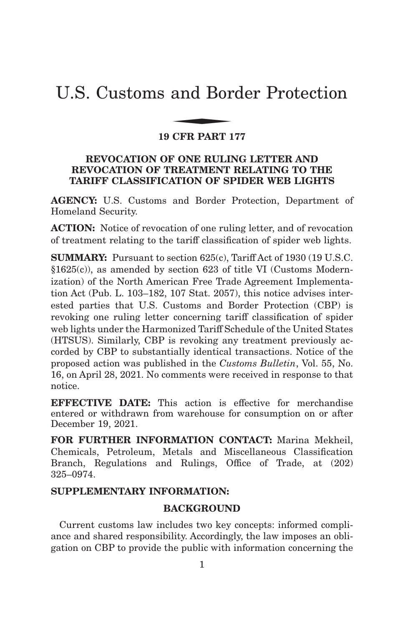# U.S. Customs and Border Protection and Bor

#### **19 CFR PART 177**

# **REVOCATION OF ONE RULING LETTER AND REVOCATION OF TREATMENT RELATING TO THE TARIFF CLASSIFICATION OF SPIDER WEB LIGHTS**

**AGENCY:** U.S. Customs and Border Protection, Department of Homeland Security.

**ACTION:** Notice of revocation of one ruling letter, and of revocation of treatment relating to the tariff classification of spider web lights.

**SUMMARY:** Pursuant to section 625(c), Tariff Act of 1930 (19 U.S.C. §1625(c)), as amended by section 623 of title VI (Customs Modernization) of the North American Free Trade Agreement Implementation Act (Pub. L. 103–182, 107 Stat. 2057), this notice advises interested parties that U.S. Customs and Border Protection (CBP) is revoking one ruling letter concerning tariff classification of spider web lights under the Harmonized Tariff Schedule of the United States (HTSUS). Similarly, CBP is revoking any treatment previously accorded by CBP to substantially identical transactions. Notice of the proposed action was published in the *Customs Bulletin*, Vol. 55, No. 16, on April 28, 2021. No comments were received in response to that notice.

**EFFECTIVE DATE:** This action is effective for merchandise entered or withdrawn from warehouse for consumption on or after December 19, 2021.

**FOR FURTHER INFORMATION CONTACT:** Marina Mekheil, Chemicals, Petroleum, Metals and Miscellaneous Classification Branch, Regulations and Rulings, Office of Trade, at (202) 325–0974.

# **SUPPLEMENTARY INFORMATION:**

# **BACKGROUND**

Current customs law includes two key concepts: informed compliance and shared responsibility. Accordingly, the law imposes an obligation on CBP to provide the public with information concerning the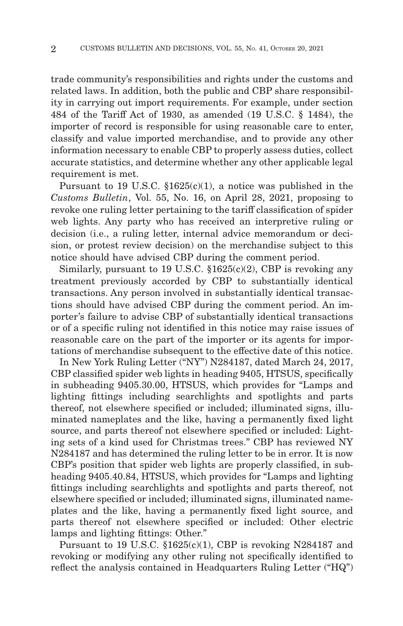trade community's responsibilities and rights under the customs and related laws. In addition, both the public and CBP share responsibility in carrying out import requirements. For example, under section 484 of the Tariff Act of 1930, as amended (19 U.S.C. § 1484), the importer of record is responsible for using reasonable care to enter, classify and value imported merchandise, and to provide any other information necessary to enable CBP to properly assess duties, collect accurate statistics, and determine whether any other applicable legal requirement is met.

Pursuant to 19 U.S.C.  $$1625(c)(1)$ , a notice was published in the *Customs Bulletin*, Vol. 55, No. 16, on April 28, 2021, proposing to revoke one ruling letter pertaining to the tariff classification of spider web lights. Any party who has received an interpretive ruling or decision (i.e., a ruling letter, internal advice memorandum or decision, or protest review decision) on the merchandise subject to this notice should have advised CBP during the comment period.

Similarly, pursuant to 19 U.S.C.  $$1625(c)(2)$ , CBP is revoking any treatment previously accorded by CBP to substantially identical transactions. Any person involved in substantially identical transactions should have advised CBP during the comment period. An importer's failure to advise CBP of substantially identical transactions or of a specific ruling not identified in this notice may raise issues of reasonable care on the part of the importer or its agents for importations of merchandise subsequent to the effective date of this notice.

In New York Ruling Letter ("NY") N284187, dated March 24, 2017, CBP classified spider web lights in heading 9405, HTSUS, specifically in subheading 9405.30.00, HTSUS, which provides for "Lamps and lighting fittings including searchlights and spotlights and parts thereof, not elsewhere specified or included; illuminated signs, illuminated nameplates and the like, having a permanently fixed light source, and parts thereof not elsewhere specified or included: Lighting sets of a kind used for Christmas trees." CBP has reviewed NY N284187 and has determined the ruling letter to be in error. It is now CBP's position that spider web lights are properly classified, in subheading 9405.40.84, HTSUS, which provides for "Lamps and lighting fittings including searchlights and spotlights and parts thereof, not elsewhere specified or included; illuminated signs, illuminated nameplates and the like, having a permanently fixed light source, and parts thereof not elsewhere specified or included: Other electric lamps and lighting fittings: Other."

Pursuant to 19 U.S.C. §1625(c)(1), CBP is revoking N284187 and revoking or modifying any other ruling not specifically identified to reflect the analysis contained in Headquarters Ruling Letter ("HQ")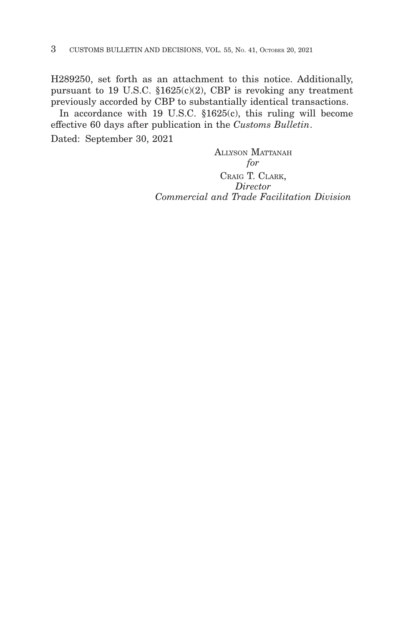H289250, set forth as an attachment to this notice. Additionally, pursuant to 19 U.S.C.  $$1625(c)(2)$ , CBP is revoking any treatment previously accorded by CBP to substantially identical transactions.

In accordance with 19 U.S.C. §1625(c), this ruling will become effective 60 days after publication in the *Customs Bulletin*.

Dated: September 30, 2021

ALLYSON MATTANAH *for* CRAIG T. CLARK, *Director Commercial and Trade Facilitation Division*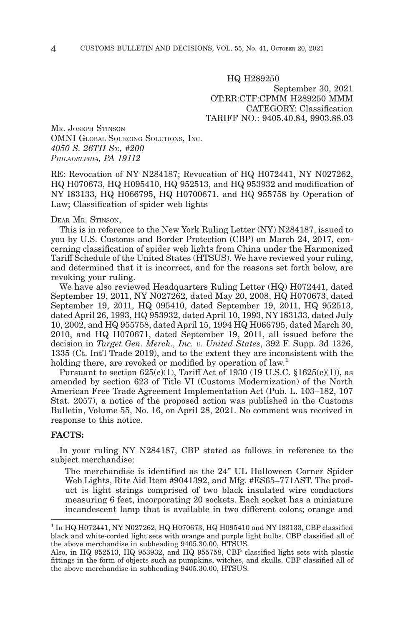HQ H289250 September 30, 2021 OT:RR:CTF:CPMM H289250 MMM CATEGORY: Classification TARIFF NO.: 9405.40.84, 9903.88.03

MR. JOSEPH STINSON OMNI GLOBAL SOURCING SOLUTIONS, INC. *4050 S. 26TH ST., #200 PHILADELPHIA, PA 19112*

RE: Revocation of NY N284187; Revocation of HQ H072441, NY N027262, HQ H070673, HQ H095410, HQ 952513, and HQ 953932 and modification of NY I83133, HQ H066795, HQ H0700671, and HQ 955758 by Operation of Law; Classification of spider web lights

#### DEAR MR. STINSON,

This is in reference to the New York Ruling Letter (NY) N284187, issued to you by U.S. Customs and Border Protection (CBP) on March 24, 2017, concerning classification of spider web lights from China under the Harmonized Tariff Schedule of the United States (HTSUS). We have reviewed your ruling, and determined that it is incorrect, and for the reasons set forth below, are revoking your ruling.

We have also reviewed Headquarters Ruling Letter (HQ) H072441, dated September 19, 2011, NY N027262, dated May 20, 2008, HQ H070673, dated September 19, 2011, HQ 095410, dated September 19, 2011, HQ 952513, dated April 26, 1993, HQ 953932, dated April 10, 1993, NY I83133, dated July 10, 2002, and HQ 955758, dated April 15, 1994 HQ H066795, dated March 30, 2010, and HQ H070671, dated September 19, 2011, all issued before the decision in *Target Gen. Merch., Inc. v. United States*, 392 F. Supp. 3d 1326, 1335 (Ct. Int'l Trade 2019), and to the extent they are inconsistent with the holding there, are revoked or modified by operation of law.<sup>1</sup>

Pursuant to section  $625(c)(1)$ , Tariff Act of 1930 (19 U.S.C.  $$1625(c)(1)$ ), as amended by section 623 of Title VI (Customs Modernization) of the North American Free Trade Agreement Implementation Act (Pub. L. 103–182, 107 Stat. 2057), a notice of the proposed action was published in the Customs Bulletin, Volume 55, No. 16, on April 28, 2021. No comment was received in response to this notice.

#### **FACTS:**

In your ruling NY N284187, CBP stated as follows in reference to the subject merchandise:

The merchandise is identified as the 24" UL Halloween Corner Spider Web Lights, Rite Aid Item #9041392, and Mfg. #ES65–771AST. The product is light strings comprised of two black insulated wire conductors measuring 6 feet, incorporating 20 sockets. Each socket has a miniature incandescent lamp that is available in two different colors; orange and

<sup>1</sup> In HQ H072441, NY N027262, HQ H070673, HQ H095410 and NY I83133, CBP classified black and white-corded light sets with orange and purple light bulbs. CBP classified all of the above merchandise in subheading 9405.30.00, HTSUS.

Also, in HQ 952513, HQ 953932, and HQ 955758, CBP classified light sets with plastic fittings in the form of objects such as pumpkins, witches, and skulls. CBP classified all of the above merchandise in subheading 9405.30.00, HTSUS.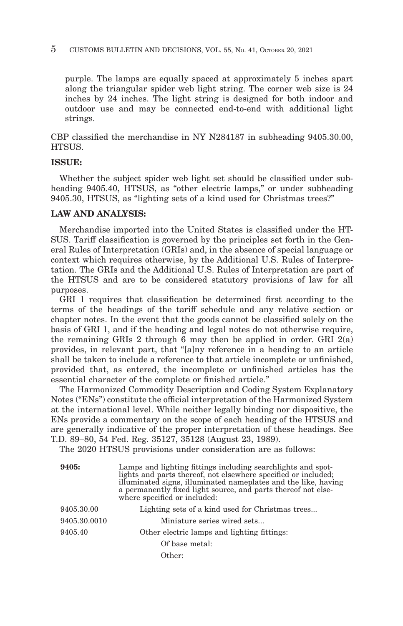#### 5 CUSTOMS BULLETIN AND DECISIONS, VOL. 55, No. 41, OCTOBER 20, 2021

purple. The lamps are equally spaced at approximately 5 inches apart along the triangular spider web light string. The corner web size is 24 inches by 24 inches. The light string is designed for both indoor and outdoor use and may be connected end-to-end with additional light strings.

CBP classified the merchandise in NY N284187 in subheading 9405.30.00, **HTSUS** 

#### **ISSUE:**

Whether the subject spider web light set should be classified under subheading 9405.40, HTSUS, as "other electric lamps," or under subheading 9405.30, HTSUS, as "lighting sets of a kind used for Christmas trees?"

#### **LAW AND ANALYSIS:**

Merchandise imported into the United States is classified under the HT-SUS. Tariff classification is governed by the principles set forth in the General Rules of Interpretation (GRIs) and, in the absence of special language or context which requires otherwise, by the Additional U.S. Rules of Interpretation. The GRIs and the Additional U.S. Rules of Interpretation are part of the HTSUS and are to be considered statutory provisions of law for all purposes.

GRI 1 requires that classification be determined first according to the terms of the headings of the tariff schedule and any relative section or chapter notes. In the event that the goods cannot be classified solely on the basis of GRI 1, and if the heading and legal notes do not otherwise require, the remaining GRIs 2 through 6 may then be applied in order. GRI  $2(a)$ provides, in relevant part, that "[a]ny reference in a heading to an article shall be taken to include a reference to that article incomplete or unfinished, provided that, as entered, the incomplete or unfinished articles has the essential character of the complete or finished article."

The Harmonized Commodity Description and Coding System Explanatory Notes ("ENs") constitute the official interpretation of the Harmonized System at the international level. While neither legally binding nor dispositive, the ENs provide a commentary on the scope of each heading of the HTSUS and are generally indicative of the proper interpretation of these headings. See T.D. 89–80, 54 Fed. Reg. 35127, 35128 (August 23, 1989).

The 2020 HTSUS provisions under consideration are as follows:

| 9405:        | Lamps and lighting fittings including search lights and spot-<br>lights and parts thereof, not elsewhere specified or included;<br>illuminated signs, illuminated nameplates and the like, having<br>a permanently fixed light source, and parts thereof not else-<br>where specified or included: |  |  |
|--------------|----------------------------------------------------------------------------------------------------------------------------------------------------------------------------------------------------------------------------------------------------------------------------------------------------|--|--|
| 9405.30.00   | Lighting sets of a kind used for Christmas trees                                                                                                                                                                                                                                                   |  |  |
| 9405.30.0010 | Miniature series wired sets                                                                                                                                                                                                                                                                        |  |  |
| 9405.40      | Other electric lamps and lighting fittings:                                                                                                                                                                                                                                                        |  |  |
|              | Of base metal:                                                                                                                                                                                                                                                                                     |  |  |
|              | Other:                                                                                                                                                                                                                                                                                             |  |  |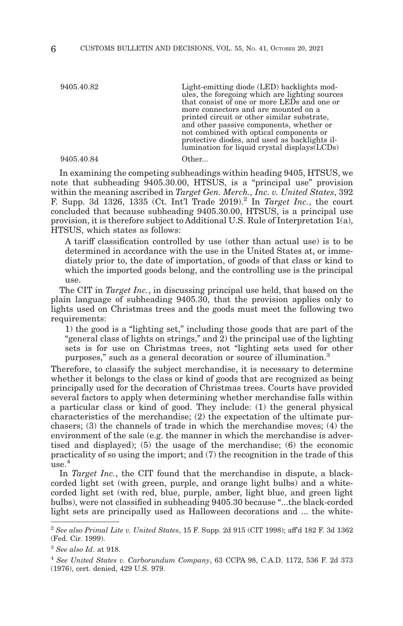9405.40.82 Light-emitting diode (LED) backlights modules, the foregoing which are lighting sources that consist of one or more LEDs and one or more connectors and are mounted on a printed circuit or other similar substrate, and other passive components, whether or not combined with optical components or protective diodes, and used as backlights illumination for liquid crystal displays(LCDs)

9405.40.84 Other...

In examining the competing subheadings within heading 9405, HTSUS, we note that subheading 9405.30.00, HTSUS, is a "principal use" provision within the meaning ascribed in *Target Gen. Merch., Inc. v. United States*, 392 F. Supp. 3d  $1326, 1335$  (Ct. Int<sup>'</sup>l Trade  $2019$ ).<sup>2</sup> In *Target Inc.*, the court concluded that because subheading 9405.30.00, HTSUS, is a principal use provision, it is therefore subject to Additional U.S. Rule of Interpretation 1(a), HTSUS, which states as follows:

A tariff classification controlled by use (other than actual use) is to be determined in accordance with the use in the United States at, or immediately prior to, the date of importation, of goods of that class or kind to which the imported goods belong, and the controlling use is the principal use.

The CIT in *Target Inc.*, in discussing principal use held, that based on the plain language of subheading 9405.30, that the provision applies only to lights used on Christmas trees and the goods must meet the following two requirements:

1) the good is a "lighting set," including those goods that are part of the "general class of lights on strings," and 2) the principal use of the lighting sets is for use on Christmas trees, not "lighting sets used for other purposes," such as a general decoration or source of illumination.3

Therefore, to classify the subject merchandise, it is necessary to determine whether it belongs to the class or kind of goods that are recognized as being principally used for the decoration of Christmas trees. Courts have provided several factors to apply when determining whether merchandise falls within a particular class or kind of good. They include: (1) the general physical characteristics of the merchandise; (2) the expectation of the ultimate purchasers; (3) the channels of trade in which the merchandise moves; (4) the environment of the sale (e.g. the manner in which the merchandise is advertised and displayed); (5) the usage of the merchandise; (6) the economic practicality of so using the import; and (7) the recognition in the trade of this  $use.<sup>4</sup>$ 

In *Target Inc.*, the CIT found that the merchandise in dispute, a blackcorded light set (with green, purple, and orange light bulbs) and a whitecorded light set (with red, blue, purple, amber, light blue, and green light bulbs), were not classified in subheading 9405.30 because "...the black-corded light sets are principally used as Halloween decorations and ... the white-

<sup>2</sup>*See also Primal Lite v. United States*, 15 F. Supp. 2d 915 (CIT 1998); aff'd 182 F. 3d 1362 (Fed. Cir. 1999).

<sup>3</sup>*See also Id*. at 918.

<sup>4</sup>*See United States v. Carborundum Company*, 63 CCPA 98, C.A.D. 1172, 536 F. 2d 373 (1976), cert. denied, 429 U.S. 979.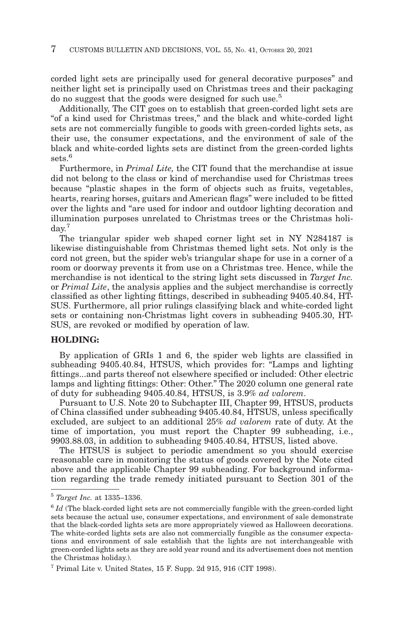corded light sets are principally used for general decorative purposes" and neither light set is principally used on Christmas trees and their packaging do no suggest that the goods were designed for such use.<sup>5</sup>

Additionally, The CIT goes on to establish that green-corded light sets are "of a kind used for Christmas trees," and the black and white-corded light sets are not commercially fungible to goods with green-corded lights sets, as their use, the consumer expectations, and the environment of sale of the black and white-corded lights sets are distinct from the green-corded lights sets<sup>6</sup>

Furthermore, in *Primal Lite,* the CIT found that the merchandise at issue did not belong to the class or kind of merchandise used for Christmas trees because "plastic shapes in the form of objects such as fruits, vegetables, hearts, rearing horses, guitars and American flags" were included to be fitted over the lights and "are used for indoor and outdoor lighting decoration and illumination purposes unrelated to Christmas trees or the Christmas holiday.<sup>7</sup>

The triangular spider web shaped corner light set in NY N284187 is likewise distinguishable from Christmas themed light sets. Not only is the cord not green, but the spider web's triangular shape for use in a corner of a room or doorway prevents it from use on a Christmas tree. Hence, while the merchandise is not identical to the string light sets discussed in *Target Inc.* or *Primal Lite*, the analysis applies and the subject merchandise is correctly classified as other lighting fittings, described in subheading 9405.40.84, HT-SUS. Furthermore, all prior rulings classifying black and white-corded light sets or containing non-Christmas light covers in subheading 9405.30, HT-SUS, are revoked or modified by operation of law.

# **HOLDING:**

By application of GRIs 1 and 6, the spider web lights are classified in subheading 9405.40.84, HTSUS, which provides for: "Lamps and lighting fittings...and parts thereof not elsewhere specified or included: Other electric lamps and lighting fittings: Other: Other." The 2020 column one general rate of duty for subheading 9405.40.84, HTSUS, is 3.9% *ad valorem*.

Pursuant to U.S. Note 20 to Subchapter III, Chapter 99, HTSUS, products of China classified under subheading 9405.40.84, HTSUS, unless specifically excluded, are subject to an additional 25% *ad valorem* rate of duty. At the time of importation, you must report the Chapter 99 subheading, i.e., 9903.88.03, in addition to subheading 9405.40.84, HTSUS, listed above.

The HTSUS is subject to periodic amendment so you should exercise reasonable care in monitoring the status of goods covered by the Note cited above and the applicable Chapter 99 subheading. For background information regarding the trade remedy initiated pursuant to Section 301 of the

<sup>5</sup>*Target Inc.* at 1335–1336.

<sup>6</sup>*Id* (The black-corded light sets are not commercially fungible with the green-corded light sets because the actual use, consumer expectations, and environment of sale demonstrate that the black-corded lights sets are more appropriately viewed as Halloween decorations. The white-corded lights sets are also not commercially fungible as the consumer expectations and environment of sale establish that the lights are not interchangeable with green-corded lights sets as they are sold year round and its advertisement does not mention the Christmas holiday.).

 $7$  Primal Lite v. United States, 15 F. Supp. 2d 915, 916 (CIT 1998).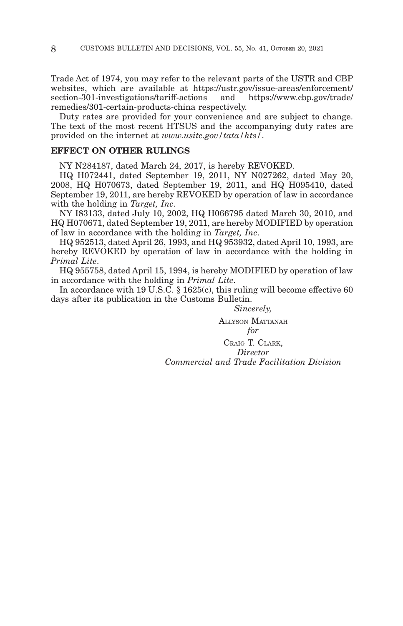Trade Act of 1974, you may refer to the relevant parts of the USTR and CBP websites, which are available at https://ustr.gov/issue-areas/enforcement/<br>section-301-investigations/tariff-actions and https://www.cbp.gov/trade/  $section-301$ -investigations/tariff-actions and remedies/301-certain-products-china respectively.

Duty rates are provided for your convenience and are subject to change. The text of the most recent HTSUS and the accompanying duty rates are provided on the internet at *www.usitc.gov/tata/hts/*.

#### **EFFECT ON OTHER RULINGS**

NY N284187, dated March 24, 2017, is hereby REVOKED.

HQ H072441, dated September 19, 2011, NY N027262, dated May 20, 2008, HQ H070673, dated September 19, 2011, and HQ H095410, dated September 19, 2011, are hereby REVOKED by operation of law in accordance with the holding in *Target, Inc*.

NY I83133, dated July 10, 2002, HQ H066795 dated March 30, 2010, and HQ H070671, dated September 19, 2011, are hereby MODIFIED by operation of law in accordance with the holding in *Target, Inc*.

HQ 952513, dated April 26, 1993, and HQ 953932, dated April 10, 1993, are hereby REVOKED by operation of law in accordance with the holding in *Primal Lite*.

HQ 955758, dated April 15, 1994, is hereby MODIFIED by operation of law in accordance with the holding in *Primal Lite*.

In accordance with 19 U.S.C. § 1625(c), this ruling will become effective 60 days after its publication in the Customs Bulletin.

> *Sincerely,* ALLYSON MATTANAH *for*

CRAIG T. CLARK, *Director Commercial and Trade Facilitation Division*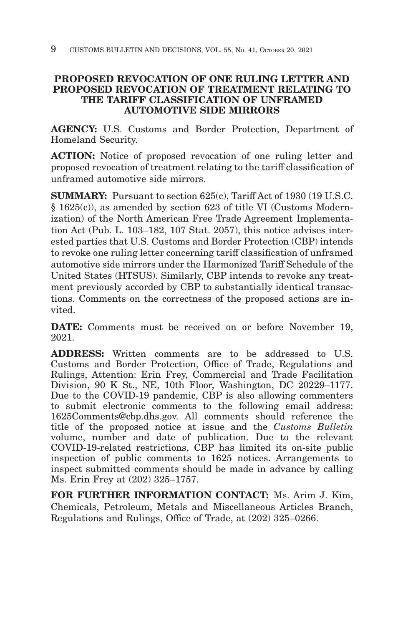# **PROPOSED REVOCATION OF ONE RULING LETTER AND PROPOSED REVOCATION OF TREATMENT RELATING TO THE TARIFF CLASSIFICATION OF UNFRAMED AUTOMOTIVE SIDE MIRRORS**

**AGENCY:** U.S. Customs and Border Protection, Department of Homeland Security.

**ACTION:** Notice of proposed revocation of one ruling letter and proposed revocation of treatment relating to the tariff classification of unframed automotive side mirrors.

**SUMMARY:** Pursuant to section 625(c), Tariff Act of 1930 (19 U.S.C. § 1625(c)), as amended by section 623 of title VI (Customs Modernization) of the North American Free Trade Agreement Implementation Act (Pub. L. 103–182, 107 Stat. 2057), this notice advises interested parties that U.S. Customs and Border Protection (CBP) intends to revoke one ruling letter concerning tariff classification of unframed automotive side mirrors under the Harmonized Tariff Schedule of the United States (HTSUS). Similarly, CBP intends to revoke any treatment previously accorded by CBP to substantially identical transactions. Comments on the correctness of the proposed actions are invited.

**DATE:** Comments must be received on or before November 19, 2021.

**ADDRESS:** Written comments are to be addressed to U.S. Customs and Border Protection, Office of Trade, Regulations and Rulings, Attention: Erin Frey, Commercial and Trade Facilitation Division, 90 K St., NE, 10th Floor, Washington, DC 20229–1177. Due to the COVID-19 pandemic, CBP is also allowing commenters to submit electronic comments to the following email address: 1625Comments@cbp.dhs.gov. All comments should reference the title of the proposed notice at issue and the *Customs Bulletin* volume, number and date of publication. Due to the relevant COVID-19-related restrictions, CBP has limited its on-site public inspection of public comments to 1625 notices. Arrangements to inspect submitted comments should be made in advance by calling Ms. Erin Frey at (202) 325–1757.

**FOR FURTHER INFORMATION CONTACT:** Ms. Arim J. Kim, Chemicals, Petroleum, Metals and Miscellaneous Articles Branch, Regulations and Rulings, Office of Trade, at (202) 325–0266.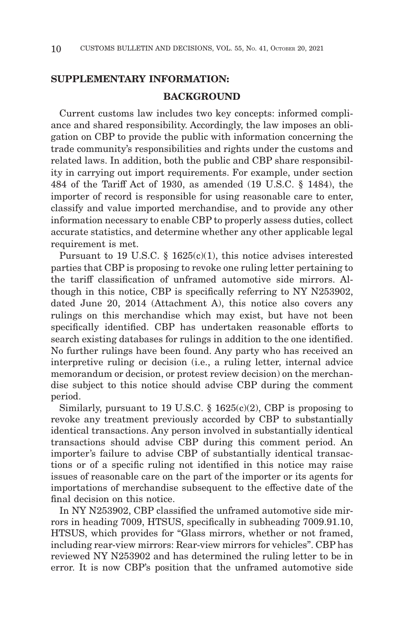#### **SUPPLEMENTARY INFORMATION:**

#### **BACKGROUND**

Current customs law includes two key concepts: informed compliance and shared responsibility. Accordingly, the law imposes an obligation on CBP to provide the public with information concerning the trade community's responsibilities and rights under the customs and related laws. In addition, both the public and CBP share responsibility in carrying out import requirements. For example, under section 484 of the Tariff Act of 1930, as amended (19 U.S.C. § 1484), the importer of record is responsible for using reasonable care to enter, classify and value imported merchandise, and to provide any other information necessary to enable CBP to properly assess duties, collect accurate statistics, and determine whether any other applicable legal requirement is met.

Pursuant to 19 U.S.C. § 1625(c)(1), this notice advises interested parties that CBP is proposing to revoke one ruling letter pertaining to the tariff classification of unframed automotive side mirrors. Although in this notice, CBP is specifically referring to NY N253902, dated June 20, 2014 (Attachment A), this notice also covers any rulings on this merchandise which may exist, but have not been specifically identified. CBP has undertaken reasonable efforts to search existing databases for rulings in addition to the one identified. No further rulings have been found. Any party who has received an interpretive ruling or decision (i.e., a ruling letter, internal advice memorandum or decision, or protest review decision) on the merchandise subject to this notice should advise CBP during the comment period.

Similarly, pursuant to 19 U.S.C.  $\S$  1625(c)(2), CBP is proposing to revoke any treatment previously accorded by CBP to substantially identical transactions. Any person involved in substantially identical transactions should advise CBP during this comment period. An importer's failure to advise CBP of substantially identical transactions or of a specific ruling not identified in this notice may raise issues of reasonable care on the part of the importer or its agents for importations of merchandise subsequent to the effective date of the final decision on this notice.

In NY N253902, CBP classified the unframed automotive side mirrors in heading 7009, HTSUS, specifically in subheading 7009.91.10, HTSUS, which provides for "Glass mirrors, whether or not framed, including rear-view mirrors: Rear-view mirrors for vehicles". CBP has reviewed NY N253902 and has determined the ruling letter to be in error. It is now CBP's position that the unframed automotive side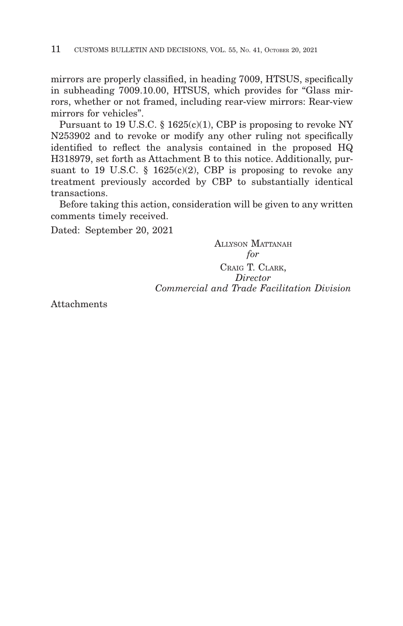mirrors are properly classified, in heading 7009, HTSUS, specifically in subheading 7009.10.00, HTSUS, which provides for "Glass mirrors, whether or not framed, including rear-view mirrors: Rear-view mirrors for vehicles".

Pursuant to 19 U.S.C. § 1625(c)(1), CBP is proposing to revoke NY N253902 and to revoke or modify any other ruling not specifically identified to reflect the analysis contained in the proposed HQ H318979, set forth as Attachment B to this notice. Additionally, pursuant to 19 U.S.C. § 1625 $(c)(2)$ , CBP is proposing to revoke any treatment previously accorded by CBP to substantially identical transactions.

Before taking this action, consideration will be given to any written comments timely received.

Dated: September 20, 2021

ALLYSON MATTANAH *for* CRAIG T. CLARK, *Director Commercial and Trade Facilitation Division*

Attachments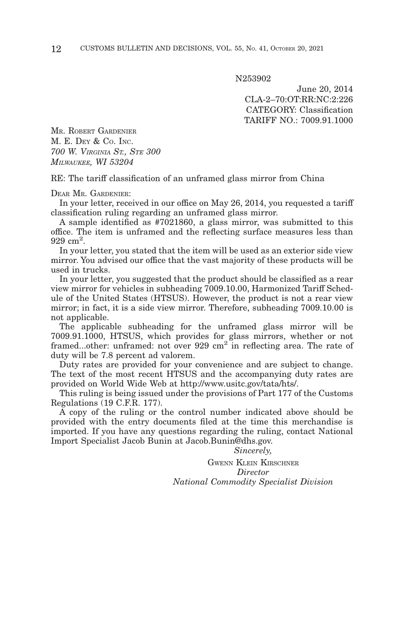N253902

June 20, 2014 CLA-2–70:OT:RR:NC:2:226 CATEGORY: Classification TARIFF NO.: 7009.91.1000

MR. ROBERT GARDENIER M. E. DEY & CO. INC. *700 W. VIRGINIA ST., STE 300 MILWAUKEE, WI 53204*

RE: The tariff classification of an unframed glass mirror from China

DEAR MR. GARDENIER:

In your letter, received in our office on May 26, 2014, you requested a tariff classification ruling regarding an unframed glass mirror.

A sample identified as #7021860, a glass mirror, was submitted to this office. The item is unframed and the reflecting surface measures less than 929 cm<sup>2</sup>.

In your letter, you stated that the item will be used as an exterior side view mirror. You advised our office that the vast majority of these products will be used in trucks.

In your letter, you suggested that the product should be classified as a rear view mirror for vehicles in subheading 7009.10.00, Harmonized Tariff Schedule of the United States (HTSUS). However, the product is not a rear view mirror; in fact, it is a side view mirror. Therefore, subheading 7009.10.00 is not applicable.

The applicable subheading for the unframed glass mirror will be 7009.91.1000, HTSUS, which provides for glass mirrors, whether or not framed...other: unframed: not over 929 cm<sup>2</sup> in reflecting area. The rate of duty will be 7.8 percent ad valorem.

Duty rates are provided for your convenience and are subject to change. The text of the most recent HTSUS and the accompanying duty rates are provided on World Wide Web at http://www.usitc.gov/tata/hts/.

This ruling is being issued under the provisions of Part 177 of the Customs Regulations (19 C.F.R. 177).

A copy of the ruling or the control number indicated above should be provided with the entry documents filed at the time this merchandise is imported. If you have any questions regarding the ruling, contact National Import Specialist Jacob Bunin at Jacob.Bunin@dhs.gov.

*Sincerely,*

GWENN KLEIN KIRSCHNER *Director National Commodity Specialist Division*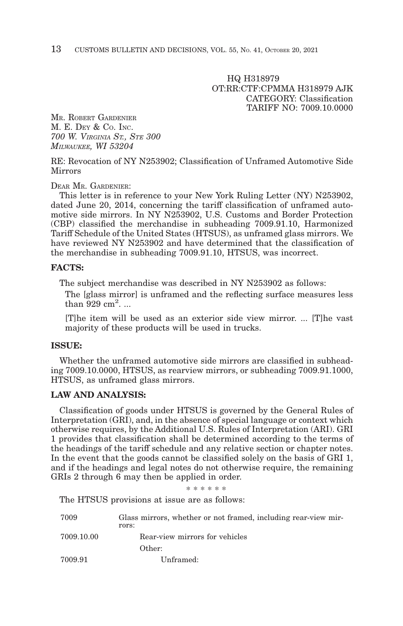HQ H318979 OT:RR:CTF:CPMMA H318979 AJK CATEGORY: Classification TARIFF NO: 7009.10.0000

MR. ROBERT GARDENIER M. E. DEY & Co. INC. *700 W. VIRGINIA ST., STE 300 MILWAUKEE, WI 53204*

RE: Revocation of NY N253902; Classification of Unframed Automotive Side Mirrors

DEAR MR. GARDENIER:

This letter is in reference to your New York Ruling Letter (NY) N253902, dated June 20, 2014, concerning the tariff classification of unframed automotive side mirrors. In NY N253902, U.S. Customs and Border Protection (CBP) classified the merchandise in subheading 7009.91.10, Harmonized Tariff Schedule of the United States (HTSUS), as unframed glass mirrors. We have reviewed NY N253902 and have determined that the classification of the merchandise in subheading 7009.91.10, HTSUS, was incorrect.

#### **FACTS:**

The subject merchandise was described in NY N253902 as follows:

The [glass mirror] is unframed and the reflecting surface measures less than  $929 \text{ cm}^2$ ...

[T]he item will be used as an exterior side view mirror. ... [T]he vast majority of these products will be used in trucks.

#### **ISSUE:**

Whether the unframed automotive side mirrors are classified in subheading 7009.10.0000, HTSUS, as rearview mirrors, or subheading 7009.91.1000, HTSUS, as unframed glass mirrors.

#### **LAW AND ANALYSIS:**

Classification of goods under HTSUS is governed by the General Rules of Interpretation (GRI), and, in the absence of special language or context which otherwise requires, by the Additional U.S. Rules of Interpretation (ARI). GRI 1 provides that classification shall be determined according to the terms of the headings of the tariff schedule and any relative section or chapter notes. In the event that the goods cannot be classified solely on the basis of GRI 1, and if the headings and legal notes do not otherwise require, the remaining GRIs 2 through 6 may then be applied in order.

\* \* \* \* \* \*

The HTSUS provisions at issue are as follows:

| 7009       | Glass mirrors, whether or not framed, including rear-view mir-<br>rors: |  |  |
|------------|-------------------------------------------------------------------------|--|--|
| 7009.10.00 | Rear-view mirrors for vehicles                                          |  |  |
|            | Other:                                                                  |  |  |
| 7009.91    | Unframed:                                                               |  |  |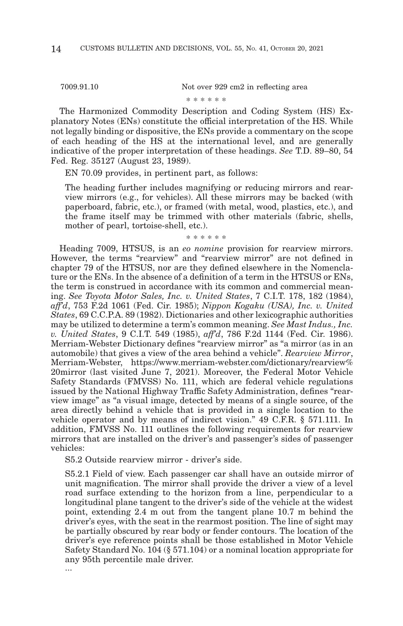7009.91.10 Not over 929 cm2 in reflecting area

\* \* \* \* \* \*

The Harmonized Commodity Description and Coding System (HS) Explanatory Notes (ENs) constitute the official interpretation of the HS. While not legally binding or dispositive, the ENs provide a commentary on the scope of each heading of the HS at the international level, and are generally indicative of the proper interpretation of these headings. *See* T.D. 89–80, 54 Fed. Reg. 35127 (August 23, 1989).

EN 70.09 provides, in pertinent part, as follows:

The heading further includes magnifying or reducing mirrors and rearview mirrors (e.g., for vehicles). All these mirrors may be backed (with paperboard, fabric, etc.), or framed (with metal, wood, plastics, etc.), and the frame itself may be trimmed with other materials (fabric, shells, mother of pearl, tortoise-shell, etc.).

\* \* \* \* \* \*

Heading 7009, HTSUS, is an *eo nomine* provision for rearview mirrors. However, the terms "rearview" and "rearview mirror" are not defined in chapter 79 of the HTSUS, nor are they defined elsewhere in the Nomenclature or the ENs. In the absence of a definition of a term in the HTSUS or ENs, the term is construed in accordance with its common and commercial meaning. *See Toyota Motor Sales, Inc. v. United States*, 7 C.I.T. 178, 182 (1984), *aff'd*, 753 F.2d 1061 (Fed. Cir. 1985); *Nippon Kogaku (USA), Inc. v. United States*, 69 C.C.P.A. 89 (1982). Dictionaries and other lexicographic authorities may be utilized to determine a term's common meaning. *See Mast Indus., Inc. v. United States*, 9 C.I.T. 549 (1985), *aff'd*, 786 F.2d 1144 (Fed. Cir. 1986). Merriam-Webster Dictionary defines "rearview mirror" as "a mirror (as in an automobile) that gives a view of the area behind a vehicle". *Rearview Mirror*, Merriam-Webster, https://www.merriam-webster.com/dictionary/rearview% 20mirror (last visited June 7, 2021). Moreover, the Federal Motor Vehicle Safety Standards (FMVSS) No. 111, which are federal vehicle regulations issued by the National Highway Traffic Safety Administration, defines "rearview image" as "a visual image, detected by means of a single source, of the area directly behind a vehicle that is provided in a single location to the vehicle operator and by means of indirect vision." 49 C.F.R. § 571.111. In addition, FMVSS No. 111 outlines the following requirements for rearview mirrors that are installed on the driver's and passenger's sides of passenger vehicles:

S5.2 Outside rearview mirror - driver's side.

S5.2.1 Field of view. Each passenger car shall have an outside mirror of unit magnification. The mirror shall provide the driver a view of a level road surface extending to the horizon from a line, perpendicular to a longitudinal plane tangent to the driver's side of the vehicle at the widest point, extending 2.4 m out from the tangent plane 10.7 m behind the driver's eyes, with the seat in the rearmost position. The line of sight may be partially obscured by rear body or fender contours. The location of the driver's eye reference points shall be those established in Motor Vehicle Safety Standard No. 104 (§ 571.104) or a nominal location appropriate for any 95th percentile male driver.

...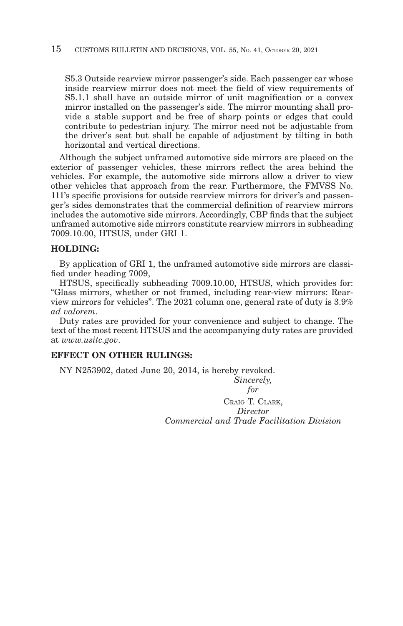S5.3 Outside rearview mirror passenger's side. Each passenger car whose inside rearview mirror does not meet the field of view requirements of S5.1.1 shall have an outside mirror of unit magnification or a convex mirror installed on the passenger's side. The mirror mounting shall provide a stable support and be free of sharp points or edges that could contribute to pedestrian injury. The mirror need not be adjustable from the driver's seat but shall be capable of adjustment by tilting in both horizontal and vertical directions.

Although the subject unframed automotive side mirrors are placed on the exterior of passenger vehicles, these mirrors reflect the area behind the vehicles. For example, the automotive side mirrors allow a driver to view other vehicles that approach from the rear. Furthermore, the FMVSS No. 111's specific provisions for outside rearview mirrors for driver's and passenger's sides demonstrates that the commercial definition of rearview mirrors includes the automotive side mirrors. Accordingly, CBP finds that the subject unframed automotive side mirrors constitute rearview mirrors in subheading 7009.10.00, HTSUS, under GRI 1.

#### **HOLDING:**

By application of GRI 1, the unframed automotive side mirrors are classified under heading 7009,

HTSUS, specifically subheading 7009.10.00, HTSUS, which provides for: "Glass mirrors, whether or not framed, including rear-view mirrors: Rearview mirrors for vehicles". The 2021 column one, general rate of duty is 3.9% *ad valorem*.

Duty rates are provided for your convenience and subject to change. The text of the most recent HTSUS and the accompanying duty rates are provided at *www.usitc.gov*.

#### **EFFECT ON OTHER RULINGS:**

NY N253902, dated June 20, 2014, is hereby revoked.

*Sincerely, for* CRAIG T. CLARK, *Director Commercial and Trade Facilitation Division*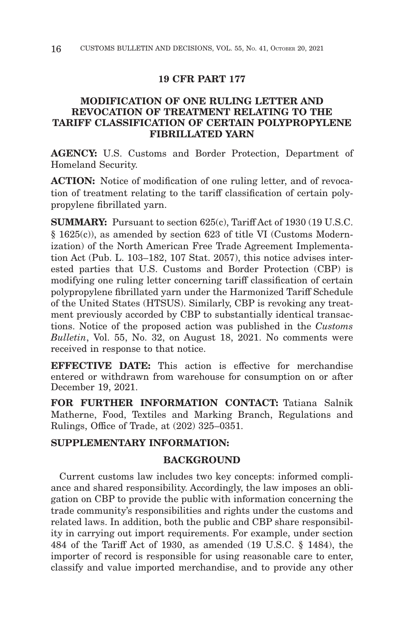#### **19 CFR PART 177**

# **MODIFICATION OF ONE RULING LETTER AND REVOCATION OF TREATMENT RELATING TO THE TARIFF CLASSIFICATION OF CERTAIN POLYPROPYLENE FIBRILLATED YARN**

**AGENCY:** U.S. Customs and Border Protection, Department of Homeland Security.

**ACTION:** Notice of modification of one ruling letter, and of revocation of treatment relating to the tariff classification of certain polypropylene fibrillated yarn.

**SUMMARY:** Pursuant to section 625(c), Tariff Act of 1930 (19 U.S.C. § 1625(c)), as amended by section 623 of title VI (Customs Modernization) of the North American Free Trade Agreement Implementation Act (Pub. L. 103–182, 107 Stat. 2057), this notice advises interested parties that U.S. Customs and Border Protection (CBP) is modifying one ruling letter concerning tariff classification of certain polypropylene fibrillated yarn under the Harmonized Tariff Schedule of the United States (HTSUS). Similarly, CBP is revoking any treatment previously accorded by CBP to substantially identical transactions. Notice of the proposed action was published in the *Customs Bulletin*, Vol. 55, No. 32, on August 18, 2021. No comments were received in response to that notice.

**EFFECTIVE DATE:** This action is effective for merchandise entered or withdrawn from warehouse for consumption on or after December 19, 2021.

**FOR FURTHER INFORMATION CONTACT:** Tatiana Salnik Matherne, Food, Textiles and Marking Branch, Regulations and Rulings, Office of Trade, at (202) 325–0351.

# **SUPPLEMENTARY INFORMATION:**

#### **BACKGROUND**

Current customs law includes two key concepts: informed compliance and shared responsibility. Accordingly, the law imposes an obligation on CBP to provide the public with information concerning the trade community's responsibilities and rights under the customs and related laws. In addition, both the public and CBP share responsibility in carrying out import requirements. For example, under section 484 of the Tariff Act of 1930, as amended (19 U.S.C. § 1484), the importer of record is responsible for using reasonable care to enter, classify and value imported merchandise, and to provide any other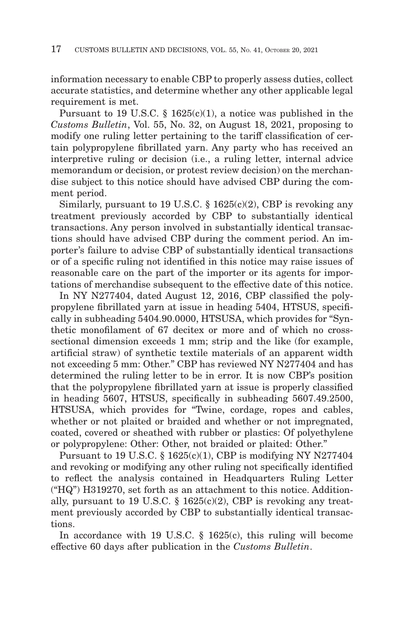information necessary to enable CBP to properly assess duties, collect accurate statistics, and determine whether any other applicable legal requirement is met.

Pursuant to 19 U.S.C. § 1625(c)(1), a notice was published in the *Customs Bulletin*, Vol. 55, No. 32, on August 18, 2021, proposing to modify one ruling letter pertaining to the tariff classification of certain polypropylene fibrillated yarn. Any party who has received an interpretive ruling or decision (i.e., a ruling letter, internal advice memorandum or decision, or protest review decision) on the merchandise subject to this notice should have advised CBP during the comment period.

Similarly, pursuant to 19 U.S.C. § 1625(c)(2), CBP is revoking any treatment previously accorded by CBP to substantially identical transactions. Any person involved in substantially identical transactions should have advised CBP during the comment period. An importer's failure to advise CBP of substantially identical transactions or of a specific ruling not identified in this notice may raise issues of reasonable care on the part of the importer or its agents for importations of merchandise subsequent to the effective date of this notice.

In NY N277404, dated August 12, 2016, CBP classified the polypropylene fibrillated yarn at issue in heading 5404, HTSUS, specifically in subheading 5404.90.0000, HTSUSA, which provides for "Synthetic monofilament of 67 decitex or more and of which no crosssectional dimension exceeds 1 mm; strip and the like (for example, artificial straw) of synthetic textile materials of an apparent width not exceeding 5 mm: Other." CBP has reviewed NY N277404 and has determined the ruling letter to be in error. It is now CBP's position that the polypropylene fibrillated yarn at issue is properly classified in heading 5607, HTSUS, specifically in subheading 5607.49.2500, HTSUSA, which provides for "Twine, cordage, ropes and cables, whether or not plaited or braided and whether or not impregnated, coated, covered or sheathed with rubber or plastics: Of polyethylene or polypropylene: Other: Other, not braided or plaited: Other."

Pursuant to 19 U.S.C. § 1625(c)(1), CBP is modifying NY N277404 and revoking or modifying any other ruling not specifically identified to reflect the analysis contained in Headquarters Ruling Letter ("HQ") H319270, set forth as an attachment to this notice. Additionally, pursuant to 19 U.S.C.  $\S$  1625(c)(2), CBP is revoking any treatment previously accorded by CBP to substantially identical transactions.

In accordance with 19 U.S.C. § 1625(c), this ruling will become effective 60 days after publication in the *Customs Bulletin*.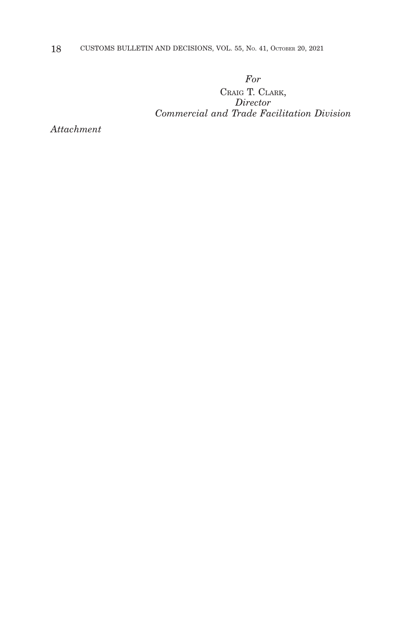18 CUSTOMS BULLETIN AND DECISIONS, VOL. 55, No. 41, OCTOBER 20, 2021

# *For*

CRAIG T. CLARK, *Director Commercial and Trade Facilitation Division*

*Attachment*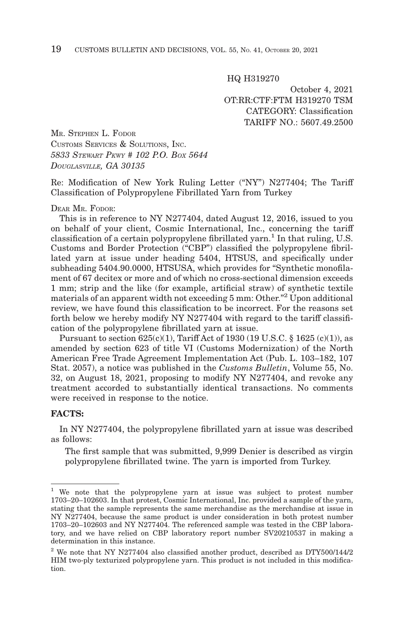HQ H319270

October 4, 2021 OT:RR:CTF:FTM H319270 TSM CATEGORY: Classification TARIFF NO.: 5607.49.2500

MR. STEPHEN L. FODOR CUSTOMS SERVICES & SOLUTIONS, INC. *5833 STEWART PKWY # 102 P.O. BOX 5644 DOUGLASVILLE, GA 30135*

Re: Modification of New York Ruling Letter ("NY") N277404; The Tariff Classification of Polypropylene Fibrillated Yarn from Turkey

#### DEAR MR. FODOR:

This is in reference to NY N277404, dated August 12, 2016, issued to you on behalf of your client, Cosmic International, Inc., concerning the tariff classification of a certain polypropylene fibrillated yarn.<sup>1</sup> In that ruling, U.S. Customs and Border Protection ("CBP") classified the polypropylene fibrillated yarn at issue under heading 5404, HTSUS, and specifically under subheading 5404.90.0000, HTSUSA, which provides for "Synthetic monofilament of 67 decitex or more and of which no cross-sectional dimension exceeds 1 mm; strip and the like (for example, artificial straw) of synthetic textile materials of an apparent width not exceeding 5 mm: Other."2 Upon additional review, we have found this classification to be incorrect. For the reasons set forth below we hereby modify NY N277404 with regard to the tariff classification of the polypropylene fibrillated yarn at issue.

Pursuant to section  $625(c)(1)$ , Tariff Act of 1930 (19 U.S.C. § 1625 (c)(1)), as amended by section 623 of title VI (Customs Modernization) of the North American Free Trade Agreement Implementation Act (Pub. L. 103–182, 107 Stat. 2057), a notice was published in the *Customs Bulletin*, Volume 55, No. 32, on August 18, 2021, proposing to modify NY N277404, and revoke any treatment accorded to substantially identical transactions. No comments were received in response to the notice.

#### **FACTS:**

In NY N277404, the polypropylene fibrillated yarn at issue was described as follows:

The first sample that was submitted, 9,999 Denier is described as virgin polypropylene fibrillated twine. The yarn is imported from Turkey.

<sup>1</sup> We note that the polypropylene yarn at issue was subject to protest number 1703–20–102603. In that protest, Cosmic International, Inc. provided a sample of the yarn, stating that the sample represents the same merchandise as the merchandise at issue in NY N277404, because the same product is under consideration in both protest number 1703–20–102603 and NY N277404. The referenced sample was tested in the CBP laboratory, and we have relied on CBP laboratory report number SV20210537 in making a determination in this instance.

<sup>2</sup> We note that NY N277404 also classified another product, described as DTY500/144/2 HIM two-ply texturized polypropylene yarn. This product is not included in this modification.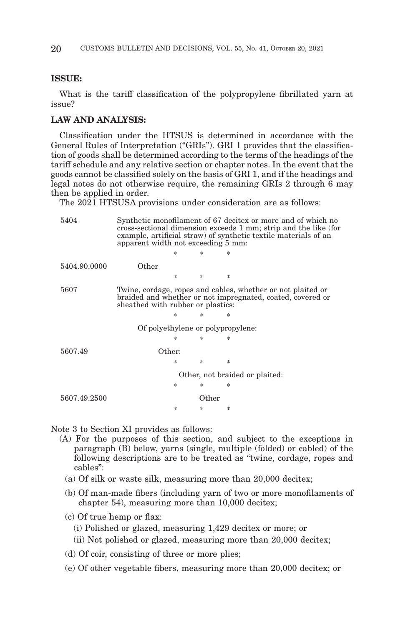#### **ISSUE:**

What is the tariff classification of the polypropylene fibrillated yarn at issue?

#### **LAW AND ANALYSIS:**

Classification under the HTSUS is determined in accordance with the General Rules of Interpretation ("GRIs"). GRI 1 provides that the classification of goods shall be determined according to the terms of the headings of the tariff schedule and any relative section or chapter notes. In the event that the goods cannot be classified solely on the basis of GRI 1, and if the headings and legal notes do not otherwise require, the remaining GRIs 2 through  $\overline{6}$  may then be applied in order.

The 2021 HTSUSA provisions under consideration are as follows:

| 5404                              | Synthetic monofilament of 67 decitex or more and of which no<br>cross-sectional dimension exceeds 1 mm; strip and the like (for<br>example, artificial straw) of synthetic textile materials of an<br>apparent width not exceeding 5 mm: |   |       |               |  |  |  |
|-----------------------------------|------------------------------------------------------------------------------------------------------------------------------------------------------------------------------------------------------------------------------------------|---|-------|---------------|--|--|--|
|                                   |                                                                                                                                                                                                                                          |   | 冰     | 冰             |  |  |  |
| 5404.90.0000                      | Other                                                                                                                                                                                                                                    |   |       |               |  |  |  |
|                                   |                                                                                                                                                                                                                                          | 冰 | 永     | $\frac{1}{2}$ |  |  |  |
| 5607                              | Twine, cordage, ropes and cables, whether or not plaited or<br>braided and whether or not impregnated, coated, covered or<br>sheathed with rubber or plastics:                                                                           |   |       |               |  |  |  |
|                                   |                                                                                                                                                                                                                                          | * | 氺     | 冰             |  |  |  |
| Of polyethylene or polypropylene: |                                                                                                                                                                                                                                          |   |       |               |  |  |  |
|                                   |                                                                                                                                                                                                                                          | ж | 氺     | 冰             |  |  |  |
| 5607.49                           | Other:                                                                                                                                                                                                                                   |   |       |               |  |  |  |
|                                   |                                                                                                                                                                                                                                          | 冰 | 永     | $\frac{1}{2}$ |  |  |  |
|                                   | Other, not braided or plaited:                                                                                                                                                                                                           |   |       |               |  |  |  |
|                                   |                                                                                                                                                                                                                                          | 冰 | 氺     | 冰             |  |  |  |
| 5607.49.2500                      |                                                                                                                                                                                                                                          |   | Other |               |  |  |  |
|                                   |                                                                                                                                                                                                                                          | 冰 | 氺     | $\ast$        |  |  |  |

Note 3 to Section XI provides as follows:

- (A) For the purposes of this section, and subject to the exceptions in paragraph (B) below, yarns (single, multiple (folded) or cabled) of the following descriptions are to be treated as "twine, cordage, ropes and cables":
	- (a) Of silk or waste silk, measuring more than 20,000 decitex;
	- (b) Of man-made fibers (including yarn of two or more monofilaments of chapter 54), measuring more than 10,000 decitex;
	- (c) Of true hemp or flax:
		- (i) Polished or glazed, measuring 1,429 decitex or more; or
		- (ii) Not polished or glazed, measuring more than 20,000 decitex;
	- (d) Of coir, consisting of three or more plies;
	- (e) Of other vegetable fibers, measuring more than 20,000 decitex; or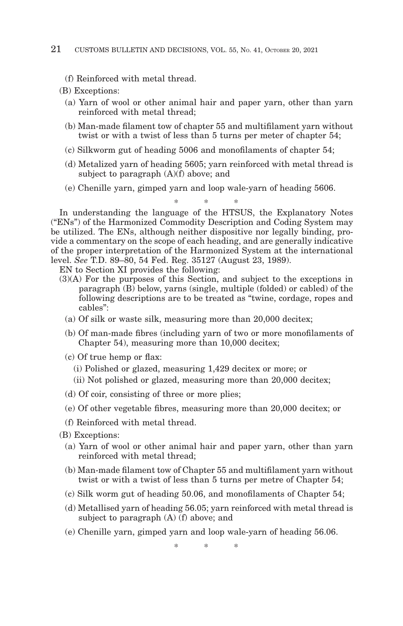(f) Reinforced with metal thread.

(B) Exceptions:

- (a) Yarn of wool or other animal hair and paper yarn, other than yarn reinforced with metal thread;
- (b) Man-made filament tow of chapter 55 and multifilament yarn without twist or with a twist of less than 5 turns per meter of chapter 54;
- (c) Silkworm gut of heading 5006 and monofilaments of chapter 54;
- (d) Metalized yarn of heading 5605; yarn reinforced with metal thread is subject to paragraph  $(A)(f)$  above; and
- (e) Chenille yarn, gimped yarn and loop wale-yarn of heading 5606.

\*\* \* In understanding the language of the HTSUS, the Explanatory Notes ("ENs") of the Harmonized Commodity Description and Coding System may be utilized. The ENs, although neither dispositive nor legally binding, provide a commentary on the scope of each heading, and are generally indicative of the proper interpretation of the Harmonized System at the international level. *See* T.D. 89–80, 54 Fed. Reg. 35127 (August 23, 1989).

- EN to Section XI provides the following:
- (3)(A) For the purposes of this Section, and subject to the exceptions in paragraph (B) below, yarns (single, multiple (folded) or cabled) of the following descriptions are to be treated as "twine, cordage, ropes and cables":
	- (a) Of silk or waste silk, measuring more than 20,000 decitex;
	- (b) Of man-made fibres (including yarn of two or more monofilaments of Chapter 54), measuring more than 10,000 decitex;
	- (c) Of true hemp or flax:
		- (i) Polished or glazed, measuring 1,429 decitex or more; or
		- (ii) Not polished or glazed, measuring more than 20,000 decitex;
	- (d) Of coir, consisting of three or more plies;
	- (e) Of other vegetable fibres, measuring more than 20,000 decitex; or
	- (f) Reinforced with metal thread.
- (B) Exceptions:
	- (a) Yarn of wool or other animal hair and paper yarn, other than yarn reinforced with metal thread;
	- (b) Man-made filament tow of Chapter 55 and multifilament yarn without twist or with a twist of less than 5 turns per metre of Chapter 54;
	- (c) Silk worm gut of heading 50.06, and monofilaments of Chapter 54;
	- (d) Metallised yarn of heading 56.05; yarn reinforced with metal thread is subject to paragraph (A) (f) above; and
	- (e) Chenille yarn, gimped yarn and loop wale-yarn of heading 56.06.

\*\* \*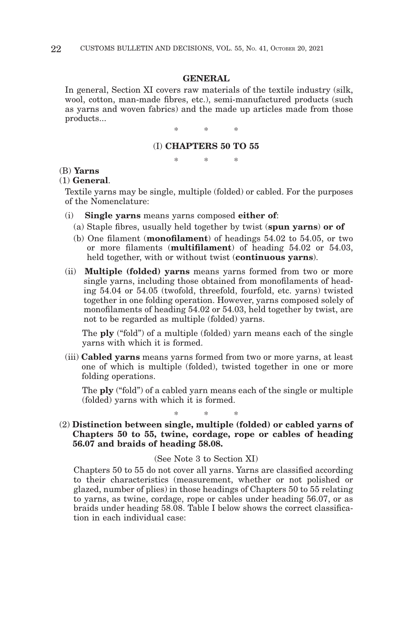#### **GENERAL**

In general, Section XI covers raw materials of the textile industry (silk, wool, cotton, man-made fibres, etc.), semi-manufactured products (such as yarns and woven fabrics) and the made up articles made from those products...

\*\* \*

#### (I) **CHAPTERS 50 TO 55**

\*\* \*

#### (B) **Yarns**

#### (1) **General**.

Textile yarns may be single, multiple (folded) or cabled. For the purposes of the Nomenclature:

- (i) **Single yarns** means yarns composed **either of**:
	- (a) Staple fibres, usually held together by twist (**spun yarns**) **or of**
	- (b) One filament (**monofilament**) of headings 54.02 to 54.05, or two or more filaments (**multifilament**) of heading 54.02 or 54.03, held together, with or without twist (**continuous yarns**).
- (ii) **Multiple (folded) yarns** means yarns formed from two or more single yarns, including those obtained from monofilaments of heading 54.04 or 54.05 (twofold, threefold, fourfold, etc. yarns) twisted together in one folding operation. However, yarns composed solely of monofilaments of heading 54.02 or 54.03, held together by twist, are not to be regarded as multiple (folded) yarns.

 The **ply** ("fold") of a multiple (folded) yarn means each of the single yarns with which it is formed.

(iii) **Cabled yarns** means yarns formed from two or more yarns, at least one of which is multiple (folded), twisted together in one or more folding operations.

 The **ply** ("fold") of a cabled yarn means each of the single or multiple (folded) yarns with which it is formed.

\*\* \* (2) **Distinction between single, multiple (folded) or cabled yarns of Chapters 50 to 55, twine, cordage, rope or cables of heading 56.07 and braids of heading 58.08.**

#### (See Note 3 to Section XI)

Chapters 50 to 55 do not cover all yarns. Yarns are classified according to their characteristics (measurement, whether or not polished or glazed, number of plies) in those headings of Chapters 50 to 55 relating to yarns, as twine, cordage, rope or cables under heading 56.07, or as braids under heading 58.08. Table I below shows the correct classification in each individual case: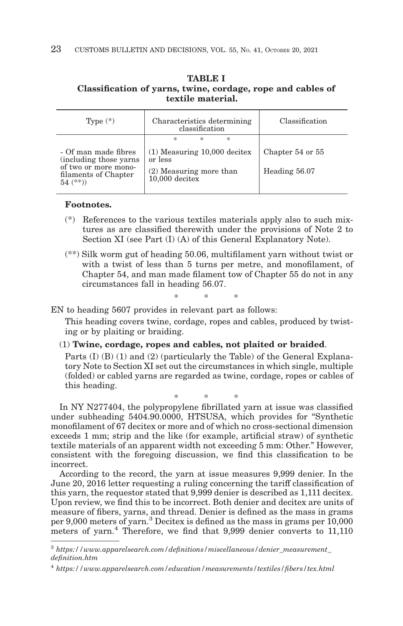#### **TABLE I**

#### **Classification of yarns, twine, cordage, rope and cables of textile material.**

| Type $(*)$                                                                                                     | Characteristics determining<br>classification                                                                       |                                   |
|----------------------------------------------------------------------------------------------------------------|---------------------------------------------------------------------------------------------------------------------|-----------------------------------|
| - Of man made fibres<br>(including those yarns)<br>of two or more mono-<br>filaments of Chapter<br>$54$ $(**)$ | $\frac{1}{2}$<br>ж<br>*<br>$(1)$ Measuring 10,000 decitex<br>or less<br>(2) Measuring more than<br>$10,000$ decitex | Chapter 54 or 55<br>Heading 56.07 |

#### **Footnotes.**

- (\*) References to the various textiles materials apply also to such mixtures as are classified therewith under the provisions of Note 2 to Section XI (see Part (I) (A) of this General Explanatory Note).
- (\*\*) Silk worm gut of heading 50.06, multifilament yarn without twist or with a twist of less than 5 turns per metre, and monofilament, of Chapter 54, and man made filament tow of Chapter 55 do not in any circumstances fall in heading 56.07.

\*\* \*

EN to heading 5607 provides in relevant part as follows:

This heading covers twine, cordage, ropes and cables, produced by twisting or by plaiting or braiding.

#### (1) **Twine, cordage, ropes and cables, not plaited or braided**.

Parts (I) (B) (1) and (2) (particularly the Table) of the General Explanatory Note to Section XI set out the circumstances in which single, multiple (folded) or cabled yarns are regarded as twine, cordage, ropes or cables of this heading.

\*\* \*

In NY N277404, the polypropylene fibrillated yarn at issue was classified under subheading 5404.90.0000, HTSUSA, which provides for "Synthetic monofilament of 67 decitex or more and of which no cross-sectional dimension exceeds 1 mm; strip and the like (for example, artificial straw) of synthetic textile materials of an apparent width not exceeding 5 mm: Other." However, consistent with the foregoing discussion, we find this classification to be incorrect.

According to the record, the yarn at issue measures 9,999 denier. In the June 20, 2016 letter requesting a ruling concerning the tariff classification of this yarn, the requestor stated that 9,999 denier is described as 1,111 decitex. Upon review, we find this to be incorrect. Both denier and decitex are units of measure of fibers, yarns, and thread. Denier is defined as the mass in grams per 9,000 meters of yarn.3 Decitex is defined as the mass in grams per 10,000 meters of yarn.4 Therefore, we find that 9,999 denier converts to 11,110

<sup>3</sup>*https://www.apparelsearch.com/definitions/miscellaneous/denier\_measurement\_ definition.htm*

<sup>4</sup>*https://www.apparelsearch.com/education/measurements/textiles/fibers/tex.html*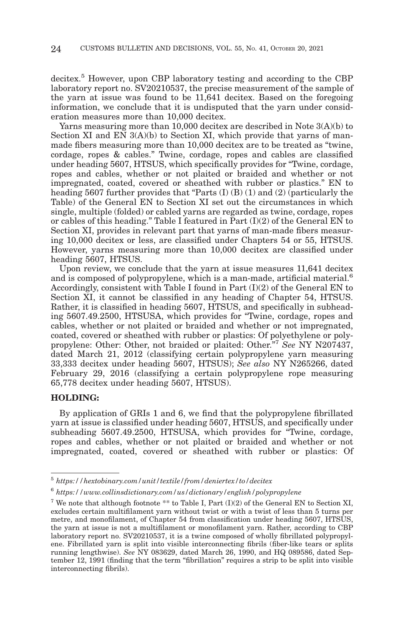decitex.5 However, upon CBP laboratory testing and according to the CBP laboratory report no. SV20210537, the precise measurement of the sample of the yarn at issue was found to be 11,641 decitex. Based on the foregoing information, we conclude that it is undisputed that the yarn under consideration measures more than 10,000 decitex.

Yarns measuring more than 10,000 decitex are described in Note 3(A)(b) to Section XI and  $EN_3(A)(b)$  to Section XI, which provide that yarns of manmade fibers measuring more than 10,000 decitex are to be treated as "twine, cordage, ropes & cables." Twine, cordage, ropes and cables are classified under heading 5607, HTSUS, which specifically provides for "Twine, cordage, ropes and cables, whether or not plaited or braided and whether or not impregnated, coated, covered or sheathed with rubber or plastics." EN to heading 5607 further provides that "Parts  $(I)$   $(B)$   $(1)$  and  $(2)$  (particularly the Table) of the General EN to Section XI set out the circumstances in which single, multiple (folded) or cabled yarns are regarded as twine, cordage, ropes or cables of this heading." Table I featured in Part (I)(2) of the General EN to Section XI, provides in relevant part that yarns of man-made fibers measuring 10,000 decitex or less, are classified under Chapters 54 or 55, HTSUS. However, yarns measuring more than 10,000 decitex are classified under heading 5607, HTSUS.

Upon review, we conclude that the yarn at issue measures 11,641 decitex and is composed of polypropylene, which is a man-made, artificial material.<sup>6</sup> Accordingly, consistent with Table I found in Part  $(I)(2)$  of the General EN to Section XI, it cannot be classified in any heading of Chapter 54, HTSUS. Rather, it is classified in heading 5607, HTSUS, and specifically in subheading 5607.49.2500, HTSUSA, which provides for "Twine, cordage, ropes and cables, whether or not plaited or braided and whether or not impregnated, coated, covered or sheathed with rubber or plastics: Of polyethylene or polypropylene: Other: Other, not braided or plaited: Other."7 *See* NY N207437, dated March 21, 2012 (classifying certain polypropylene yarn measuring 33,333 decitex under heading 5607, HTSUS); *See also* NY N265266, dated February 29, 2016 (classifying a certain polypropylene rope measuring 65,778 decitex under heading 5607, HTSUS).

#### **HOLDING:**

By application of GRIs 1 and 6, we find that the polypropylene fibrillated yarn at issue is classified under heading 5607, HTSUS, and specifically under subheading 5607.49.2500, HTSUSA, which provides for "Twine, cordage, ropes and cables, whether or not plaited or braided and whether or not impregnated, coated, covered or sheathed with rubber or plastics: Of

<sup>5</sup>*https://hextobinary.com/unit/textile/from/deniertex/to/decitex*

<sup>6</sup>*https://www.collinsdictionary.com/us/dictionary/english/polypropylene*

<sup>&</sup>lt;sup>7</sup> We note that although footnote \*\* to Table I, Part  $(I)(2)$  of the General EN to Section XI, excludes certain multifilament yarn without twist or with a twist of less than 5 turns per metre, and monofilament, of Chapter 54 from classification under heading 5607, HTSUS, the yarn at issue is not a multifilament or monofilament yarn. Rather, according to CBP laboratory report no. SV20210537, it is a twine composed of wholly fibrillated polypropylene. Fibrillated yarn is split into visible interconnecting fibrils (fiber-like tears or splits running lengthwise). *See* NY 083629, dated March 26, 1990, and HQ 089586, dated September 12, 1991 (finding that the term "fibrillation" requires a strip to be split into visible interconnecting fibrils).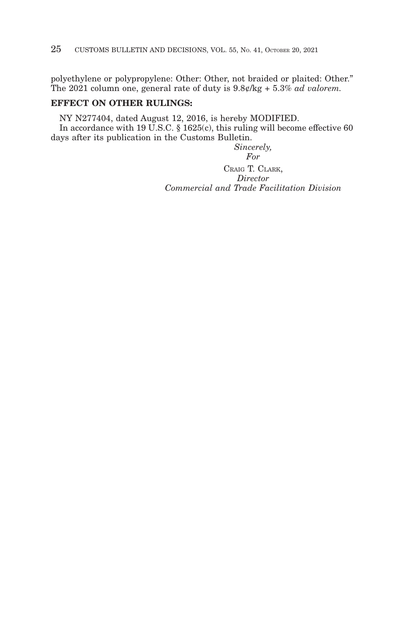polyethylene or polypropylene: Other: Other, not braided or plaited: Other." The 2021 column one, general rate of duty is 9.8¢/kg + 5.3% *ad valorem.*

# **EFFECT ON OTHER RULINGS:**

NY N277404, dated August 12, 2016, is hereby MODIFIED. In accordance with 19 U.S.C. § 1625(c), this ruling will become effective 60 days after its publication in the Customs Bulletin.

*Sincerely,*

*For*

CRAIG T. CLARK, *Director Commercial and Trade Facilitation Division*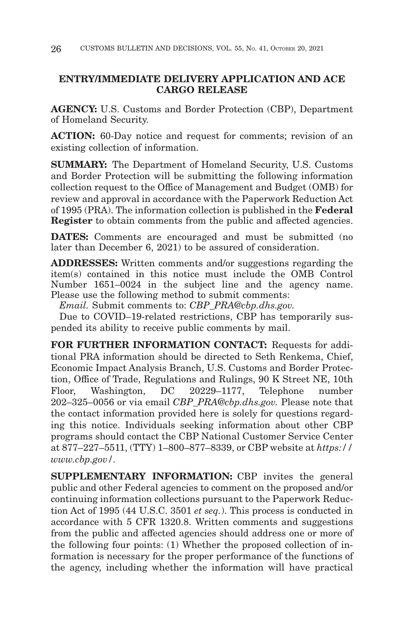# **ENTRY/IMMEDIATE DELIVERY APPLICATION AND ACE CARGO RELEASE**

**AGENCY:** U.S. Customs and Border Protection (CBP), Department of Homeland Security.

**ACTION:** 60-Day notice and request for comments; revision of an existing collection of information.

**SUMMARY:** The Department of Homeland Security, U.S. Customs and Border Protection will be submitting the following information collection request to the Office of Management and Budget (OMB) for review and approval in accordance with the Paperwork Reduction Act of 1995 (PRA). The information collection is published in the **Federal Register** to obtain comments from the public and affected agencies.

**DATES:** Comments are encouraged and must be submitted (no later than December 6, 2021) to be assured of consideration.

**ADDRESSES:** Written comments and/or suggestions regarding the item(s) contained in this notice must include the OMB Control Number 1651–0024 in the subject line and the agency name. Please use the following method to submit comments:

*Email.* Submit comments to: *CBP\_PRA@cbp.dhs.gov.*

Due to COVID–19-related restrictions, CBP has temporarily suspended its ability to receive public comments by mail.

**FOR FURTHER INFORMATION CONTACT:** Requests for additional PRA information should be directed to Seth Renkema, Chief, Economic Impact Analysis Branch, U.S. Customs and Border Protection, Office of Trade, Regulations and Rulings, 90 K Street NE, 10th Floor, Washington, DC 20229–1177, Telephone number 202–325–0056 or via email *CBP\_PRA@cbp.dhs.gov.* Please note that the contact information provided here is solely for questions regarding this notice. Individuals seeking information about other CBP programs should contact the CBP National Customer Service Center at 877–227–5511, (TTY) 1–800–877–8339, or CBP website at *https:// www.cbp.gov/.*

**SUPPLEMENTARY INFORMATION:** CBP invites the general public and other Federal agencies to comment on the proposed and/or continuing information collections pursuant to the Paperwork Reduction Act of 1995 (44 U.S.C. 3501 *et seq.*). This process is conducted in accordance with 5 CFR 1320.8. Written comments and suggestions from the public and affected agencies should address one or more of the following four points: (1) Whether the proposed collection of information is necessary for the proper performance of the functions of the agency, including whether the information will have practical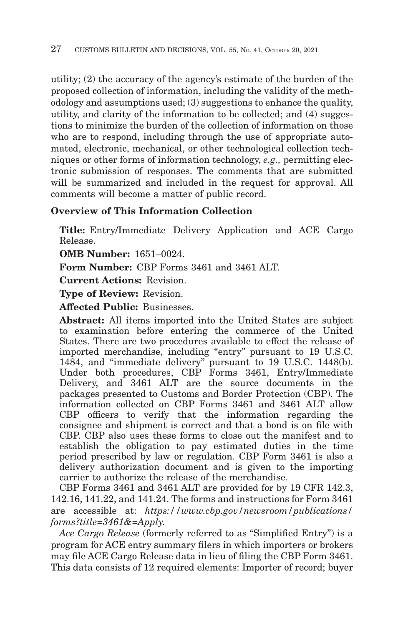utility; (2) the accuracy of the agency's estimate of the burden of the proposed collection of information, including the validity of the methodology and assumptions used; (3) suggestions to enhance the quality, utility, and clarity of the information to be collected; and (4) suggestions to minimize the burden of the collection of information on those who are to respond, including through the use of appropriate automated, electronic, mechanical, or other technological collection techniques or other forms of information technology, *e.g.,* permitting electronic submission of responses. The comments that are submitted will be summarized and included in the request for approval. All comments will become a matter of public record.

# **Overview of This Information Collection**

**Title:** Entry/Immediate Delivery Application and ACE Cargo Release.

**OMB Number:** 1651–0024.

**Form Number:** CBP Forms 3461 and 3461 ALT.

**Current Actions:** Revision.

**Type of Review:** Revision.

**Affected Public:** Businesses.

**Abstract:** All items imported into the United States are subject to examination before entering the commerce of the United States. There are two procedures available to effect the release of imported merchandise, including "entry" pursuant to 19 U.S.C. 1484, and ''immediate delivery'' pursuant to 19 U.S.C. 1448(b). Under both procedures, CBP Forms 3461, Entry/Immediate Delivery, and 3461 ALT are the source documents in the packages presented to Customs and Border Protection (CBP). The information collected on CBP Forms 3461 and 3461 ALT allow CBP officers to verify that the information regarding the consignee and shipment is correct and that a bond is on file with CBP. CBP also uses these forms to close out the manifest and to establish the obligation to pay estimated duties in the time period prescribed by law or regulation. CBP Form 3461 is also a delivery authorization document and is given to the importing carrier to authorize the release of the merchandise.

CBP Forms 3461 and 3461 ALT are provided for by 19 CFR 142.3, 142.16, 141.22, and 141.24. The forms and instructions for Form 3461 are accessible at: *https://www.cbp.gov/newsroom/publications/ forms?title=3461&=Apply.*

*Ace Cargo Release* (formerly referred to as ''Simplified Entry'') is a program for ACE entry summary filers in which importers or brokers may file ACE Cargo Release data in lieu of filing the CBP Form 3461. This data consists of 12 required elements: Importer of record; buyer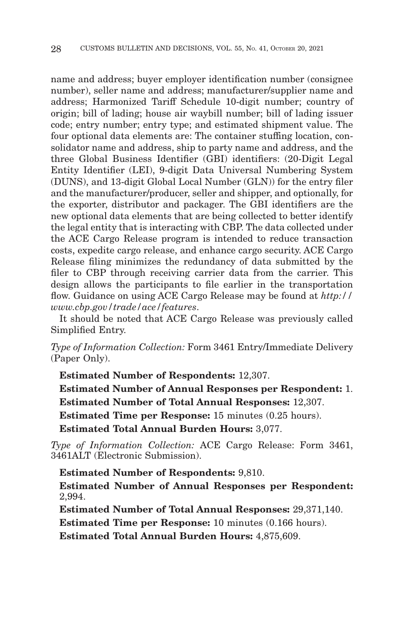name and address; buyer employer identification number (consignee number), seller name and address; manufacturer/supplier name and address; Harmonized Tariff Schedule 10-digit number; country of origin; bill of lading; house air waybill number; bill of lading issuer code; entry number; entry type; and estimated shipment value. The four optional data elements are: The container stuffing location, consolidator name and address, ship to party name and address, and the three Global Business Identifier (GBI) identifiers: (20-Digit Legal Entity Identifier (LEI), 9-digit Data Universal Numbering System (DUNS), and 13-digit Global Local Number (GLN)) for the entry filer and the manufacturer/producer, seller and shipper, and optionally, for the exporter, distributor and packager. The GBI identifiers are the new optional data elements that are being collected to better identify the legal entity that is interacting with CBP. The data collected under the ACE Cargo Release program is intended to reduce transaction costs, expedite cargo release, and enhance cargo security. ACE Cargo Release filing minimizes the redundancy of data submitted by the filer to CBP through receiving carrier data from the carrier. This design allows the participants to file earlier in the transportation flow. Guidance on using ACE Cargo Release may be found at *http:// www.cbp.gov/trade/ace/features*.

It should be noted that ACE Cargo Release was previously called Simplified Entry.

*Type of Information Collection:* Form 3461 Entry/Immediate Delivery (Paper Only).

**Estimated Number of Respondents:** 12,307. **Estimated Number of Annual Responses per Respondent:** 1. **Estimated Number of Total Annual Responses:** 12,307. **Estimated Time per Response:** 15 minutes (0.25 hours). **Estimated Total Annual Burden Hours:** 3,077.

*Type of Information Collection:* ACE Cargo Release: Form 3461, 3461ALT (Electronic Submission).

**Estimated Number of Respondents:** 9,810. **Estimated Number of Annual Responses per Respondent:** 2,994.

**Estimated Number of Total Annual Responses:** 29,371,140.

**Estimated Time per Response:** 10 minutes (0.166 hours).

**Estimated Total Annual Burden Hours:** 4,875,609.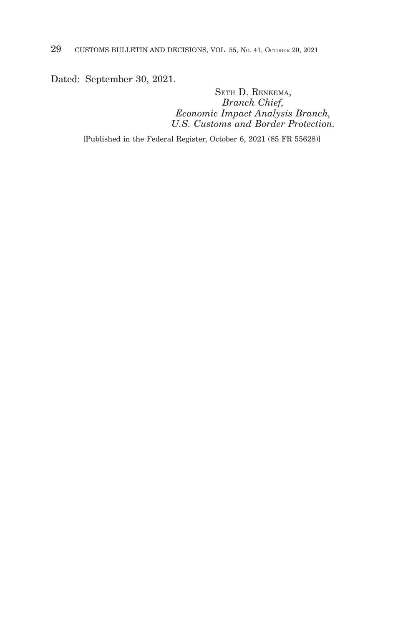Dated: September 30, 2021.

SETH D. RENKEMA, *Branch Chief, Economic Impact Analysis Branch, U.S. Customs and Border Protection.*

[Published in the Federal Register, October 6, 2021 (85 FR 55628)]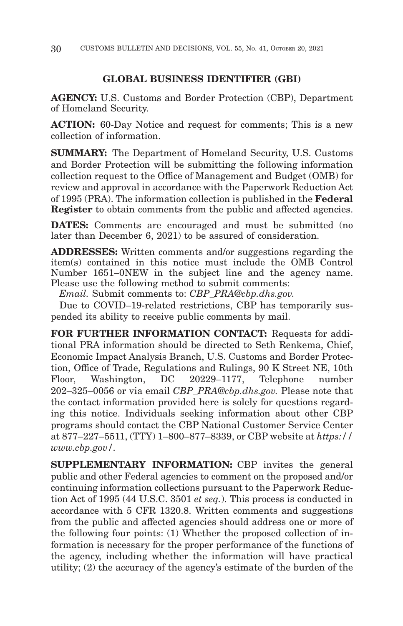# **GLOBAL BUSINESS IDENTIFIER (GBI)**

**AGENCY:** U.S. Customs and Border Protection (CBP), Department of Homeland Security.

**ACTION:** 60-Day Notice and request for comments; This is a new collection of information.

**SUMMARY:** The Department of Homeland Security, U.S. Customs and Border Protection will be submitting the following information collection request to the Office of Management and Budget (OMB) for review and approval in accordance with the Paperwork Reduction Act of 1995 (PRA). The information collection is published in the **Federal Register** to obtain comments from the public and affected agencies.

**DATES:** Comments are encouraged and must be submitted (no later than December 6, 2021) to be assured of consideration.

**ADDRESSES:** Written comments and/or suggestions regarding the item(s) contained in this notice must include the OMB Control Number 1651–0NEW in the subject line and the agency name. Please use the following method to submit comments:

*Email.* Submit comments to: *CBP\_PRA@cbp.dhs.gov.*

Due to COVID–19-related restrictions, CBP has temporarily suspended its ability to receive public comments by mail.

**FOR FURTHER INFORMATION CONTACT:** Requests for additional PRA information should be directed to Seth Renkema, Chief, Economic Impact Analysis Branch, U.S. Customs and Border Protection, Office of Trade, Regulations and Rulings, 90 K Street NE, 10th Floor, Washington, DC 20229–1177, Telephone number 202–325–0056 or via email *CBP\_PRA@cbp.dhs.gov.* Please note that the contact information provided here is solely for questions regarding this notice. Individuals seeking information about other CBP programs should contact the CBP National Customer Service Center at 877–227–5511, (TTY) 1–800–877–8339, or CBP website at *https:// www.cbp.gov/.*

**SUPPLEMENTARY INFORMATION:** CBP invites the general public and other Federal agencies to comment on the proposed and/or continuing information collections pursuant to the Paperwork Reduction Act of 1995 (44 U.S.C. 3501 *et seq.*). This process is conducted in accordance with 5 CFR 1320.8. Written comments and suggestions from the public and affected agencies should address one or more of the following four points: (1) Whether the proposed collection of information is necessary for the proper performance of the functions of the agency, including whether the information will have practical utility; (2) the accuracy of the agency's estimate of the burden of the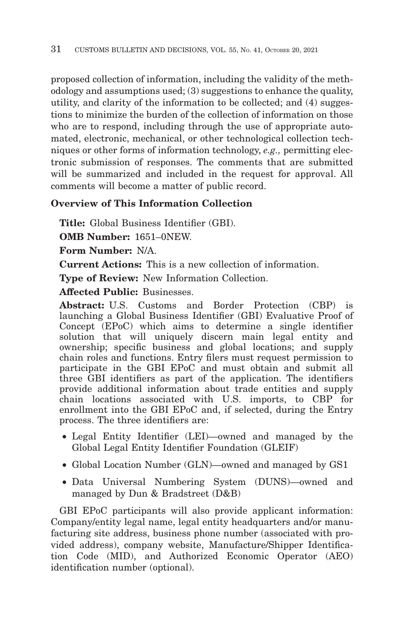proposed collection of information, including the validity of the methodology and assumptions used; (3) suggestions to enhance the quality, utility, and clarity of the information to be collected; and (4) suggestions to minimize the burden of the collection of information on those who are to respond, including through the use of appropriate automated, electronic, mechanical, or other technological collection techniques or other forms of information technology, *e.g.,* permitting electronic submission of responses. The comments that are submitted will be summarized and included in the request for approval. All comments will become a matter of public record.

# **Overview of This Information Collection**

**Title:** Global Business Identifier (GBI).

**OMB Number:** 1651–0NEW.

**Form Number:** N/A.

**Current Actions:** This is a new collection of information.

**Type of Review:** New Information Collection.

**Affected Public:** Businesses.

**Abstract:** U.S. Customs and Border Protection (CBP) is launching a Global Business Identifier (GBI) Evaluative Proof of Concept (EPoC) which aims to determine a single identifier solution that will uniquely discern main legal entity and ownership; specific business and global locations; and supply chain roles and functions. Entry filers must request permission to participate in the GBI EPoC and must obtain and submit all three GBI identifiers as part of the application. The identifiers provide additional information about trade entities and supply chain locations associated with U.S. imports, to CBP for enrollment into the GBI EPoC and, if selected, during the Entry process. The three identifiers are:

- Legal Entity Identifier (LEI)—owned and managed by the Global Legal Entity Identifier Foundation (GLEIF)
- Global Location Number (GLN)—owned and managed by GS1
- Data Universal Numbering System (DUNS)—owned and managed by Dun & Bradstreet (D&B)

GBI EPoC participants will also provide applicant information: Company/entity legal name, legal entity headquarters and/or manufacturing site address, business phone number (associated with provided address), company website, Manufacture/Shipper Identification Code (MID), and Authorized Economic Operator (AEO) identification number (optional).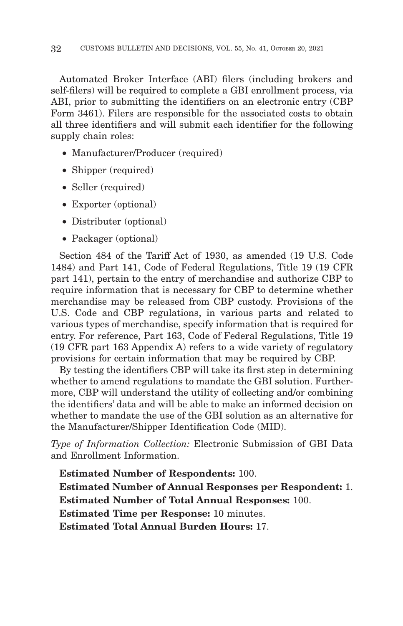Automated Broker Interface (ABI) filers (including brokers and self-filers) will be required to complete a GBI enrollment process, via ABI, prior to submitting the identifiers on an electronic entry (CBP Form 3461). Filers are responsible for the associated costs to obtain all three identifiers and will submit each identifier for the following supply chain roles:

- Manufacturer/Producer (required)
- Shipper (required)
- Seller (required)
- Exporter (optional)
- Distributer (optional)
- Packager (optional)

Section 484 of the Tariff Act of 1930, as amended (19 U.S. Code 1484) and Part 141, Code of Federal Regulations, Title 19 (19 CFR part 141), pertain to the entry of merchandise and authorize CBP to require information that is necessary for CBP to determine whether merchandise may be released from CBP custody. Provisions of the U.S. Code and CBP regulations, in various parts and related to various types of merchandise, specify information that is required for entry. For reference, Part 163, Code of Federal Regulations, Title 19 (19 CFR part 163 Appendix A) refers to a wide variety of regulatory provisions for certain information that may be required by CBP.

By testing the identifiers CBP will take its first step in determining whether to amend regulations to mandate the GBI solution. Furthermore, CBP will understand the utility of collecting and/or combining the identifiers' data and will be able to make an informed decision on whether to mandate the use of the GBI solution as an alternative for the Manufacturer/Shipper Identification Code (MID).

*Type of Information Collection:* Electronic Submission of GBI Data and Enrollment Information.

**Estimated Number of Respondents:** 100. **Estimated Number of Annual Responses per Respondent:** 1. **Estimated Number of Total Annual Responses:** 100. **Estimated Time per Response:** 10 minutes. **Estimated Total Annual Burden Hours:** 17.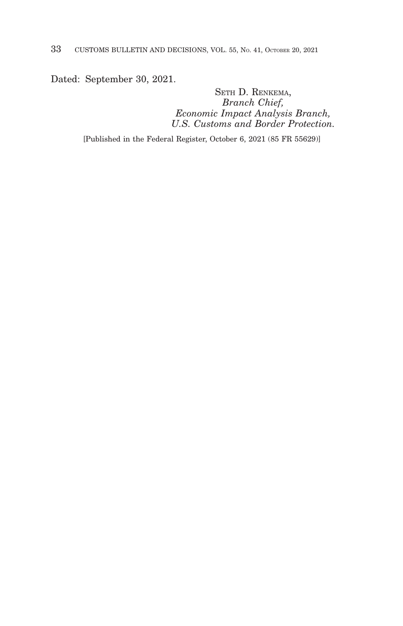Dated: September 30, 2021.

SETH D. RENKEMA, *Branch Chief, Economic Impact Analysis Branch, U.S. Customs and Border Protection.*

[Published in the Federal Register, October 6, 2021 (85 FR 55629)]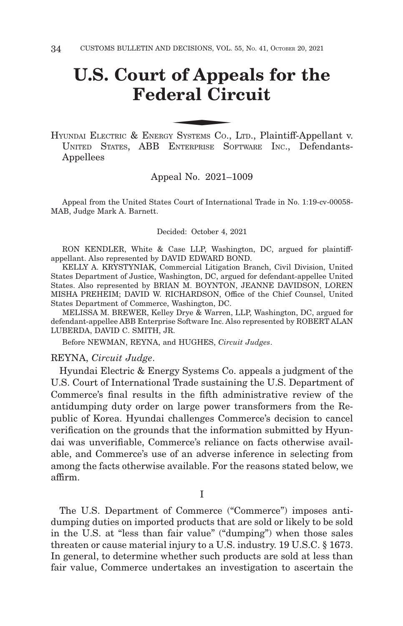# **U.S. Court of Appeals for the Federal Circuit** of Appenderal Circle Systems Co.

HYUNDAI ELECTRIC & ENERGY SYSTEMS CO., LTD., Plaintiff-Appellant v. UNITED STATES, ABB ENTERPRISE SOFTWARE INC., Defendants-Appellees

#### Appeal No. 2021–1009

Appeal from the United States Court of International Trade in No. 1:19-cv-00058- MAB, Judge Mark A. Barnett.

Decided: October 4, 2021

RON KENDLER, White & Case LLP, Washington, DC, argued for plaintiffappellant. Also represented by DAVID EDWARD BOND.

KELLY A. KRYSTYNIAK, Commercial Litigation Branch, Civil Division, United States Department of Justice, Washington, DC, argued for defendant-appellee United States. Also represented by BRIAN M. BOYNTON, JEANNE DAVIDSON, LOREN MISHA PREHEIM; DAVID W. RICHARDSON, Office of the Chief Counsel, United States Department of Commerce, Washington, DC.

MELISSA M. BREWER, Kelley Drye & Warren, LLP, Washington, DC, argued for defendant-appellee ABB Enterprise Software Inc. Also represented by ROBERT ALAN LUBERDA, DAVID C. SMITH, JR.

Before NEWMAN, REYNA, and HUGHES, *Circuit Judges*.

#### REYNA, *Circuit Judge*.

Hyundai Electric & Energy Systems Co. appeals a judgment of the U.S. Court of International Trade sustaining the U.S. Department of Commerce's final results in the fifth administrative review of the antidumping duty order on large power transformers from the Republic of Korea. Hyundai challenges Commerce's decision to cancel verification on the grounds that the information submitted by Hyundai was unverifiable, Commerce's reliance on facts otherwise available, and Commerce's use of an adverse inference in selecting from among the facts otherwise available. For the reasons stated below, we affirm.

I

The U.S. Department of Commerce ("Commerce") imposes antidumping duties on imported products that are sold or likely to be sold in the U.S. at "less than fair value" ("dumping") when those sales threaten or cause material injury to a U.S. industry. 19 U.S.C. § 1673. In general, to determine whether such products are sold at less than fair value, Commerce undertakes an investigation to ascertain the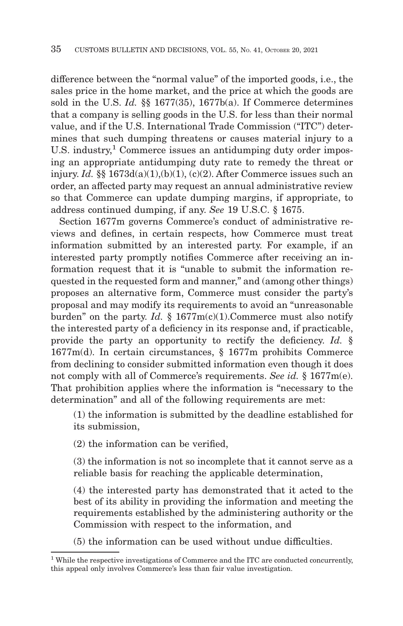difference between the "normal value" of the imported goods, i.e., the sales price in the home market, and the price at which the goods are sold in the U.S. *Id.* §§ 1677(35), 1677b(a). If Commerce determines that a company is selling goods in the U.S. for less than their normal value, and if the U.S. International Trade Commission ("ITC") determines that such dumping threatens or causes material injury to a U.S. industry,<sup>1</sup> Commerce issues an antidumping duty order imposing an appropriate antidumping duty rate to remedy the threat or injury. *Id.*  $\S$ § 1673d(a)(1),(b)(1), (c)(2). After Commerce issues such an order, an affected party may request an annual administrative review so that Commerce can update dumping margins, if appropriate, to address continued dumping, if any. *See* 19 U.S.C. § 1675.

Section 1677m governs Commerce's conduct of administrative reviews and defines, in certain respects, how Commerce must treat information submitted by an interested party. For example, if an interested party promptly notifies Commerce after receiving an information request that it is "unable to submit the information requested in the requested form and manner," and (among other things) proposes an alternative form, Commerce must consider the party's proposal and may modify its requirements to avoid an "unreasonable burden" on the party. *Id.* § 1677m(c)(1).Commerce must also notify the interested party of a deficiency in its response and, if practicable, provide the party an opportunity to rectify the deficiency. *Id.* § 1677m(d). In certain circumstances, § 1677m prohibits Commerce from declining to consider submitted information even though it does not comply with all of Commerce's requirements. *See id.* § 1677m(e). That prohibition applies where the information is "necessary to the determination" and all of the following requirements are met:

(1) the information is submitted by the deadline established for its submission,

(2) the information can be verified,

(3) the information is not so incomplete that it cannot serve as a reliable basis for reaching the applicable determination,

(4) the interested party has demonstrated that it acted to the best of its ability in providing the information and meeting the requirements established by the administering authority or the Commission with respect to the information, and

(5) the information can be used without undue difficulties.

<sup>1</sup> While the respective investigations of Commerce and the ITC are conducted concurrently, this appeal only involves Commerce's less than fair value investigation.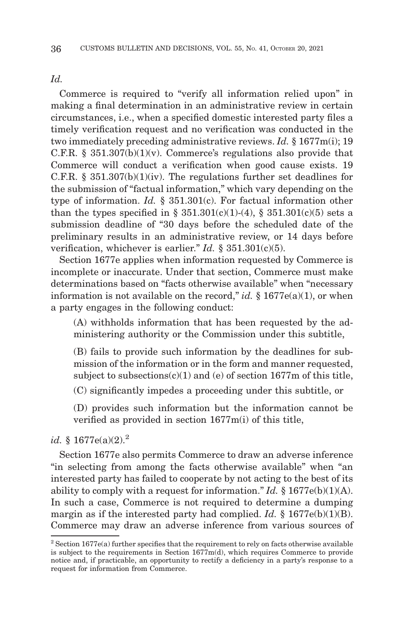*Id.*

Commerce is required to "verify all information relied upon" in making a final determination in an administrative review in certain circumstances, i.e., when a specified domestic interested party files a timely verification request and no verification was conducted in the two immediately preceding administrative reviews. *Id.* § 1677m(i); 19 C.F.R. § 351.307(b)(1)(v). Commerce's regulations also provide that Commerce will conduct a verification when good cause exists. 19 C.F.R.  $\S$  351.307(b)(1)(iv). The regulations further set deadlines for the submission of "factual information," which vary depending on the type of information. *Id.* § 351.301(c). For factual information other than the types specified in §  $351.301(c)(1)-(4)$ , §  $351.301(c)(5)$  sets a submission deadline of "30 days before the scheduled date of the preliminary results in an administrative review, or 14 days before verification, whichever is earlier." *Id.* § 351.301(c)(5).

Section 1677e applies when information requested by Commerce is incomplete or inaccurate. Under that section, Commerce must make determinations based on "facts otherwise available" when "necessary information is not available on the record," *id.* § 1677e(a)(1), or when a party engages in the following conduct:

(A) withholds information that has been requested by the administering authority or the Commission under this subtitle,

(B) fails to provide such information by the deadlines for submission of the information or in the form and manner requested, subject to subsections $(c)(1)$  and  $(e)$  of section 1677m of this title, (C) significantly impedes a proceeding under this subtitle, or

(D) provides such information but the information cannot be verified as provided in section 1677m(i) of this title,

#### *id.* § 1677e(a)(2).<sup>2</sup>

Section 1677e also permits Commerce to draw an adverse inference "in selecting from among the facts otherwise available" when "an interested party has failed to cooperate by not acting to the best of its ability to comply with a request for information." *Id.*  $\S 1677e(b)(1)(A)$ . In such a case, Commerce is not required to determine a dumping margin as if the interested party had complied. *Id.* § 1677e(b)(1)(B). Commerce may draw an adverse inference from various sources of

 $2$  Section 1677e(a) further specifies that the requirement to rely on facts otherwise available is subject to the requirements in Section  $1677m(d)$ , which requires Commerce to provide notice and, if practicable, an opportunity to rectify a deficiency in a party's response to a request for information from Commerce.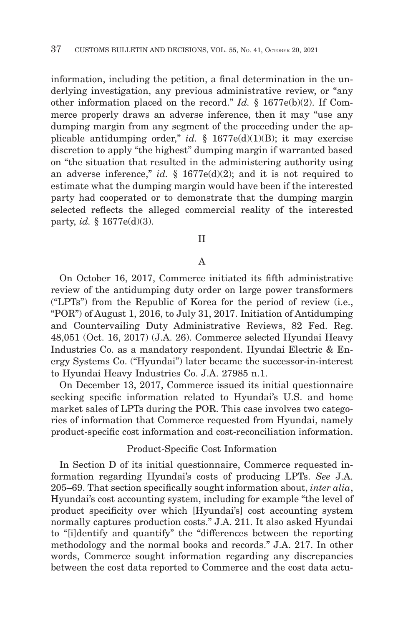information, including the petition, a final determination in the underlying investigation, any previous administrative review, or "any other information placed on the record." *Id.* § 1677e(b)(2). If Commerce properly draws an adverse inference, then it may "use any dumping margin from any segment of the proceeding under the applicable antidumping order," *id.* § 1677e(d)(1)(B); it may exercise discretion to apply "the highest" dumping margin if warranted based on "the situation that resulted in the administering authority using an adverse inference," *id.* § 1677e(d)(2); and it is not required to estimate what the dumping margin would have been if the interested party had cooperated or to demonstrate that the dumping margin selected reflects the alleged commercial reality of the interested party, *id.* § 1677e(d)(3).

#### II

#### A

On October 16, 2017, Commerce initiated its fifth administrative review of the antidumping duty order on large power transformers ("LPTs") from the Republic of Korea for the period of review (i.e., "POR") of August 1, 2016, to July 31, 2017. Initiation of Antidumping and Countervailing Duty Administrative Reviews, 82 Fed. Reg. 48,051 (Oct. 16, 2017) (J.A. 26). Commerce selected Hyundai Heavy Industries Co. as a mandatory respondent. Hyundai Electric & Energy Systems Co. ("Hyundai") later became the successor-in-interest to Hyundai Heavy Industries Co. J.A. 27985 n.1.

On December 13, 2017, Commerce issued its initial questionnaire seeking specific information related to Hyundai's U.S. and home market sales of LPTs during the POR. This case involves two categories of information that Commerce requested from Hyundai, namely product-specific cost information and cost-reconciliation information.

#### Product-Specific Cost Information

In Section D of its initial questionnaire, Commerce requested information regarding Hyundai's costs of producing LPTs. *See* J.A. 205–69. That section specifically sought information about, *inter alia*, Hyundai's cost accounting system, including for example "the level of product specificity over which [Hyundai's] cost accounting system normally captures production costs." J.A. 211. It also asked Hyundai to "[i]dentify and quantify" the "differences between the reporting methodology and the normal books and records." J.A. 217. In other words, Commerce sought information regarding any discrepancies between the cost data reported to Commerce and the cost data actu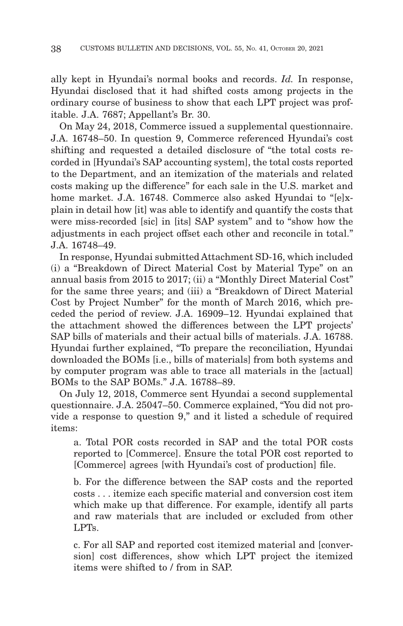ally kept in Hyundai's normal books and records. *Id.* In response, Hyundai disclosed that it had shifted costs among projects in the ordinary course of business to show that each LPT project was profitable. J.A. 7687; Appellant's Br. 30.

On May 24, 2018, Commerce issued a supplemental questionnaire. J.A. 16748–50. In question 9, Commerce referenced Hyundai's cost shifting and requested a detailed disclosure of "the total costs recorded in [Hyundai's SAP accounting system], the total costs reported to the Department, and an itemization of the materials and related costs making up the difference" for each sale in the U.S. market and home market. J.A. 16748. Commerce also asked Hyundai to "[e]xplain in detail how [it] was able to identify and quantify the costs that were miss-recorded [sic] in [its] SAP system" and to "show how the adjustments in each project offset each other and reconcile in total." J.A. 16748–49.

In response, Hyundai submitted Attachment SD-16, which included (i) a "Breakdown of Direct Material Cost by Material Type" on an annual basis from 2015 to 2017; (ii) a "Monthly Direct Material Cost" for the same three years; and (iii) a "Breakdown of Direct Material Cost by Project Number" for the month of March 2016, which preceded the period of review. J.A. 16909–12. Hyundai explained that the attachment showed the differences between the LPT projects' SAP bills of materials and their actual bills of materials. J.A. 16788. Hyundai further explained, "To prepare the reconciliation, Hyundai downloaded the BOMs [i.e., bills of materials] from both systems and by computer program was able to trace all materials in the [actual] BOMs to the SAP BOMs." J.A. 16788–89.

On July 12, 2018, Commerce sent Hyundai a second supplemental questionnaire. J.A. 25047–50. Commerce explained, "You did not provide a response to question 9," and it listed a schedule of required items:

a. Total POR costs recorded in SAP and the total POR costs reported to [Commerce]. Ensure the total POR cost reported to [Commerce] agrees [with Hyundai's cost of production] file.

b. For the difference between the SAP costs and the reported costs . . . itemize each specific material and conversion cost item which make up that difference. For example, identify all parts and raw materials that are included or excluded from other LPTs.

c. For all SAP and reported cost itemized material and [conversion] cost differences, show which LPT project the itemized items were shifted to / from in SAP.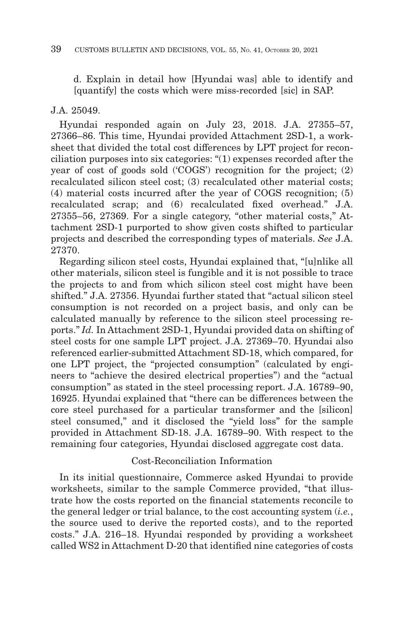d. Explain in detail how [Hyundai was] able to identify and [quantify] the costs which were miss-recorded [sic] in SAP.

#### J.A. 25049.

Hyundai responded again on July 23, 2018. J.A. 27355–57, 27366–86. This time, Hyundai provided Attachment 2SD-1, a worksheet that divided the total cost differences by LPT project for reconciliation purposes into six categories: "(1) expenses recorded after the year of cost of goods sold ('COGS') recognition for the project; (2) recalculated silicon steel cost; (3) recalculated other material costs; (4) material costs incurred after the year of COGS recognition; (5) recalculated scrap; and (6) recalculated fixed overhead." J.A. 27355–56, 27369. For a single category, "other material costs," Attachment 2SD-1 purported to show given costs shifted to particular projects and described the corresponding types of materials. *See* J.A. 27370.

Regarding silicon steel costs, Hyundai explained that, "[u]nlike all other materials, silicon steel is fungible and it is not possible to trace the projects to and from which silicon steel cost might have been shifted." J.A. 27356. Hyundai further stated that "actual silicon steel consumption is not recorded on a project basis, and only can be calculated manually by reference to the silicon steel processing reports." *Id.* In Attachment 2SD-1, Hyundai provided data on shifting of steel costs for one sample LPT project. J.A. 27369–70. Hyundai also referenced earlier-submitted Attachment SD-18, which compared, for one LPT project, the "projected consumption" (calculated by engineers to "achieve the desired electrical properties") and the "actual consumption" as stated in the steel processing report. J.A. 16789–90, 16925. Hyundai explained that "there can be differences between the core steel purchased for a particular transformer and the [silicon] steel consumed," and it disclosed the "yield loss" for the sample provided in Attachment SD-18. J.A. 16789–90. With respect to the remaining four categories, Hyundai disclosed aggregate cost data.

#### Cost-Reconciliation Information

In its initial questionnaire, Commerce asked Hyundai to provide worksheets, similar to the sample Commerce provided, "that illustrate how the costs reported on the financial statements reconcile to the general ledger or trial balance, to the cost accounting system (*i.e.*, the source used to derive the reported costs), and to the reported costs." J.A. 216–18. Hyundai responded by providing a worksheet called WS2 in Attachment D-20 that identified nine categories of costs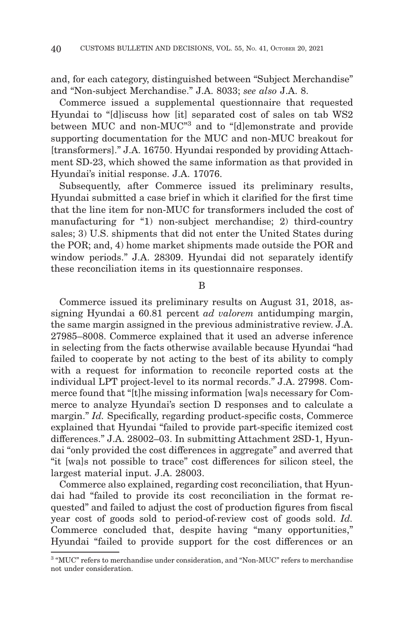and, for each category, distinguished between "Subject Merchandise" and "Non-subject Merchandise." J.A. 8033; *see also* J.A. 8.

Commerce issued a supplemental questionnaire that requested Hyundai to "[d]iscuss how [it] separated cost of sales on tab WS2 between MUC and non-MUC"3 and to "[d]emonstrate and provide supporting documentation for the MUC and non-MUC breakout for [transformers]." J.A. 16750. Hyundai responded by providing Attachment SD-23, which showed the same information as that provided in Hyundai's initial response. J.A. 17076.

Subsequently, after Commerce issued its preliminary results, Hyundai submitted a case brief in which it clarified for the first time that the line item for non-MUC for transformers included the cost of manufacturing for "1) non-subject merchandise; 2) third-country sales; 3) U.S. shipments that did not enter the United States during the POR; and, 4) home market shipments made outside the POR and window periods." J.A. 28309. Hyundai did not separately identify these reconciliation items in its questionnaire responses.

B

Commerce issued its preliminary results on August 31, 2018, assigning Hyundai a 60.81 percent *ad valorem* antidumping margin, the same margin assigned in the previous administrative review. J.A. 27985–8008. Commerce explained that it used an adverse inference in selecting from the facts otherwise available because Hyundai "had failed to cooperate by not acting to the best of its ability to comply with a request for information to reconcile reported costs at the individual LPT project-level to its normal records." J.A. 27998. Commerce found that "[t]he missing information [wa]s necessary for Commerce to analyze Hyundai's section D responses and to calculate a margin." *Id.* Specifically, regarding product-specific costs, Commerce explained that Hyundai "failed to provide part-specific itemized cost differences." J.A. 28002–03. In submitting Attachment 2SD-1, Hyundai "only provided the cost differences in aggregate" and averred that "it [wa]s not possible to trace" cost differences for silicon steel, the largest material input. J.A. 28003.

Commerce also explained, regarding cost reconciliation, that Hyundai had "failed to provide its cost reconciliation in the format requested" and failed to adjust the cost of production figures from fiscal year cost of goods sold to period-of-review cost of goods sold. *Id.* Commerce concluded that, despite having "many opportunities," Hyundai "failed to provide support for the cost differences or an

<sup>3 &</sup>quot;MUC" refers to merchandise under consideration, and "Non-MUC" refers to merchandise not under consideration.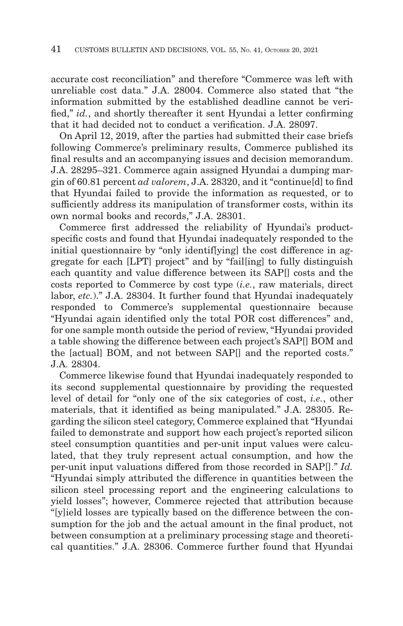accurate cost reconciliation" and therefore "Commerce was left with unreliable cost data." J.A. 28004. Commerce also stated that "the information submitted by the established deadline cannot be verified," *id.*, and shortly thereafter it sent Hyundai a letter confirming that it had decided not to conduct a verification. J.A. 28097.

On April 12, 2019, after the parties had submitted their case briefs following Commerce's preliminary results, Commerce published its final results and an accompanying issues and decision memorandum. J.A. 28295–321. Commerce again assigned Hyundai a dumping margin of 60.81 percent *ad valorem*, J.A. 28320, and it "continue[d] to find that Hyundai failed to provide the information as requested, or to sufficiently address its manipulation of transformer costs, within its own normal books and records," J.A. 28301.

Commerce first addressed the reliability of Hyundai's productspecific costs and found that Hyundai inadequately responded to the initial questionnaire by "only identif[ying] the cost difference in aggregate for each [LPT] project" and by "fail[ing] to fully distinguish each quantity and value difference between its SAP[] costs and the costs reported to Commerce by cost type (*i.e.*, raw materials, direct labor, *etc.*)." J.A. 28304. It further found that Hyundai inadequately responded to Commerce's supplemental questionnaire because "Hyundai again identified only the total POR cost differences" and, for one sample month outside the period of review, "Hyundai provided a table showing the difference between each project's SAP[] BOM and the [actual] BOM, and not between SAP[] and the reported costs." J.A. 28304.

Commerce likewise found that Hyundai inadequately responded to its second supplemental questionnaire by providing the requested level of detail for "only one of the six categories of cost, *i.e.*, other materials, that it identified as being manipulated." J.A. 28305. Regarding the silicon steel category, Commerce explained that "Hyundai failed to demonstrate and support how each project's reported silicon steel consumption quantities and per-unit input values were calculated, that they truly represent actual consumption, and how the per-unit input valuations differed from those recorded in SAP[]." *Id.* "Hyundai simply attributed the difference in quantities between the silicon steel processing report and the engineering calculations to yield losses"; however, Commerce rejected that attribution because "[y]ield losses are typically based on the difference between the consumption for the job and the actual amount in the final product, not between consumption at a preliminary processing stage and theoretical quantities." J.A. 28306. Commerce further found that Hyundai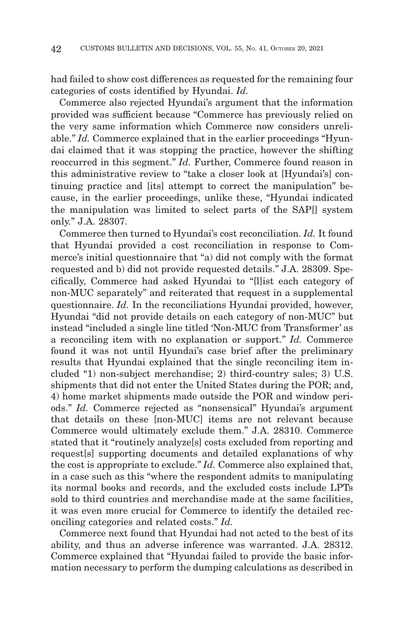had failed to show cost differences as requested for the remaining four categories of costs identified by Hyundai. *Id.*

Commerce also rejected Hyundai's argument that the information provided was sufficient because "Commerce has previously relied on the very same information which Commerce now considers unreliable." *Id.* Commerce explained that in the earlier proceedings "Hyundai claimed that it was stopping the practice, however the shifting reoccurred in this segment." *Id.* Further, Commerce found reason in this administrative review to "take a closer look at [Hyundai's] continuing practice and [its] attempt to correct the manipulation" because, in the earlier proceedings, unlike these, "Hyundai indicated the manipulation was limited to select parts of the SAP[] system only." J.A. 28307.

Commerce then turned to Hyundai's cost reconciliation. *Id.* It found that Hyundai provided a cost reconciliation in response to Commerce's initial questionnaire that "a) did not comply with the format requested and b) did not provide requested details." J.A. 28309. Specifically, Commerce had asked Hyundai to "[l]ist each category of non-MUC separately" and reiterated that request in a supplemental questionnaire. *Id.* In the reconciliations Hyundai provided, however, Hyundai "did not provide details on each category of non-MUC" but instead "included a single line titled 'Non-MUC from Transformer' as a reconciling item with no explanation or support." *Id.* Commerce found it was not until Hyundai's case brief after the preliminary results that Hyundai explained that the single reconciling item included "1) non-subject merchandise; 2) third-country sales; 3) U.S. shipments that did not enter the United States during the POR; and, 4) home market shipments made outside the POR and window periods." *Id.* Commerce rejected as "nonsensical" Hyundai's argument that details on these [non-MUC] items are not relevant because Commerce would ultimately exclude them." J.A. 28310. Commerce stated that it "routinely analyze[s] costs excluded from reporting and request[s] supporting documents and detailed explanations of why the cost is appropriate to exclude." *Id.* Commerce also explained that, in a case such as this "where the respondent admits to manipulating its normal books and records, and the excluded costs include LPTs sold to third countries and merchandise made at the same facilities, it was even more crucial for Commerce to identify the detailed reconciling categories and related costs." *Id.*

Commerce next found that Hyundai had not acted to the best of its ability, and thus an adverse inference was warranted. J.A. 28312. Commerce explained that "Hyundai failed to provide the basic information necessary to perform the dumping calculations as described in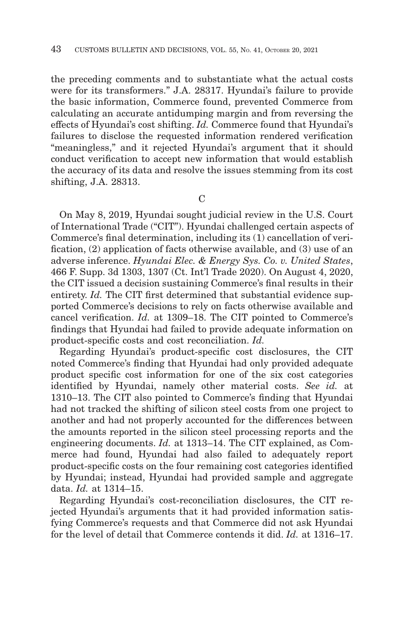the preceding comments and to substantiate what the actual costs were for its transformers." J.A. 28317. Hyundai's failure to provide the basic information, Commerce found, prevented Commerce from calculating an accurate antidumping margin and from reversing the effects of Hyundai's cost shifting. *Id.* Commerce found that Hyundai's failures to disclose the requested information rendered verification "meaningless," and it rejected Hyundai's argument that it should conduct verification to accept new information that would establish the accuracy of its data and resolve the issues stemming from its cost shifting, J.A. 28313.

 $\mathcal{C}$ 

On May 8, 2019, Hyundai sought judicial review in the U.S. Court of International Trade ("CIT"). Hyundai challenged certain aspects of Commerce's final determination, including its (1) cancellation of verification, (2) application of facts otherwise available, and (3) use of an adverse inference. *Hyundai Elec. & Energy Sys. Co. v. United States*, 466 F. Supp. 3d 1303, 1307 (Ct. Int'l Trade 2020). On August 4, 2020, the CIT issued a decision sustaining Commerce's final results in their entirety. *Id.* The CIT first determined that substantial evidence supported Commerce's decisions to rely on facts otherwise available and cancel verification. *Id.* at 1309–18. The CIT pointed to Commerce's findings that Hyundai had failed to provide adequate information on product-specific costs and cost reconciliation. *Id.*

Regarding Hyundai's product-specific cost disclosures, the CIT noted Commerce's finding that Hyundai had only provided adequate product specific cost information for one of the six cost categories identified by Hyundai, namely other material costs. *See id.* at 1310–13. The CIT also pointed to Commerce's finding that Hyundai had not tracked the shifting of silicon steel costs from one project to another and had not properly accounted for the differences between the amounts reported in the silicon steel processing reports and the engineering documents. *Id.* at 1313–14. The CIT explained, as Commerce had found, Hyundai had also failed to adequately report product-specific costs on the four remaining cost categories identified by Hyundai; instead, Hyundai had provided sample and aggregate data. *Id.* at 1314–15.

Regarding Hyundai's cost-reconciliation disclosures, the CIT rejected Hyundai's arguments that it had provided information satisfying Commerce's requests and that Commerce did not ask Hyundai for the level of detail that Commerce contends it did. *Id.* at 1316–17.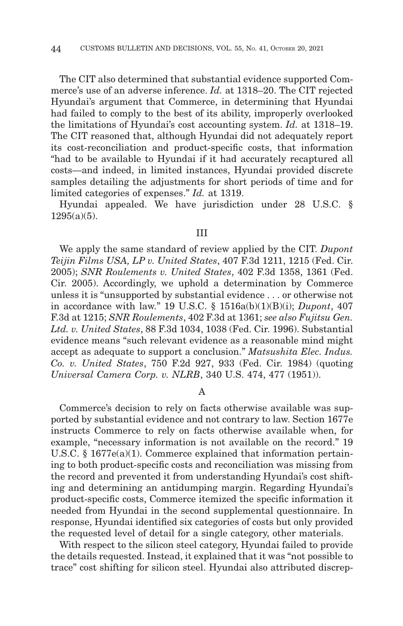The CIT also determined that substantial evidence supported Commerce's use of an adverse inference. *Id.* at 1318–20. The CIT rejected Hyundai's argument that Commerce, in determining that Hyundai had failed to comply to the best of its ability, improperly overlooked the limitations of Hyundai's cost accounting system. *Id.* at 1318–19. The CIT reasoned that, although Hyundai did not adequately report its cost-reconciliation and product-specific costs, that information "had to be available to Hyundai if it had accurately recaptured all costs—and indeed, in limited instances, Hyundai provided discrete samples detailing the adjustments for short periods of time and for limited categories of expenses." *Id.* at 1319.

Hyundai appealed. We have jurisdiction under 28 U.S.C. §  $1295(a)(5)$ .

#### III

We apply the same standard of review applied by the CIT. *Dupont Teijin Films USA, LP v. United States*, 407 F.3d 1211, 1215 (Fed. Cir. 2005); *SNR Roulements v. United States*, 402 F.3d 1358, 1361 (Fed. Cir. 2005). Accordingly, we uphold a determination by Commerce unless it is "unsupported by substantial evidence . . . or otherwise not in accordance with law." 19 U.S.C. § 1516a(b)(1)(B)(i); *Dupont*, 407 F.3d at 1215; *SNR Roulements*, 402 F.3d at 1361; *see also Fujitsu Gen. Ltd. v. United States*, 88 F.3d 1034, 1038 (Fed. Cir. 1996). Substantial evidence means "such relevant evidence as a reasonable mind might accept as adequate to support a conclusion." *Matsushita Elec. Indus. Co. v. United States*, 750 F.2d 927, 933 (Fed. Cir. 1984) (quoting *Universal Camera Corp. v. NLRB*, 340 U.S. 474, 477 (1951)).

A

Commerce's decision to rely on facts otherwise available was supported by substantial evidence and not contrary to law. Section 1677e instructs Commerce to rely on facts otherwise available when, for example, "necessary information is not available on the record." 19 U.S.C. § 1677e(a)(1). Commerce explained that information pertaining to both product-specific costs and reconciliation was missing from the record and prevented it from understanding Hyundai's cost shifting and determining an antidumping margin. Regarding Hyundai's product-specific costs, Commerce itemized the specific information it needed from Hyundai in the second supplemental questionnaire. In response, Hyundai identified six categories of costs but only provided the requested level of detail for a single category, other materials.

With respect to the silicon steel category, Hyundai failed to provide the details requested. Instead, it explained that it was "not possible to trace" cost shifting for silicon steel. Hyundai also attributed discrep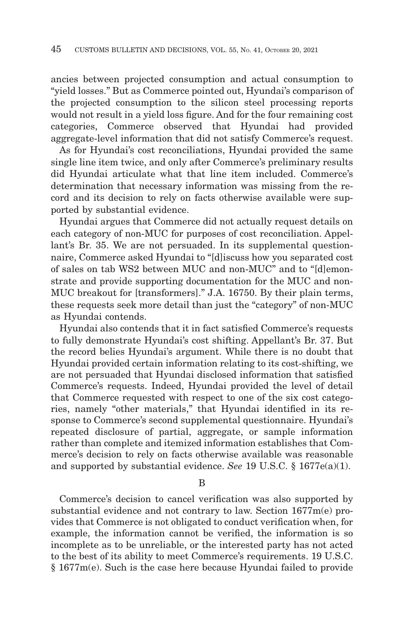ancies between projected consumption and actual consumption to "yield losses." But as Commerce pointed out, Hyundai's comparison of the projected consumption to the silicon steel processing reports would not result in a yield loss figure. And for the four remaining cost categories, Commerce observed that Hyundai had provided aggregate-level information that did not satisfy Commerce's request.

As for Hyundai's cost reconciliations, Hyundai provided the same single line item twice, and only after Commerce's preliminary results did Hyundai articulate what that line item included. Commerce's determination that necessary information was missing from the record and its decision to rely on facts otherwise available were supported by substantial evidence.

Hyundai argues that Commerce did not actually request details on each category of non-MUC for purposes of cost reconciliation. Appellant's Br. 35. We are not persuaded. In its supplemental questionnaire, Commerce asked Hyundai to "[d]iscuss how you separated cost of sales on tab WS2 between MUC and non-MUC" and to "[d]emonstrate and provide supporting documentation for the MUC and non-MUC breakout for [transformers]." J.A. 16750. By their plain terms, these requests seek more detail than just the "category" of non-MUC as Hyundai contends.

Hyundai also contends that it in fact satisfied Commerce's requests to fully demonstrate Hyundai's cost shifting. Appellant's Br. 37. But the record belies Hyundai's argument. While there is no doubt that Hyundai provided certain information relating to its cost-shifting, we are not persuaded that Hyundai disclosed information that satisfied Commerce's requests. Indeed, Hyundai provided the level of detail that Commerce requested with respect to one of the six cost categories, namely "other materials," that Hyundai identified in its response to Commerce's second supplemental questionnaire. Hyundai's repeated disclosure of partial, aggregate, or sample information rather than complete and itemized information establishes that Commerce's decision to rely on facts otherwise available was reasonable and supported by substantial evidence. *See* 19 U.S.C. § 1677e(a)(1).

B

Commerce's decision to cancel verification was also supported by substantial evidence and not contrary to law. Section 1677m(e) provides that Commerce is not obligated to conduct verification when, for example, the information cannot be verified, the information is so incomplete as to be unreliable, or the interested party has not acted to the best of its ability to meet Commerce's requirements. 19 U.S.C. § 1677m(e). Such is the case here because Hyundai failed to provide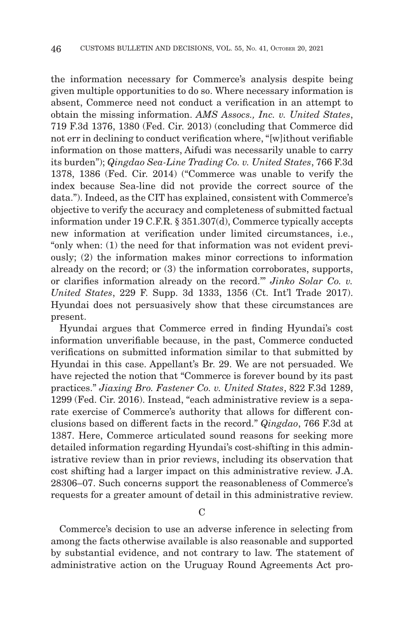the information necessary for Commerce's analysis despite being given multiple opportunities to do so. Where necessary information is absent, Commerce need not conduct a verification in an attempt to obtain the missing information. *AMS Assocs., Inc. v. United States*, 719 F.3d 1376, 1380 (Fed. Cir. 2013) (concluding that Commerce did not err in declining to conduct verification where, "[w]ithout verifiable information on those matters, Aifudi was necessarily unable to carry its burden"); *Qingdao Sea-Line Trading Co. v. United States*, 766 F.3d 1378, 1386 (Fed. Cir. 2014) ("Commerce was unable to verify the index because Sea-line did not provide the correct source of the data."). Indeed, as the CIT has explained, consistent with Commerce's objective to verify the accuracy and completeness of submitted factual information under 19 C.F.R. § 351.307(d), Commerce typically accepts new information at verification under limited circumstances, i.e., "only when: (1) the need for that information was not evident previously; (2) the information makes minor corrections to information already on the record; or (3) the information corroborates, supports, or clarifies information already on the record.'" *Jinko Solar Co. v. United States*, 229 F. Supp. 3d 1333, 1356 (Ct. Int'l Trade 2017). Hyundai does not persuasively show that these circumstances are present.

Hyundai argues that Commerce erred in finding Hyundai's cost information unverifiable because, in the past, Commerce conducted verifications on submitted information similar to that submitted by Hyundai in this case. Appellant's Br. 29. We are not persuaded. We have rejected the notion that "Commerce is forever bound by its past practices." *Jiaxing Bro. Fastener Co. v. United States*, 822 F.3d 1289, 1299 (Fed. Cir. 2016). Instead, "each administrative review is a separate exercise of Commerce's authority that allows for different conclusions based on different facts in the record." *Qingdao*, 766 F.3d at 1387. Here, Commerce articulated sound reasons for seeking more detailed information regarding Hyundai's cost-shifting in this administrative review than in prior reviews, including its observation that cost shifting had a larger impact on this administrative review. J.A. 28306–07. Such concerns support the reasonableness of Commerce's requests for a greater amount of detail in this administrative review.

 $\overline{C}$ 

Commerce's decision to use an adverse inference in selecting from among the facts otherwise available is also reasonable and supported by substantial evidence, and not contrary to law. The statement of administrative action on the Uruguay Round Agreements Act pro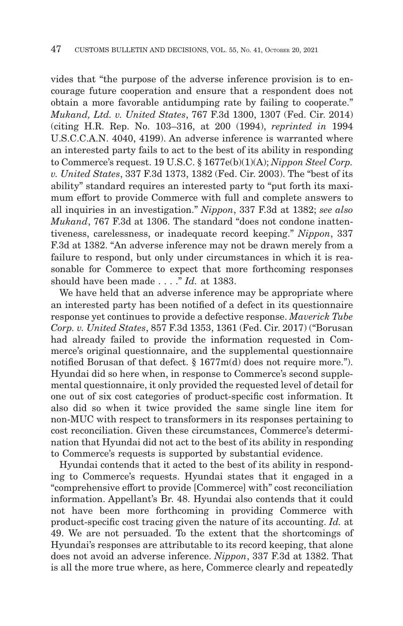vides that "the purpose of the adverse inference provision is to encourage future cooperation and ensure that a respondent does not obtain a more favorable antidumping rate by failing to cooperate." *Mukand, Ltd. v. United States*, 767 F.3d 1300, 1307 (Fed. Cir. 2014) (citing H.R. Rep. No. 103–316, at 200 (1994), *reprinted in* 1994 U.S.C.C.A.N. 4040, 4199). An adverse inference is warranted where an interested party fails to act to the best of its ability in responding to Commerce's request. 19 U.S.C. § 1677e(b)(1)(A); *Nippon Steel Corp. v. United States*, 337 F.3d 1373, 1382 (Fed. Cir. 2003). The "best of its ability" standard requires an interested party to "put forth its maximum effort to provide Commerce with full and complete answers to all inquiries in an investigation." *Nippon*, 337 F.3d at 1382; *see also Mukand*, 767 F.3d at 1306. The standard "does not condone inattentiveness, carelessness, or inadequate record keeping." *Nippon*, 337 F.3d at 1382. "An adverse inference may not be drawn merely from a failure to respond, but only under circumstances in which it is reasonable for Commerce to expect that more forthcoming responses should have been made . . . ." *Id.* at 1383.

We have held that an adverse inference may be appropriate where an interested party has been notified of a defect in its questionnaire response yet continues to provide a defective response. *Maverick Tube Corp. v. United States*, 857 F.3d 1353, 1361 (Fed. Cir. 2017) ("Borusan had already failed to provide the information requested in Commerce's original questionnaire, and the supplemental questionnaire notified Borusan of that defect. § 1677m(d) does not require more."). Hyundai did so here when, in response to Commerce's second supplemental questionnaire, it only provided the requested level of detail for one out of six cost categories of product-specific cost information. It also did so when it twice provided the same single line item for non-MUC with respect to transformers in its responses pertaining to cost reconciliation. Given these circumstances, Commerce's determination that Hyundai did not act to the best of its ability in responding to Commerce's requests is supported by substantial evidence.

Hyundai contends that it acted to the best of its ability in responding to Commerce's requests. Hyundai states that it engaged in a "comprehensive effort to provide [Commerce] with" cost reconciliation information. Appellant's Br. 48. Hyundai also contends that it could not have been more forthcoming in providing Commerce with product-specific cost tracing given the nature of its accounting. *Id.* at 49. We are not persuaded. To the extent that the shortcomings of Hyundai's responses are attributable to its record keeping, that alone does not avoid an adverse inference. *Nippon*, 337 F.3d at 1382. That is all the more true where, as here, Commerce clearly and repeatedly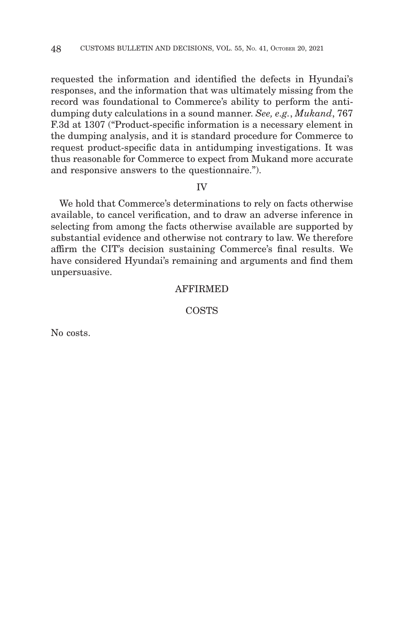requested the information and identified the defects in Hyundai's responses, and the information that was ultimately missing from the record was foundational to Commerce's ability to perform the antidumping duty calculations in a sound manner. *See, e.g.*, *Mukand*, 767 F.3d at 1307 ("Product-specific information is a necessary element in the dumping analysis, and it is standard procedure for Commerce to request product-specific data in antidumping investigations. It was thus reasonable for Commerce to expect from Mukand more accurate and responsive answers to the questionnaire.").

#### IV

We hold that Commerce's determinations to rely on facts otherwise available, to cancel verification, and to draw an adverse inference in selecting from among the facts otherwise available are supported by substantial evidence and otherwise not contrary to law. We therefore affirm the CIT's decision sustaining Commerce's final results. We have considered Hyundai's remaining and arguments and find them unpersuasive.

# AFFIRMED

**COSTS** 

No costs.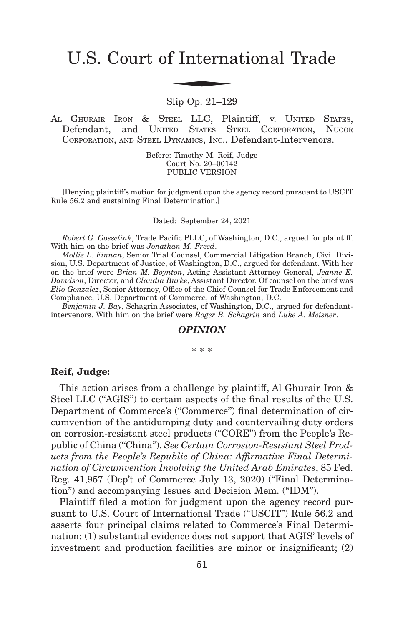# U.S. Court of International Trade f Interna

Slip Op. 21–129

AL GHURAIR IRON & STEEL LLC, Plaintiff, v. UNITED STATES, Defendant, and UNITED STATES STEEL CORPORATION, NUCOR CORPORATION, AND STEEL DYNAMICS, INC., Defendant-Intervenors.

> Before: Timothy M. Reif, Judge Court No. 20–00142 PUBLIC VERSION

[Denying plaintiff's motion for judgment upon the agency record pursuant to USCIT Rule 56.2 and sustaining Final Determination.]

Dated: September 24, 2021

*Robert G. Gosselink*, Trade Pacific PLLC, of Washington, D.C., argued for plaintiff. With him on the brief was *Jonathan M. Freed*.

*Mollie L. Finnan*, Senior Trial Counsel, Commercial Litigation Branch, Civil Division, U.S. Department of Justice, of Washington, D.C., argued for defendant. With her on the brief were *Brian M. Boynton*, Acting Assistant Attorney General, *Jeanne E. Davidson*, Director, and *Claudia Burke*, Assistant Director. Of counsel on the brief was *Elio Gonzalez*, Senior Attorney, Office of the Chief Counsel for Trade Enforcement and Compliance, U.S. Department of Commerce, of Washington, D.C.

*Benjamin J. Bay*, Schagrin Associates, of Washington, D.C., argued for defendantintervenors. With him on the brief were *Roger B. Schagrin* and *Luke A. Meisner*.

#### *OPINION*

\* \* \*

#### **Reif, Judge:**

This action arises from a challenge by plaintiff, Al Ghurair Iron & Steel LLC ("AGIS") to certain aspects of the final results of the U.S. Department of Commerce's ("Commerce") final determination of circumvention of the antidumping duty and countervailing duty orders on corrosion-resistant steel products ("CORE") from the People's Republic of China ("China"). *See Certain Corrosion-Resistant Steel Products from the People's Republic of China: Affirmative Final Determination of Circumvention Involving the United Arab Emirates*, 85 Fed. Reg. 41,957 (Dep't of Commerce July 13, 2020) ("Final Determination") and accompanying Issues and Decision Mem. ("IDM").

Plaintiff filed a motion for judgment upon the agency record pursuant to U.S. Court of International Trade ("USCIT") Rule 56.2 and asserts four principal claims related to Commerce's Final Determination: (1) substantial evidence does not support that AGIS' levels of investment and production facilities are minor or insignificant; (2)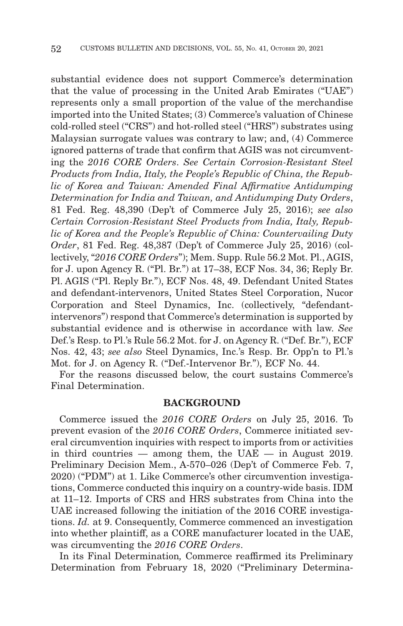substantial evidence does not support Commerce's determination that the value of processing in the United Arab Emirates ("UAE") represents only a small proportion of the value of the merchandise imported into the United States; (3) Commerce's valuation of Chinese cold-rolled steel ("CRS") and hot-rolled steel ("HRS") substrates using Malaysian surrogate values was contrary to law; and, (4) Commerce ignored patterns of trade that confirm that AGIS was not circumventing the *2016 CORE Orders*. *See Certain Corrosion-Resistant Steel Products from India, Italy, the People's Republic of China, the Republic of Korea and Taiwan: Amended Final Affirmative Antidumping Determination for India and Taiwan, and Antidumping Duty Orders*, 81 Fed. Reg. 48,390 (Dep't of Commerce July 25, 2016); *see also Certain Corrosion-Resistant Steel Products from India, Italy, Republic of Korea and the People's Republic of China: Countervailing Duty Order*, 81 Fed. Reg. 48,387 (Dep't of Commerce July 25, 2016) (collectively, "*2016 CORE Orders*"); Mem. Supp. Rule 56.2 Mot. Pl., AGIS, for J. upon Agency R. ("Pl. Br.") at 17–38, ECF Nos. 34, 36; Reply Br. Pl. AGIS ("Pl. Reply Br."), ECF Nos. 48, 49. Defendant United States and defendant-intervenors, United States Steel Corporation, Nucor Corporation and Steel Dynamics, Inc. (collectively, "defendantintervenors") respond that Commerce's determination is supported by substantial evidence and is otherwise in accordance with law. *See* Def.'s Resp. to Pl.'s Rule 56.2 Mot. for J. on Agency R. ("Def. Br."), ECF Nos. 42, 43; *see also* Steel Dynamics, Inc.'s Resp. Br. Opp'n to Pl.'s Mot. for J. on Agency R. ("Def.-Intervenor Br."), ECF No. 44.

For the reasons discussed below, the court sustains Commerce's Final Determination.

#### **BACKGROUND**

Commerce issued the *2016 CORE Orders* on July 25, 2016. To prevent evasion of the *2016 CORE Orders*, Commerce initiated several circumvention inquiries with respect to imports from or activities in third countries — among them, the  $UAE$  — in August 2019. Preliminary Decision Mem., A-570–026 (Dep't of Commerce Feb. 7, 2020) ("PDM") at 1. Like Commerce's other circumvention investigations, Commerce conducted this inquiry on a country-wide basis. IDM at 11–12. Imports of CRS and HRS substrates from China into the UAE increased following the initiation of the 2016 CORE investigations. *Id.* at 9. Consequently, Commerce commenced an investigation into whether plaintiff, as a CORE manufacturer located in the UAE, was circumventing the *2016 CORE Orders*.

In its Final Determination*,* Commerce reaffirmed its Preliminary Determination from February 18, 2020 ("Preliminary Determina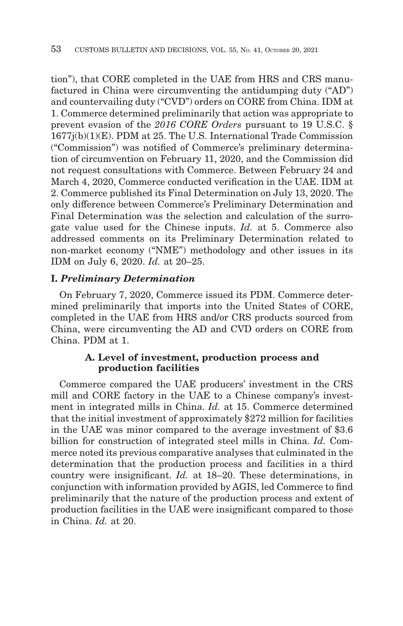tion"), that CORE completed in the UAE from HRS and CRS manufactured in China were circumventing the antidumping duty ("AD") and countervailing duty ("CVD") orders on CORE from China. IDM at 1. Commerce determined preliminarily that action was appropriate to prevent evasion of the *2016 CORE Orders* pursuant to 19 U.S.C. § 1677j(b)(1)(E). PDM at 25. The U.S. International Trade Commission ("Commission") was notified of Commerce's preliminary determination of circumvention on February 11, 2020, and the Commission did not request consultations with Commerce. Between February 24 and March 4, 2020, Commerce conducted verification in the UAE. IDM at 2. Commerce published its Final Determination on July 13, 2020. The only difference between Commerce's Preliminary Determination and Final Determination was the selection and calculation of the surrogate value used for the Chinese inputs. *Id.* at 5. Commerce also addressed comments on its Preliminary Determination related to non-market economy ("NME") methodology and other issues in its IDM on July 6, 2020. *Id.* at 20–25.

## **I.** *Preliminary Determination*

On February 7, 2020, Commerce issued its PDM. Commerce determined preliminarily that imports into the United States of CORE, completed in the UAE from HRS and/or CRS products sourced from China, were circumventing the AD and CVD orders on CORE from China. PDM at 1.

## **A. Level of investment, production process and production facilities**

Commerce compared the UAE producers' investment in the CRS mill and CORE factory in the UAE to a Chinese company's investment in integrated mills in China. *Id.* at 15. Commerce determined that the initial investment of approximately \$272 million for facilities in the UAE was minor compared to the average investment of \$3.6 billion for construction of integrated steel mills in China. *Id.* Commerce noted its previous comparative analyses that culminated in the determination that the production process and facilities in a third country were insignificant. *Id.* at 18–20. These determinations, in conjunction with information provided by AGIS, led Commerce to find preliminarily that the nature of the production process and extent of production facilities in the UAE were insignificant compared to those in China. *Id.* at 20.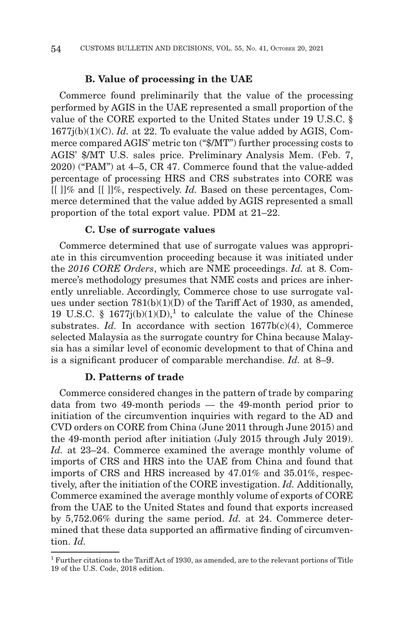#### **B. Value of processing in the UAE**

Commerce found preliminarily that the value of the processing performed by AGIS in the UAE represented a small proportion of the value of the CORE exported to the United States under 19 U.S.C. § 1677j(b)(1)(C). *Id.* at 22. To evaluate the value added by AGIS, Commerce compared AGIS' metric ton ("\$/MT") further processing costs to AGIS' \$/MT U.S. sales price. Preliminary Analysis Mem. (Feb. 7, 2020) ("PAM") at 4–5, CR 47. Commerce found that the value-added percentage of processing HRS and CRS substrates into CORE was [[ ]]% and [[ ]]%, respectively. *Id.* Based on these percentages, Commerce determined that the value added by AGIS represented a small proportion of the total export value. PDM at 21–22.

#### **C. Use of surrogate values**

Commerce determined that use of surrogate values was appropriate in this circumvention proceeding because it was initiated under the *2016 CORE Orders*, which are NME proceedings. *Id.* at 8. Commerce's methodology presumes that NME costs and prices are inherently unreliable. Accordingly, Commerce chose to use surrogate values under section 781(b)(1)(D) of the Tariff Act of 1930, as amended, 19 U.S.C. § 1677j(b)(1)(D),<sup>1</sup> to calculate the value of the Chinese substrates. *Id.* In accordance with section  $1677b(c)(4)$ , Commerce selected Malaysia as the surrogate country for China because Malaysia has a similar level of economic development to that of China and is a significant producer of comparable merchandise. *Id.* at 8–9.

#### **D. Patterns of trade**

Commerce considered changes in the pattern of trade by comparing data from two 49-month periods — the 49-month period prior to initiation of the circumvention inquiries with regard to the AD and CVD orders on CORE from China (June 2011 through June 2015) and the 49-month period after initiation (July 2015 through July 2019). *Id.* at 23–24. Commerce examined the average monthly volume of imports of CRS and HRS into the UAE from China and found that imports of CRS and HRS increased by 47.01% and 35.01%, respectively, after the initiation of the CORE investigation. *Id.* Additionally, Commerce examined the average monthly volume of exports of CORE from the UAE to the United States and found that exports increased by 5,752.06% during the same period. *Id.* at 24. Commerce determined that these data supported an affirmative finding of circumvention. *Id.*

 $^{\rm 1}$  Further citations to the Tariff Act of 1930, as amended, are to the relevant portions of Title 19 of the U.S. Code, 2018 edition.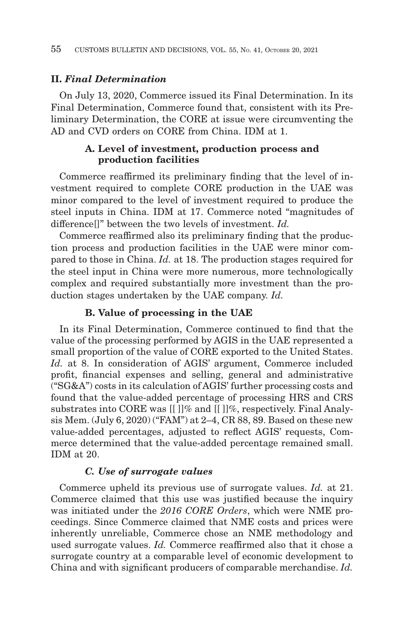## **II.** *Final Determination*

On July 13, 2020, Commerce issued its Final Determination. In its Final Determination, Commerce found that, consistent with its Preliminary Determination, the CORE at issue were circumventing the AD and CVD orders on CORE from China. IDM at 1.

# **A. Level of investment, production process and production facilities**

Commerce reaffirmed its preliminary finding that the level of investment required to complete CORE production in the UAE was minor compared to the level of investment required to produce the steel inputs in China. IDM at 17. Commerce noted "magnitudes of difference[]" between the two levels of investment. *Id.*

Commerce reaffirmed also its preliminary finding that the production process and production facilities in the UAE were minor compared to those in China. *Id.* at 18. The production stages required for the steel input in China were more numerous, more technologically complex and required substantially more investment than the production stages undertaken by the UAE company. *Id.*

#### **B. Value of processing in the UAE**

In its Final Determination, Commerce continued to find that the value of the processing performed by AGIS in the UAE represented a small proportion of the value of CORE exported to the United States. *Id.* at 8. In consideration of AGIS' argument, Commerce included profit, financial expenses and selling, general and administrative ("SG&A") costs in its calculation of AGIS' further processing costs and found that the value-added percentage of processing HRS and CRS substrates into CORE was [[ ]]% and [[ ]]%, respectively. Final Analysis Mem. (July 6, 2020) ("FAM") at 2–4, CR 88, 89. Based on these new value-added percentages, adjusted to reflect AGIS' requests, Commerce determined that the value-added percentage remained small. IDM at 20.

#### *C. Use of surrogate values*

Commerce upheld its previous use of surrogate values. *Id.* at 21. Commerce claimed that this use was justified because the inquiry was initiated under the *2016 CORE Orders*, which were NME proceedings. Since Commerce claimed that NME costs and prices were inherently unreliable, Commerce chose an NME methodology and used surrogate values. *Id.* Commerce reaffirmed also that it chose a surrogate country at a comparable level of economic development to China and with significant producers of comparable merchandise. *Id.*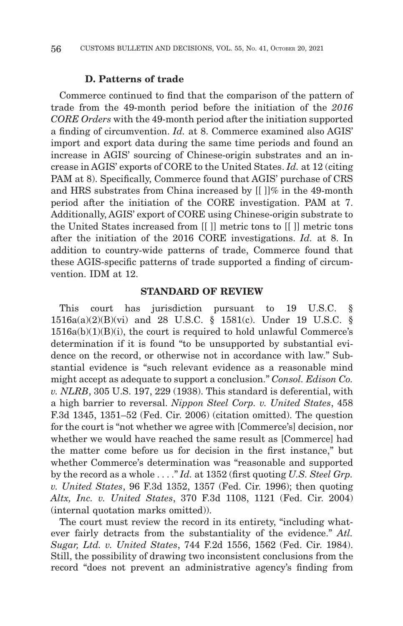#### **D. Patterns of trade**

Commerce continued to find that the comparison of the pattern of trade from the 49-month period before the initiation of the *2016 CORE Orders* with the 49-month period after the initiation supported a finding of circumvention. *Id.* at 8. Commerce examined also AGIS' import and export data during the same time periods and found an increase in AGIS' sourcing of Chinese-origin substrates and an increase in AGIS' exports of CORE to the United States. *Id.* at 12 (citing PAM at 8). Specifically, Commerce found that AGIS' purchase of CRS and HRS substrates from China increased by [[ ]]% in the 49-month period after the initiation of the CORE investigation. PAM at 7. Additionally, AGIS' export of CORE using Chinese-origin substrate to the United States increased from [[ ]] metric tons to [[ ]] metric tons after the initiation of the 2016 CORE investigations. *Id.* at 8. In addition to country-wide patterns of trade, Commerce found that these AGIS-specific patterns of trade supported a finding of circumvention. IDM at 12.

## **STANDARD OF REVIEW**

This court has jurisdiction pursuant to 19 U.S.C. § 1516a(a)(2)(B)(vi) and 28 U.S.C. § 1581(c). Under 19 U.S.C. §  $1516a(b)(1)(B)(i)$ , the court is required to hold unlawful Commerce's determination if it is found "to be unsupported by substantial evidence on the record, or otherwise not in accordance with law." Substantial evidence is "such relevant evidence as a reasonable mind might accept as adequate to support a conclusion." *Consol. Edison Co. v. NLRB*, 305 U.S. 197, 229 (1938). This standard is deferential, with a high barrier to reversal. *Nippon Steel Corp. v. United States*, 458 F.3d 1345, 1351–52 (Fed. Cir. 2006) (citation omitted). The question for the court is "not whether we agree with [Commerce's] decision, nor whether we would have reached the same result as [Commerce] had the matter come before us for decision in the first instance," but whether Commerce's determination was "reasonable and supported by the record as a whole . . . ." *Id.* at 1352 (first quoting *U.S. Steel Grp. v. United States*, 96 F.3d 1352, 1357 (Fed. Cir. 1996); then quoting *Altx, Inc. v. United States*, 370 F.3d 1108, 1121 (Fed. Cir. 2004) (internal quotation marks omitted)).

The court must review the record in its entirety, "including whatever fairly detracts from the substantiality of the evidence." *Atl. Sugar, Ltd. v. United States*, 744 F.2d 1556, 1562 (Fed. Cir. 1984). Still, the possibility of drawing two inconsistent conclusions from the record "does not prevent an administrative agency's finding from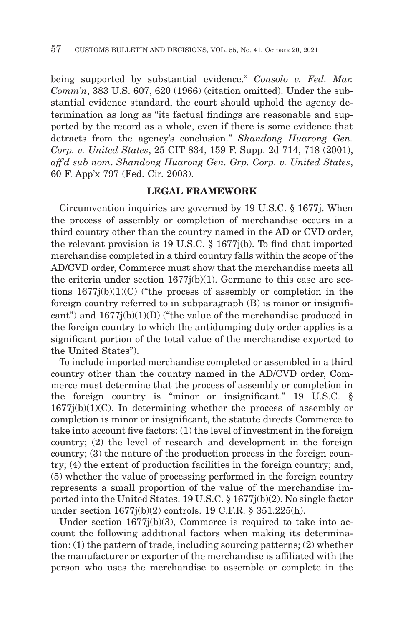being supported by substantial evidence." *Consolo v. Fed. Mar. Comm'n*, 383 U.S. 607, 620 (1966) (citation omitted). Under the substantial evidence standard, the court should uphold the agency determination as long as "its factual findings are reasonable and supported by the record as a whole, even if there is some evidence that detracts from the agency's conclusion." *Shandong Huarong Gen. Corp. v. United States*, 25 CIT 834, 159 F. Supp. 2d 714, 718 (2001), *aff'd sub nom*. *Shandong Huarong Gen. Grp. Corp. v. United States*, 60 F. App'x 797 (Fed. Cir. 2003).

## **LEGAL FRAMEWORK**

Circumvention inquiries are governed by 19 U.S.C. § 1677j. When the process of assembly or completion of merchandise occurs in a third country other than the country named in the AD or CVD order, the relevant provision is 19 U.S.C. § 1677j(b). To find that imported merchandise completed in a third country falls within the scope of the AD/CVD order, Commerce must show that the merchandise meets all the criteria under section  $1677j(b)(1)$ . Germane to this case are sections 1677j(b)(1)(C) ("the process of assembly or completion in the foreign country referred to in subparagraph (B) is minor or insignificant") and  $1677j(b)(1)(D)$  ("the value of the merchandise produced in the foreign country to which the antidumping duty order applies is a significant portion of the total value of the merchandise exported to the United States").

To include imported merchandise completed or assembled in a third country other than the country named in the AD/CVD order, Commerce must determine that the process of assembly or completion in the foreign country is "minor or insignificant." 19 U.S.C. §  $1677j(b)(1)(C)$ . In determining whether the process of assembly or completion is minor or insignificant, the statute directs Commerce to take into account five factors: (1) the level of investment in the foreign country; (2) the level of research and development in the foreign country; (3) the nature of the production process in the foreign country; (4) the extent of production facilities in the foreign country; and, (5) whether the value of processing performed in the foreign country represents a small proportion of the value of the merchandise imported into the United States. 19 U.S.C. § 1677j(b)(2). No single factor under section 1677j(b)(2) controls. 19 C.F.R. § 351.225(h).

Under section  $1677j(b)(3)$ , Commerce is required to take into account the following additional factors when making its determination: (1) the pattern of trade, including sourcing patterns; (2) whether the manufacturer or exporter of the merchandise is affiliated with the person who uses the merchandise to assemble or complete in the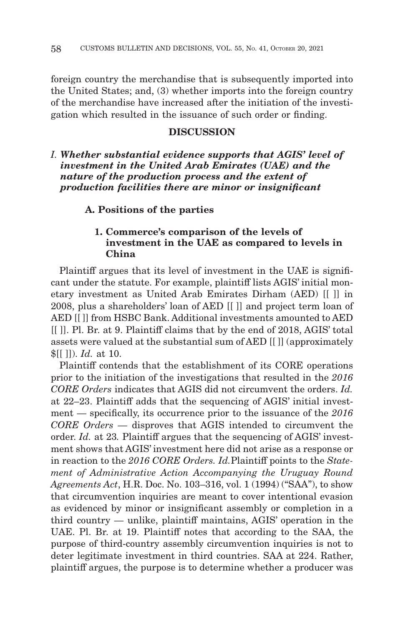foreign country the merchandise that is subsequently imported into the United States; and, (3) whether imports into the foreign country of the merchandise have increased after the initiation of the investigation which resulted in the issuance of such order or finding.

## **DISCUSSION**

*I. Whether substantial evidence supports that AGIS' level of investment in the United Arab Emirates (UAE) and the nature of the production process and the extent of production facilities there are minor or insignificant*

#### **A. Positions of the parties**

# **1. Commerce's comparison of the levels of investment in the UAE as compared to levels in China**

Plaintiff argues that its level of investment in the UAE is significant under the statute. For example, plaintiff lists AGIS' initial monetary investment as United Arab Emirates Dirham (AED) [[ ]] in 2008, plus a shareholders' loan of AED [[ ]] and project term loan of AED [[ ]] from HSBC Bank. Additional investments amounted to AED [[ ]]. Pl. Br. at 9. Plaintiff claims that by the end of 2018, AGIS' total assets were valued at the substantial sum of AED [[ ]] (approximately \$[[ ]]). *Id.* at 10.

Plaintiff contends that the establishment of its CORE operations prior to the initiation of the investigations that resulted in the *2016 CORE Orders* indicates that AGIS did not circumvent the orders. *Id.* at 22–23. Plaintiff adds that the sequencing of AGIS' initial investment — specifically, its occurrence prior to the issuance of the *2016 CORE Orders —* disproves that AGIS intended to circumvent the order. *Id.* at 23*.* Plaintiff argues that the sequencing of AGIS' investment shows that AGIS' investment here did not arise as a response or in reaction to the *2016 CORE Orders. Id.*Plaintiff points to the *Statement of Administrative Action Accompanying the Uruguay Round Agreements Act*, H.R. Doc. No. 103–316, vol. 1 (1994) ("SAA"), to show that circumvention inquiries are meant to cover intentional evasion as evidenced by minor or insignificant assembly or completion in a third country — unlike, plaintiff maintains, AGIS' operation in the UAE. Pl. Br. at 19. Plaintiff notes that according to the SAA, the purpose of third-country assembly circumvention inquiries is not to deter legitimate investment in third countries. SAA at 224. Rather, plaintiff argues, the purpose is to determine whether a producer was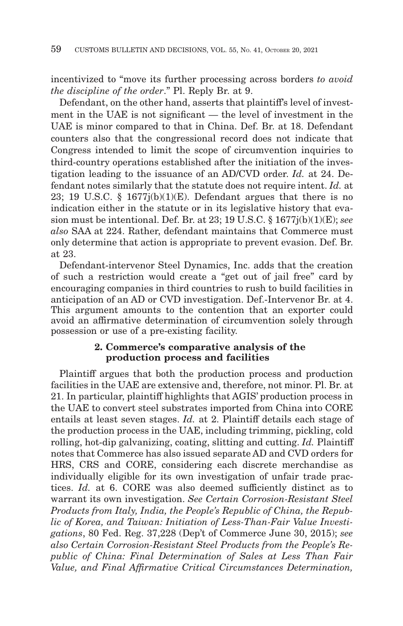incentivized to "move its further processing across borders *to avoid the discipline of the order*." Pl. Reply Br. at 9.

Defendant, on the other hand, asserts that plaintiff's level of investment in the UAE is not significant — the level of investment in the UAE is minor compared to that in China. Def. Br. at 18. Defendant counters also that the congressional record does not indicate that Congress intended to limit the scope of circumvention inquiries to third-country operations established after the initiation of the investigation leading to the issuance of an AD/CVD order. *Id.* at 24. Defendant notes similarly that the statute does not require intent. *Id.* at 23; 19 U.S.C. § 1677 $i(b)(1)(E)$ . Defendant argues that there is no indication either in the statute or in its legislative history that evasion must be intentional. Def. Br. at 23; 19 U.S.C. § 1677j(b)(1)(E); *see also* SAA at 224. Rather, defendant maintains that Commerce must only determine that action is appropriate to prevent evasion. Def. Br. at 23.

Defendant-intervenor Steel Dynamics, Inc. adds that the creation of such a restriction would create a "get out of jail free" card by encouraging companies in third countries to rush to build facilities in anticipation of an AD or CVD investigation. Def.-Intervenor Br. at 4. This argument amounts to the contention that an exporter could avoid an affirmative determination of circumvention solely through possession or use of a pre-existing facility.

## **2. Commerce's comparative analysis of the production process and facilities**

Plaintiff argues that both the production process and production facilities in the UAE are extensive and, therefore, not minor. Pl. Br. at 21. In particular, plaintiff highlights that AGIS' production process in the UAE to convert steel substrates imported from China into CORE entails at least seven stages. *Id.* at 2. Plaintiff details each stage of the production process in the UAE, including trimming, pickling, cold rolling, hot-dip galvanizing, coating, slitting and cutting. *Id.* Plaintiff notes that Commerce has also issued separate AD and CVD orders for HRS, CRS and CORE, considering each discrete merchandise as individually eligible for its own investigation of unfair trade practices. *Id.* at 6. CORE was also deemed sufficiently distinct as to warrant its own investigation. *See Certain Corrosion-Resistant Steel Products from Italy, India, the People's Republic of China, the Republic of Korea, and Taiwan: Initiation of Less-Than-Fair Value Investigations*, 80 Fed. Reg. 37,228 (Dep't of Commerce June 30, 2015); *see also Certain Corrosion-Resistant Steel Products from the People's Republic of China: Final Determination of Sales at Less Than Fair Value, and Final Affirmative Critical Circumstances Determination,*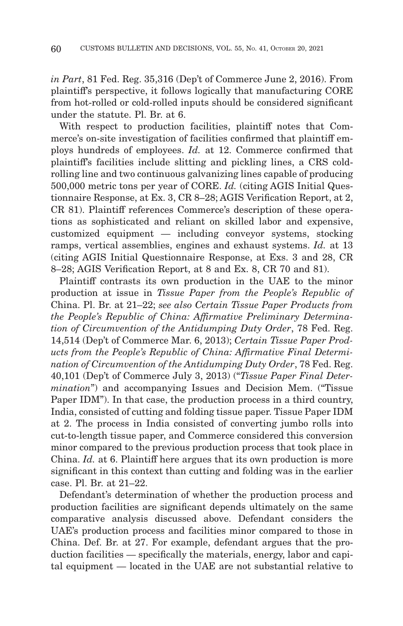*in Part*, 81 Fed. Reg. 35,316 (Dep't of Commerce June 2, 2016). From plaintiff's perspective, it follows logically that manufacturing CORE from hot-rolled or cold-rolled inputs should be considered significant under the statute. Pl. Br. at 6.

With respect to production facilities, plaintiff notes that Commerce's on-site investigation of facilities confirmed that plaintiff employs hundreds of employees. *Id.* at 12. Commerce confirmed that plaintiff's facilities include slitting and pickling lines, a CRS coldrolling line and two continuous galvanizing lines capable of producing 500,000 metric tons per year of CORE. *Id.* (citing AGIS Initial Questionnaire Response, at Ex. 3, CR 8–28; AGIS Verification Report, at 2, CR 81). Plaintiff references Commerce's description of these operations as sophisticated and reliant on skilled labor and expensive, customized equipment — including conveyor systems, stocking ramps, vertical assemblies, engines and exhaust systems. *Id.* at 13 (citing AGIS Initial Questionnaire Response, at Exs. 3 and 28, CR 8–28; AGIS Verification Report, at 8 and Ex. 8, CR 70 and 81).

Plaintiff contrasts its own production in the UAE to the minor production at issue in *Tissue Paper from the People's Republic of* China. Pl. Br. at 21–22; *see also Certain Tissue Paper Products from the People's Republic of China: Affirmative Preliminary Determination of Circumvention of the Antidumping Duty Order*, 78 Fed. Reg. 14,514 (Dep't of Commerce Mar. 6, 2013); *Certain Tissue Paper Products from the People's Republic of China: Affirmative Final Determination of Circumvention of the Antidumping Duty Order*, 78 Fed. Reg. 40,101 (Dep't of Commerce July 3, 2013) ("*Tissue Paper Final Determination*") and accompanying Issues and Decision Mem. ("Tissue Paper IDM"). In that case, the production process in a third country, India, consisted of cutting and folding tissue paper. Tissue Paper IDM at 2. The process in India consisted of converting jumbo rolls into cut-to-length tissue paper, and Commerce considered this conversion minor compared to the previous production process that took place in China. *Id.* at 6. Plaintiff here argues that its own production is more significant in this context than cutting and folding was in the earlier case. Pl. Br. at 21–22.

Defendant's determination of whether the production process and production facilities are significant depends ultimately on the same comparative analysis discussed above. Defendant considers the UAE's production process and facilities minor compared to those in China. Def. Br. at 27. For example, defendant argues that the production facilities — specifically the materials, energy, labor and capital equipment — located in the UAE are not substantial relative to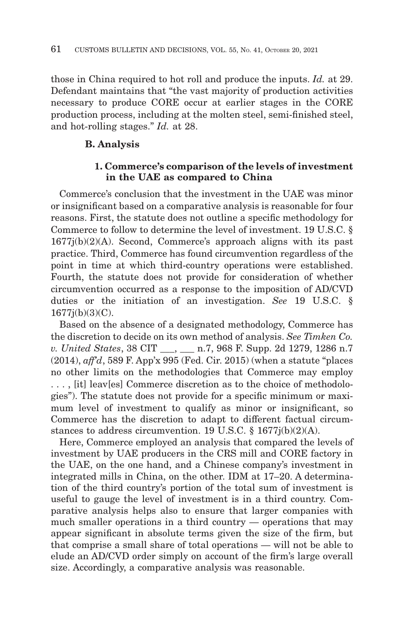those in China required to hot roll and produce the inputs. *Id.* at 29. Defendant maintains that "the vast majority of production activities necessary to produce CORE occur at earlier stages in the CORE production process, including at the molten steel, semi-finished steel, and hot-rolling stages." *Id.* at 28.

## **B. Analysis**

## **1. Commerce's comparison of the levels of investment in the UAE as compared to China**

Commerce's conclusion that the investment in the UAE was minor or insignificant based on a comparative analysis is reasonable for four reasons. First, the statute does not outline a specific methodology for Commerce to follow to determine the level of investment. 19 U.S.C. § 1677j(b)(2)(A). Second, Commerce's approach aligns with its past practice. Third, Commerce has found circumvention regardless of the point in time at which third-country operations were established. Fourth, the statute does not provide for consideration of whether circumvention occurred as a response to the imposition of AD/CVD duties or the initiation of an investigation. *See* 19 U.S.C. § 1677j(b)(3)(C).

Based on the absence of a designated methodology, Commerce has the discretion to decide on its own method of analysis. *See Timken Co. v. United States*, 38 CIT \_\_\_, \_\_\_ n.7, 968 F. Supp. 2d 1279, 1286 n.7 (2014), *aff'd*, 589 F. App'x 995 (Fed. Cir. 2015) (when a statute "places no other limits on the methodologies that Commerce may employ . . . , [it] leav[es] Commerce discretion as to the choice of methodologies"). The statute does not provide for a specific minimum or maximum level of investment to qualify as minor or insignificant, so Commerce has the discretion to adapt to different factual circumstances to address circumvention. 19 U.S.C. § 1677j(b)(2)(A).

Here, Commerce employed an analysis that compared the levels of investment by UAE producers in the CRS mill and CORE factory in the UAE, on the one hand, and a Chinese company's investment in integrated mills in China, on the other. IDM at 17–20. A determination of the third country's portion of the total sum of investment is useful to gauge the level of investment is in a third country. Comparative analysis helps also to ensure that larger companies with much smaller operations in a third country — operations that may appear significant in absolute terms given the size of the firm, but that comprise a small share of total operations — will not be able to elude an AD/CVD order simply on account of the firm's large overall size. Accordingly, a comparative analysis was reasonable.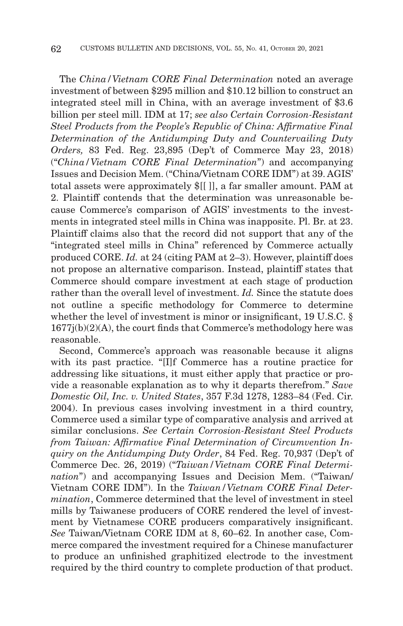The *China/Vietnam CORE Final Determination* noted an average investment of between \$295 million and \$10.12 billion to construct an integrated steel mill in China, with an average investment of \$3.6 billion per steel mill. IDM at 17; *see also Certain Corrosion-Resistant Steel Products from the People's Republic of China: Affirmative Final Determination of the Antidumping Duty and Countervailing Duty Orders,* 83 Fed. Reg. 23,895 (Dep't of Commerce May 23, 2018) ("*China/Vietnam CORE Final Determination*") and accompanying Issues and Decision Mem. ("China/Vietnam CORE IDM") at 39. AGIS' total assets were approximately \$[[ ]], a far smaller amount. PAM at 2. Plaintiff contends that the determination was unreasonable because Commerce's comparison of AGIS' investments to the investments in integrated steel mills in China was inapposite. Pl. Br. at 23. Plaintiff claims also that the record did not support that any of the "integrated steel mills in China" referenced by Commerce actually produced CORE. *Id.* at 24 (citing PAM at 2–3). However, plaintiff does not propose an alternative comparison. Instead, plaintiff states that Commerce should compare investment at each stage of production rather than the overall level of investment. *Id.* Since the statute does not outline a specific methodology for Commerce to determine whether the level of investment is minor or insignificant, 19 U.S.C. §  $1677j(b)(2)(A)$ , the court finds that Commerce's methodology here was reasonable.

Second, Commerce's approach was reasonable because it aligns with its past practice. "[I]f Commerce has a routine practice for addressing like situations, it must either apply that practice or provide a reasonable explanation as to why it departs therefrom." *Save Domestic Oil, Inc. v. United States*, 357 F.3d 1278, 1283–84 (Fed. Cir. 2004). In previous cases involving investment in a third country, Commerce used a similar type of comparative analysis and arrived at similar conclusions. *See Certain Corrosion-Resistant Steel Products from Taiwan: Affirmative Final Determination of Circumvention Inquiry on the Antidumping Duty Order*, 84 Fed. Reg. 70,937 (Dep't of Commerce Dec. 26, 2019) ("*Taiwan/Vietnam CORE Final Determination*") and accompanying Issues and Decision Mem. ("Taiwan/ Vietnam CORE IDM"). In the *Taiwan/Vietnam CORE Final Determination*, Commerce determined that the level of investment in steel mills by Taiwanese producers of CORE rendered the level of investment by Vietnamese CORE producers comparatively insignificant. *See* Taiwan/Vietnam CORE IDM at 8, 60–62. In another case, Commerce compared the investment required for a Chinese manufacturer to produce an unfinished graphitized electrode to the investment required by the third country to complete production of that product.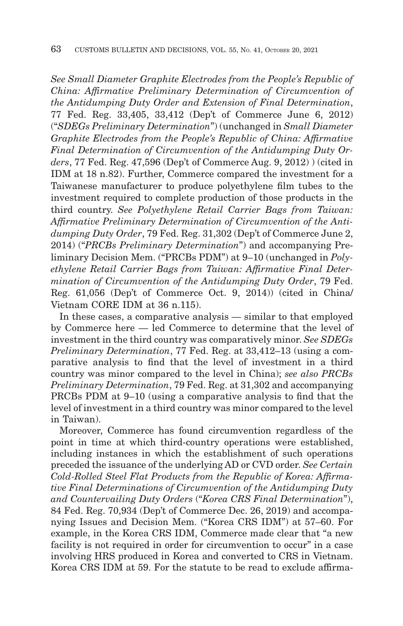*See Small Diameter Graphite Electrodes from the People's Republic of China: Affirmative Preliminary Determination of Circumvention of the Antidumping Duty Order and Extension of Final Determination*, 77 Fed. Reg. 33,405, 33,412 (Dep't of Commerce June 6, 2012) ("*SDEGs Preliminary Determination*") (unchanged in *Small Diameter Graphite Electrodes from the People's Republic of China: Affirmative Final Determination of Circumvention of the Antidumping Duty Orders*, 77 Fed. Reg. 47,596 (Dep't of Commerce Aug. 9, 2012) ) (cited in IDM at 18 n.82). Further, Commerce compared the investment for a Taiwanese manufacturer to produce polyethylene film tubes to the investment required to complete production of those products in the third country. *See Polyethylene Retail Carrier Bags from Taiwan: Affirmative Preliminary Determination of Circumvention of the Antidumping Duty Order*, 79 Fed. Reg. 31,302 (Dep't of Commerce June 2, 2014) ("*PRCBs Preliminary Determination*") and accompanying Preliminary Decision Mem. ("PRCBs PDM") at 9–10 (unchanged in *Polyethylene Retail Carrier Bags from Taiwan: Affirmative Final Determination of Circumvention of the Antidumping Duty Order*, 79 Fed. Reg. 61,056 (Dep't of Commerce Oct. 9, 2014)) (cited in China/ Vietnam CORE IDM at 36 n.115).

In these cases, a comparative analysis — similar to that employed by Commerce here — led Commerce to determine that the level of investment in the third country was comparatively minor. *See SDEGs Preliminary Determination*, 77 Fed. Reg. at 33,412–13 (using a comparative analysis to find that the level of investment in a third country was minor compared to the level in China); *see also PRCBs Preliminary Determination*, 79 Fed. Reg. at 31,302 and accompanying PRCBs PDM at 9–10 (using a comparative analysis to find that the level of investment in a third country was minor compared to the level in Taiwan).

Moreover, Commerce has found circumvention regardless of the point in time at which third-country operations were established, including instances in which the establishment of such operations preceded the issuance of the underlying AD or CVD order. *See Certain Cold-Rolled Steel Flat Products from the Republic of Korea: Affirmative Final Determinations of Circumvention of the Antidumping Duty and Countervailing Duty Orders* ("*Korea CRS Final Determination*"), 84 Fed. Reg. 70,934 (Dep't of Commerce Dec. 26, 2019) and accompanying Issues and Decision Mem. ("Korea CRS IDM") at 57–60. For example, in the Korea CRS IDM, Commerce made clear that "a new facility is not required in order for circumvention to occur" in a case involving HRS produced in Korea and converted to CRS in Vietnam. Korea CRS IDM at 59. For the statute to be read to exclude affirma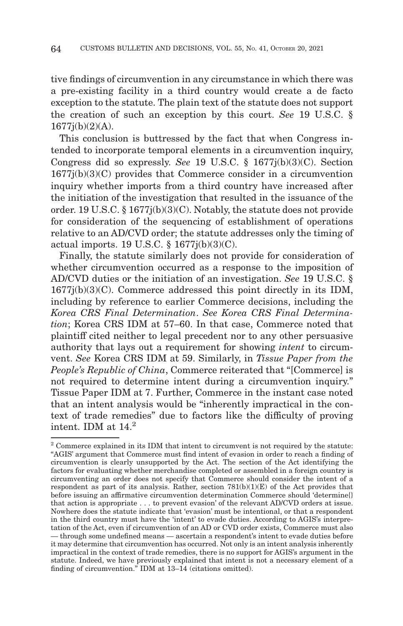tive findings of circumvention in any circumstance in which there was a pre-existing facility in a third country would create a de facto exception to the statute. The plain text of the statute does not support the creation of such an exception by this court. *See* 19 U.S.C. §  $1677j(b)(2)(A)$ .

This conclusion is buttressed by the fact that when Congress intended to incorporate temporal elements in a circumvention inquiry, Congress did so expressly. *See* 19 U.S.C. § 1677j(b)(3)(C). Section 1677j(b)(3)(C) provides that Commerce consider in a circumvention inquiry whether imports from a third country have increased after the initiation of the investigation that resulted in the issuance of the order. 19 U.S.C. § 1677j(b)(3)(C). Notably, the statute does not provide for consideration of the sequencing of establishment of operations relative to an AD/CVD order; the statute addresses only the timing of actual imports. 19 U.S.C. § 1677j(b)(3)(C).

Finally, the statute similarly does not provide for consideration of whether circumvention occurred as a response to the imposition of AD/CVD duties or the initiation of an investigation. *See* 19 U.S.C. § 1677j(b)(3)(C). Commerce addressed this point directly in its IDM, including by reference to earlier Commerce decisions, including the *Korea CRS Final Determination*. *See Korea CRS Final Determination*; Korea CRS IDM at 57–60. In that case, Commerce noted that plaintiff cited neither to legal precedent nor to any other persuasive authority that lays out a requirement for showing *intent* to circumvent. *See* Korea CRS IDM at 59. Similarly, in *Tissue Paper from the People's Republic of China*, Commerce reiterated that "[Commerce] is not required to determine intent during a circumvention inquiry." Tissue Paper IDM at 7. Further, Commerce in the instant case noted that an intent analysis would be "inherently impractical in the context of trade remedies" due to factors like the difficulty of proving intent. IDM at  $14.<sup>2</sup>$ 

<sup>&</sup>lt;sup>2</sup> Commerce explained in its IDM that intent to circumvent is not required by the statute: "AGIS' argument that Commerce must find intent of evasion in order to reach a finding of circumvention is clearly unsupported by the Act. The section of the Act identifying the factors for evaluating whether merchandise completed or assembled in a foreign country is circumventing an order does not specify that Commerce should consider the intent of a respondent as part of its analysis. Rather, section 781(b)(1)(E) of the Act provides that before issuing an affirmative circumvention determination Commerce should 'determine{} that action is appropriate . . . to prevent evasion' of the relevant AD/CVD orders at issue. Nowhere does the statute indicate that 'evasion' must be intentional, or that a respondent in the third country must have the 'intent' to evade duties. According to AGIS's interpretation of the Act, even if circumvention of an AD or CVD order exists, Commerce must also — through some undefined means — ascertain a respondent's intent to evade duties before it may determine that circumvention has occurred. Not only is an intent analysis inherently impractical in the context of trade remedies, there is no support for AGIS's argument in the statute. Indeed, we have previously explained that intent is not a necessary element of a finding of circumvention." IDM at 13–14 (citations omitted).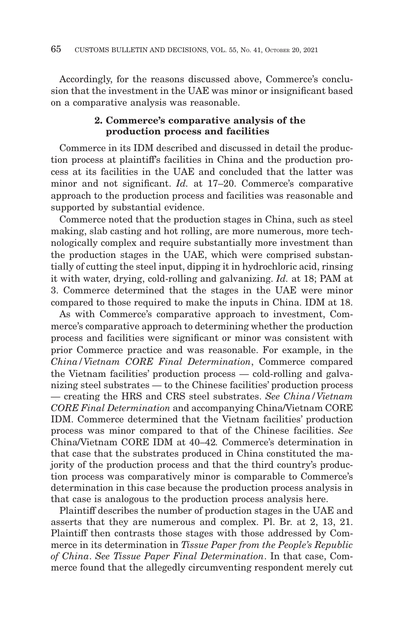Accordingly, for the reasons discussed above, Commerce's conclusion that the investment in the UAE was minor or insignificant based on a comparative analysis was reasonable.

# **2. Commerce's comparative analysis of the production process and facilities**

Commerce in its IDM described and discussed in detail the production process at plaintiff's facilities in China and the production process at its facilities in the UAE and concluded that the latter was minor and not significant. *Id.* at 17–20. Commerce's comparative approach to the production process and facilities was reasonable and supported by substantial evidence.

Commerce noted that the production stages in China, such as steel making, slab casting and hot rolling, are more numerous, more technologically complex and require substantially more investment than the production stages in the UAE, which were comprised substantially of cutting the steel input, dipping it in hydrochloric acid, rinsing it with water, drying, cold-rolling and galvanizing. *Id.* at 18; PAM at 3. Commerce determined that the stages in the UAE were minor compared to those required to make the inputs in China. IDM at 18.

As with Commerce's comparative approach to investment, Commerce's comparative approach to determining whether the production process and facilities were significant or minor was consistent with prior Commerce practice and was reasonable. For example, in the *China/Vietnam CORE Final Determination*, Commerce compared the Vietnam facilities' production process — cold-rolling and galvanizing steel substrates — to the Chinese facilities' production process — creating the HRS and CRS steel substrates. *See China/Vietnam CORE Final Determination* and accompanying China/Vietnam CORE IDM. Commerce determined that the Vietnam facilities' production process was minor compared to that of the Chinese facilities. *See* China/Vietnam CORE IDM at 40–42*.* Commerce's determination in that case that the substrates produced in China constituted the majority of the production process and that the third country's production process was comparatively minor is comparable to Commerce's determination in this case because the production process analysis in that case is analogous to the production process analysis here.

Plaintiff describes the number of production stages in the UAE and asserts that they are numerous and complex. Pl. Br. at 2, 13, 21. Plaintiff then contrasts those stages with those addressed by Commerce in its determination in *Tissue Paper from the People's Republic of China*. *See Tissue Paper Final Determination*. In that case, Commerce found that the allegedly circumventing respondent merely cut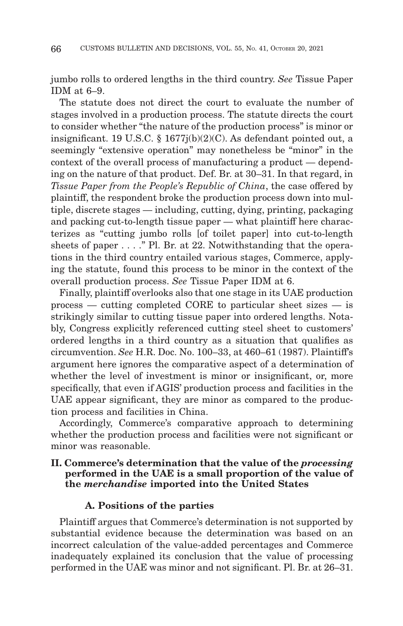jumbo rolls to ordered lengths in the third country. *See* Tissue Paper IDM at 6–9.

The statute does not direct the court to evaluate the number of stages involved in a production process. The statute directs the court to consider whether "the nature of the production process" is minor or insignificant. 19 U.S.C. § 1677j(b)(2)(C). As defendant pointed out, a seemingly "extensive operation" may nonetheless be "minor" in the context of the overall process of manufacturing a product — depending on the nature of that product. Def. Br. at 30–31. In that regard, in *Tissue Paper from the People's Republic of China*, the case offered by plaintiff, the respondent broke the production process down into multiple, discrete stages — including, cutting, dying, printing, packaging and packing cut-to-length tissue paper — what plaintiff here characterizes as "cutting jumbo rolls [of toilet paper] into cut-to-length sheets of paper . . . ." Pl. Br. at 22. Notwithstanding that the operations in the third country entailed various stages, Commerce, applying the statute, found this process to be minor in the context of the overall production process. *See* Tissue Paper IDM at 6.

Finally, plaintiff overlooks also that one stage in its UAE production process — cutting completed CORE to particular sheet sizes  $-$  is strikingly similar to cutting tissue paper into ordered lengths. Notably, Congress explicitly referenced cutting steel sheet to customers' ordered lengths in a third country as a situation that qualifies as circumvention. *See* H.R. Doc. No. 100–33, at 460–61 (1987). Plaintiff's argument here ignores the comparative aspect of a determination of whether the level of investment is minor or insignificant, or, more specifically, that even if AGIS' production process and facilities in the UAE appear significant, they are minor as compared to the production process and facilities in China.

Accordingly, Commerce's comparative approach to determining whether the production process and facilities were not significant or minor was reasonable.

## **II. Commerce's determination that the value of the** *processing* **performed in the UAE is a small proportion of the value of the** *merchandise* **imported into the United States**

#### **A. Positions of the parties**

Plaintiff argues that Commerce's determination is not supported by substantial evidence because the determination was based on an incorrect calculation of the value-added percentages and Commerce inadequately explained its conclusion that the value of processing performed in the UAE was minor and not significant. Pl. Br. at 26–31.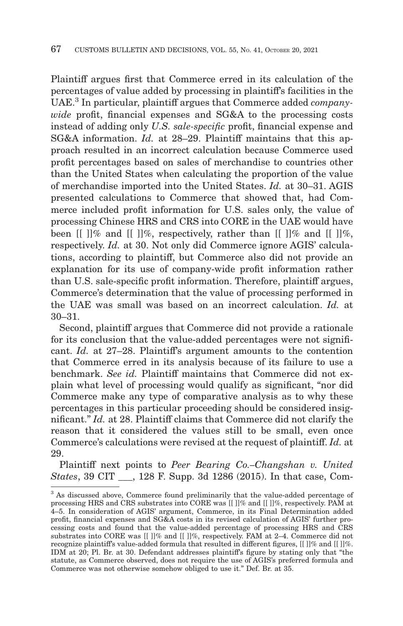Plaintiff argues first that Commerce erred in its calculation of the percentages of value added by processing in plaintiff's facilities in the UAE.3 In particular, plaintiff argues that Commerce added *companywide* profit, financial expenses and SG&A to the processing costs instead of adding only *U.S. sale-specific* profit, financial expense and SG&A information. *Id.* at 28–29. Plaintiff maintains that this approach resulted in an incorrect calculation because Commerce used profit percentages based on sales of merchandise to countries other than the United States when calculating the proportion of the value of merchandise imported into the United States. *Id.* at 30–31. AGIS presented calculations to Commerce that showed that, had Commerce included profit information for U.S. sales only, the value of processing Chinese HRS and CRS into CORE in the UAE would have been  $\llbracket \cdot \rrbracket$ % and  $\llbracket \cdot \rrbracket$ %, respectively, rather than  $\llbracket \cdot \rrbracket$ % and  $\llbracket \cdot \rrbracket$ %, respectively. *Id.* at 30. Not only did Commerce ignore AGIS' calculations, according to plaintiff, but Commerce also did not provide an explanation for its use of company-wide profit information rather than U.S. sale-specific profit information. Therefore, plaintiff argues, Commerce's determination that the value of processing performed in the UAE was small was based on an incorrect calculation. *Id.* at 30–31.

Second, plaintiff argues that Commerce did not provide a rationale for its conclusion that the value-added percentages were not significant. *Id.* at 27–28. Plaintiff's argument amounts to the contention that Commerce erred in its analysis because of its failure to use a benchmark. *See id.* Plaintiff maintains that Commerce did not explain what level of processing would qualify as significant, "nor did Commerce make any type of comparative analysis as to why these percentages in this particular proceeding should be considered insignificant." *Id.* at 28. Plaintiff claims that Commerce did not clarify the reason that it considered the values still to be small, even once Commerce's calculations were revised at the request of plaintiff. *Id.* at 29.

Plaintiff next points to *Peer Bearing Co.–Changshan v. United States*, 39 CIT \_\_\_, 128 F. Supp. 3d 1286 (2015). In that case, Com-

<sup>3</sup> As discussed above, Commerce found preliminarily that the value-added percentage of processing HRS and CRS substrates into CORE was [[ ]]% and [[ ]]%, respectively. PAM at 4–5. In consideration of AGIS' argument, Commerce, in its Final Determination added profit, financial expenses and SG&A costs in its revised calculation of AGIS' further processing costs and found that the value-added percentage of processing HRS and CRS substrates into CORE was [[ ]]% and [[ ]]%, respectively. FAM at 2–4. Commerce did not recognize plaintiff's value-added formula that resulted in different figures, [[ ]]% and [[ ]]%. IDM at 20; Pl. Br. at 30. Defendant addresses plaintiff's figure by stating only that "the statute, as Commerce observed, does not require the use of AGIS's preferred formula and Commerce was not otherwise somehow obliged to use it." Def. Br. at 35.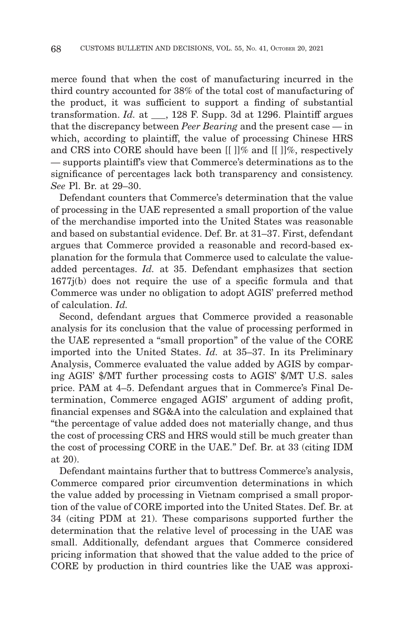merce found that when the cost of manufacturing incurred in the third country accounted for 38% of the total cost of manufacturing of the product, it was sufficient to support a finding of substantial transformation. *Id.* at \_\_\_, 128 F. Supp. 3d at 1296. Plaintiff argues that the discrepancy between *Peer Bearing* and the present case — in which, according to plaintiff, the value of processing Chinese HRS and CRS into CORE should have been  $\left[\right]$  |  $\%$  and  $\left[\right]$  |  $\%$ , respectively — supports plaintiff's view that Commerce's determinations as to the significance of percentages lack both transparency and consistency. *See* Pl. Br. at 29–30.

Defendant counters that Commerce's determination that the value of processing in the UAE represented a small proportion of the value of the merchandise imported into the United States was reasonable and based on substantial evidence. Def. Br. at 31–37. First, defendant argues that Commerce provided a reasonable and record-based explanation for the formula that Commerce used to calculate the valueadded percentages. *Id.* at 35. Defendant emphasizes that section 1677j(b) does not require the use of a specific formula and that Commerce was under no obligation to adopt AGIS' preferred method of calculation. *Id.*

Second, defendant argues that Commerce provided a reasonable analysis for its conclusion that the value of processing performed in the UAE represented a "small proportion" of the value of the CORE imported into the United States. *Id.* at 35–37. In its Preliminary Analysis, Commerce evaluated the value added by AGIS by comparing AGIS' \$/MT further processing costs to AGIS' \$/MT U.S. sales price. PAM at 4–5. Defendant argues that in Commerce's Final Determination, Commerce engaged AGIS' argument of adding profit, financial expenses and SG&A into the calculation and explained that "the percentage of value added does not materially change, and thus the cost of processing CRS and HRS would still be much greater than the cost of processing CORE in the UAE." Def. Br. at 33 (citing IDM at 20).

Defendant maintains further that to buttress Commerce's analysis, Commerce compared prior circumvention determinations in which the value added by processing in Vietnam comprised a small proportion of the value of CORE imported into the United States. Def. Br. at 34 (citing PDM at 21). These comparisons supported further the determination that the relative level of processing in the UAE was small. Additionally, defendant argues that Commerce considered pricing information that showed that the value added to the price of CORE by production in third countries like the UAE was approxi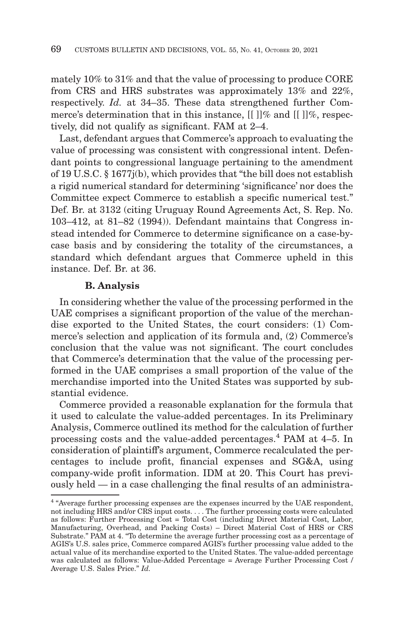mately 10% to 31% and that the value of processing to produce CORE from CRS and HRS substrates was approximately 13% and 22%, respectively. *Id.* at 34–35. These data strengthened further Commerce's determination that in this instance,  $\left[ \right] \left[ \right]$  and  $\left[ \right] \left[ \right]$ %, respectively, did not qualify as significant. FAM at 2–4.

Last, defendant argues that Commerce's approach to evaluating the value of processing was consistent with congressional intent. Defendant points to congressional language pertaining to the amendment of 19 U.S.C. § 1677j(b), which provides that "the bill does not establish a rigid numerical standard for determining 'significance' nor does the Committee expect Commerce to establish a specific numerical test." Def. Br. at 3132 (citing Uruguay Round Agreements Act, S. Rep. No. 103–412, at 81–82 (1994)). Defendant maintains that Congress instead intended for Commerce to determine significance on a case-bycase basis and by considering the totality of the circumstances, a standard which defendant argues that Commerce upheld in this instance. Def. Br. at 36.

## **B. Analysis**

In considering whether the value of the processing performed in the UAE comprises a significant proportion of the value of the merchandise exported to the United States, the court considers: (1) Commerce's selection and application of its formula and, (2) Commerce's conclusion that the value was not significant. The court concludes that Commerce's determination that the value of the processing performed in the UAE comprises a small proportion of the value of the merchandise imported into the United States was supported by substantial evidence.

Commerce provided a reasonable explanation for the formula that it used to calculate the value-added percentages. In its Preliminary Analysis, Commerce outlined its method for the calculation of further processing costs and the value-added percentages.4 PAM at 4–5. In consideration of plaintiff's argument, Commerce recalculated the percentages to include profit, financial expenses and SG&A, using company-wide profit information. IDM at 20. This Court has previously held — in a case challenging the final results of an administra-

<sup>4 &</sup>quot;Average further processing expenses are the expenses incurred by the UAE respondent, not including HRS and/or CRS input costs. . . . The further processing costs were calculated as follows: Further Processing Cost = Total Cost (including Direct Material Cost, Labor, Manufacturing, Overhead, and Packing Costs) – Direct Material Cost of HRS or CRS Substrate." PAM at 4. "To determine the average further processing cost as a percentage of AGIS's U.S. sales price, Commerce compared AGIS's further processing value added to the actual value of its merchandise exported to the United States. The value-added percentage was calculated as follows: Value-Added Percentage = Average Further Processing Cost / Average U.S. Sales Price." *Id.*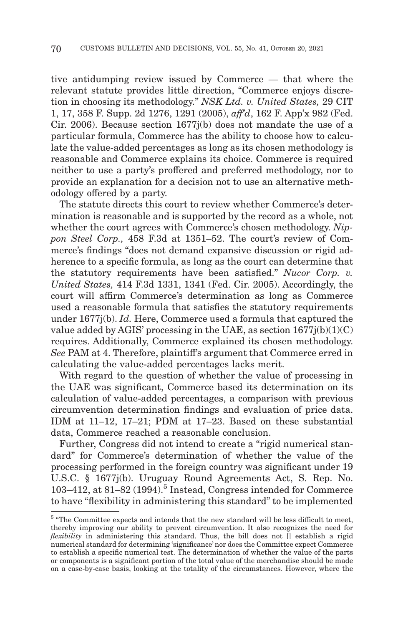tive antidumping review issued by Commerce — that where the relevant statute provides little direction, "Commerce enjoys discretion in choosing its methodology." *NSK Ltd. v. United States,* 29 CIT 1, 17, 358 F. Supp. 2d 1276, 1291 (2005), *aff'd*, 162 F. App'x 982 (Fed. Cir. 2006). Because section 1677j(b) does not mandate the use of a particular formula, Commerce has the ability to choose how to calculate the value-added percentages as long as its chosen methodology is reasonable and Commerce explains its choice. Commerce is required neither to use a party's proffered and preferred methodology, nor to provide an explanation for a decision not to use an alternative methodology offered by a party.

The statute directs this court to review whether Commerce's determination is reasonable and is supported by the record as a whole, not whether the court agrees with Commerce's chosen methodology. *Nippon Steel Corp.,* 458 F.3d at 1351–52. The court's review of Commerce's findings "does not demand expansive discussion or rigid adherence to a specific formula, as long as the court can determine that the statutory requirements have been satisfied." *Nucor Corp. v. United States,* 414 F.3d 1331, 1341 (Fed. Cir. 2005). Accordingly, the court will affirm Commerce's determination as long as Commerce used a reasonable formula that satisfies the statutory requirements under 1677j(b). *Id.* Here, Commerce used a formula that captured the value added by AGIS' processing in the UAE, as section  $1677j(b)(1)(C)$ requires. Additionally, Commerce explained its chosen methodology. *See* PAM at 4. Therefore, plaintiff's argument that Commerce erred in calculating the value-added percentages lacks merit.

With regard to the question of whether the value of processing in the UAE was significant, Commerce based its determination on its calculation of value-added percentages, a comparison with previous circumvention determination findings and evaluation of price data. IDM at 11–12, 17–21; PDM at 17–23. Based on these substantial data, Commerce reached a reasonable conclusion.

Further, Congress did not intend to create a "rigid numerical standard" for Commerce's determination of whether the value of the processing performed in the foreign country was significant under 19 U.S.C. § 1677j(b). Uruguay Round Agreements Act, S. Rep. No. 103-412, at 81-82 (1994).<sup>5</sup> Instead, Congress intended for Commerce to have "flexibility in administering this standard" to be implemented

 $^{\rm 5}$  "The Committee expects and intends that the new standard will be less difficult to meet, thereby improving our ability to prevent circumvention. It also recognizes the need for *flexibility* in administering this standard. Thus, the bill does not  $\overline{||}$  establish a rigid numerical standard for determining 'significance' nor does the Committee expect Commerce to establish a specific numerical test. The determination of whether the value of the parts or components is a significant portion of the total value of the merchandise should be made on a case-by-case basis, looking at the totality of the circumstances. However, where the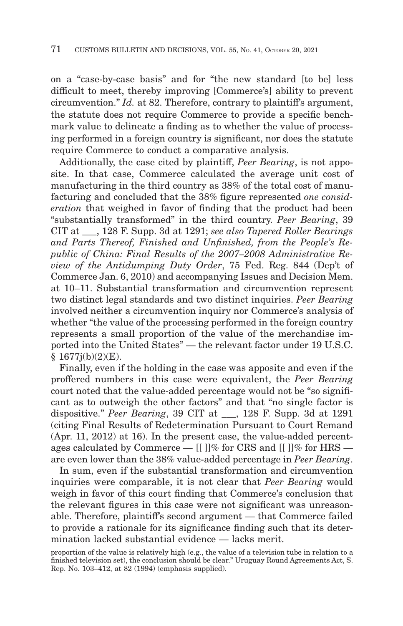on a "case-by-case basis" and for "the new standard [to be] less difficult to meet, thereby improving [Commerce's] ability to prevent circumvention." *Id.* at 82. Therefore, contrary to plaintiff's argument, the statute does not require Commerce to provide a specific benchmark value to delineate a finding as to whether the value of processing performed in a foreign country is significant, nor does the statute require Commerce to conduct a comparative analysis.

Additionally, the case cited by plaintiff, *Peer Bearing*, is not apposite. In that case, Commerce calculated the average unit cost of manufacturing in the third country as 38% of the total cost of manufacturing and concluded that the 38% figure represented *one consideration* that weighed in favor of finding that the product had been "substantially transformed" in the third country. *Peer Bearing*, 39 CIT at \_\_\_, 128 F. Supp. 3d at 1291; *see also Tapered Roller Bearings and Parts Thereof, Finished and Unfinished, from the People's Republic of China: Final Results of the 2007–2008 Administrative Review of the Antidumping Duty Order*, 75 Fed. Reg. 844 (Dep't of Commerce Jan. 6, 2010) and accompanying Issues and Decision Mem. at 10–11. Substantial transformation and circumvention represent two distinct legal standards and two distinct inquiries. *Peer Bearing* involved neither a circumvention inquiry nor Commerce's analysis of whether "the value of the processing performed in the foreign country represents a small proportion of the value of the merchandise imported into the United States" — the relevant factor under 19 U.S.C.  $§ 1677i(b)(2)(E).$ 

Finally, even if the holding in the case was apposite and even if the proffered numbers in this case were equivalent, the *Peer Bearing* court noted that the value-added percentage would not be "so significant as to outweigh the other factors" and that "no single factor is dispositive." *Peer Bearing*, 39 CIT at \_\_\_, 128 F. Supp. 3d at 1291 (citing Final Results of Redetermination Pursuant to Court Remand (Apr. 11, 2012) at 16). In the present case, the value-added percentages calculated by Commerce —  $\left[ \right] \left[ \right]$ % for CRS and  $\left[ \right] \left[ \right]$ % for HRS are even lower than the 38% value-added percentage in *Peer Bearing*.

In sum, even if the substantial transformation and circumvention inquiries were comparable, it is not clear that *Peer Bearing* would weigh in favor of this court finding that Commerce's conclusion that the relevant figures in this case were not significant was unreasonable. Therefore, plaintiff's second argument — that Commerce failed to provide a rationale for its significance finding such that its determination lacked substantial evidence — lacks merit.

proportion of the value is relatively high (e.g., the value of a television tube in relation to a finished television set), the conclusion should be clear." Uruguay Round Agreements Act, S. Rep. No. 103–412, at 82 (1994) (emphasis supplied).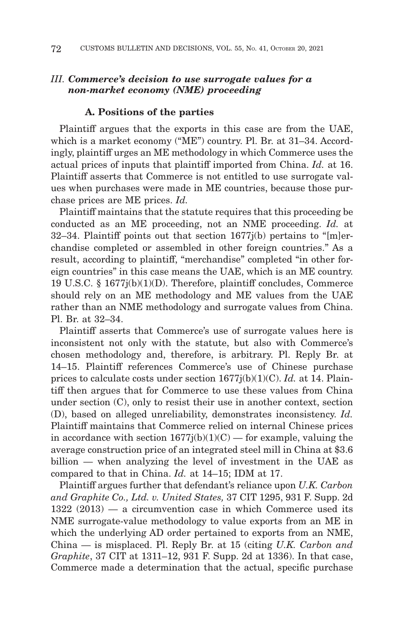# *III. Commerce's decision to use surrogate values for a non-market economy (NME) proceeding*

#### **A. Positions of the parties**

Plaintiff argues that the exports in this case are from the UAE, which is a market economy ("ME") country. Pl. Br. at 31–34. Accordingly, plaintiff urges an ME methodology in which Commerce uses the actual prices of inputs that plaintiff imported from China. *Id.* at 16. Plaintiff asserts that Commerce is not entitled to use surrogate values when purchases were made in ME countries, because those purchase prices are ME prices. *Id.*

Plaintiff maintains that the statute requires that this proceeding be conducted as an ME proceeding, not an NME proceeding. *Id.* at 32–34. Plaintiff points out that section  $1677j(b)$  pertains to "[m]erchandise completed or assembled in other foreign countries." As a result, according to plaintiff, "merchandise" completed "in other foreign countries" in this case means the UAE, which is an ME country. 19 U.S.C. § 1677j(b)(1)(D). Therefore, plaintiff concludes, Commerce should rely on an ME methodology and ME values from the UAE rather than an NME methodology and surrogate values from China. Pl. Br. at 32–34.

Plaintiff asserts that Commerce's use of surrogate values here is inconsistent not only with the statute, but also with Commerce's chosen methodology and, therefore, is arbitrary. Pl. Reply Br. at 14–15. Plaintiff references Commerce's use of Chinese purchase prices to calculate costs under section 1677j(b)(1)(C). *Id.* at 14. Plaintiff then argues that for Commerce to use these values from China under section (C), only to resist their use in another context, section (D), based on alleged unreliability, demonstrates inconsistency. *Id.* Plaintiff maintains that Commerce relied on internal Chinese prices in accordance with section  $1677j(b)(1)(C)$  — for example, valuing the average construction price of an integrated steel mill in China at \$3.6 billion — when analyzing the level of investment in the UAE as compared to that in China. *Id.* at 14–15; IDM at 17.

Plaintiff argues further that defendant's reliance upon *U.K. Carbon and Graphite Co., Ltd. v. United States,* 37 CIT 1295, 931 F. Supp. 2d 1322 (2013) — a circumvention case in which Commerce used its NME surrogate-value methodology to value exports from an ME in which the underlying AD order pertained to exports from an NME, China — is misplaced. Pl. Reply Br. at 15 (citing *U.K. Carbon and Graphite*, 37 CIT at 1311–12, 931 F. Supp. 2d at 1336). In that case, Commerce made a determination that the actual, specific purchase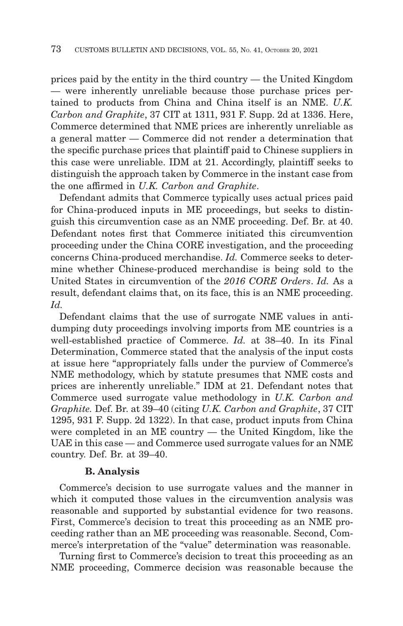prices paid by the entity in the third country — the United Kingdom — were inherently unreliable because those purchase prices pertained to products from China and China itself is an NME. *U.K. Carbon and Graphite*, 37 CIT at 1311, 931 F. Supp. 2d at 1336. Here, Commerce determined that NME prices are inherently unreliable as a general matter — Commerce did not render a determination that the specific purchase prices that plaintiff paid to Chinese suppliers in this case were unreliable. IDM at 21. Accordingly, plaintiff seeks to distinguish the approach taken by Commerce in the instant case from the one affirmed in *U.K. Carbon and Graphite*.

Defendant admits that Commerce typically uses actual prices paid for China-produced inputs in ME proceedings, but seeks to distinguish this circumvention case as an NME proceeding. Def. Br. at 40. Defendant notes first that Commerce initiated this circumvention proceeding under the China CORE investigation, and the proceeding concerns China-produced merchandise. *Id.* Commerce seeks to determine whether Chinese-produced merchandise is being sold to the United States in circumvention of the *2016 CORE Orders*. *Id.* As a result, defendant claims that, on its face, this is an NME proceeding. *Id.*

Defendant claims that the use of surrogate NME values in antidumping duty proceedings involving imports from ME countries is a well-established practice of Commerce. *Id.* at 38–40. In its Final Determination, Commerce stated that the analysis of the input costs at issue here "appropriately falls under the purview of Commerce's NME methodology, which by statute presumes that NME costs and prices are inherently unreliable." IDM at 21. Defendant notes that Commerce used surrogate value methodology in *U.K. Carbon and Graphite.* Def. Br. at 39–40 (citing *U.K. Carbon and Graphite*, 37 CIT 1295, 931 F. Supp. 2d 1322). In that case, product inputs from China were completed in an ME country — the United Kingdom, like the UAE in this case — and Commerce used surrogate values for an NME country. Def. Br. at 39–40.

#### **B. Analysis**

Commerce's decision to use surrogate values and the manner in which it computed those values in the circumvention analysis was reasonable and supported by substantial evidence for two reasons. First, Commerce's decision to treat this proceeding as an NME proceeding rather than an ME proceeding was reasonable. Second, Commerce's interpretation of the "value" determination was reasonable.

Turning first to Commerce's decision to treat this proceeding as an NME proceeding, Commerce decision was reasonable because the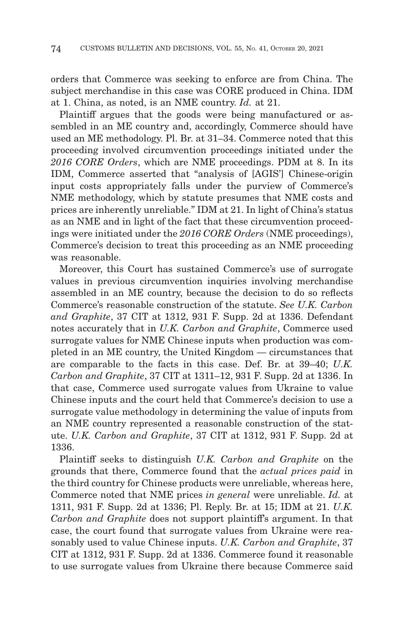orders that Commerce was seeking to enforce are from China. The subject merchandise in this case was CORE produced in China. IDM at 1. China, as noted, is an NME country. *Id.* at 21.

Plaintiff argues that the goods were being manufactured or assembled in an ME country and, accordingly, Commerce should have used an ME methodology. Pl. Br. at 31–34. Commerce noted that this proceeding involved circumvention proceedings initiated under the *2016 CORE Orders*, which are NME proceedings. PDM at 8. In its IDM, Commerce asserted that "analysis of [AGIS'] Chinese-origin input costs appropriately falls under the purview of Commerce's NME methodology, which by statute presumes that NME costs and prices are inherently unreliable." IDM at 21. In light of China's status as an NME and in light of the fact that these circumvention proceedings were initiated under the *2016 CORE Orders* (NME proceedings), Commerce's decision to treat this proceeding as an NME proceeding was reasonable.

Moreover, this Court has sustained Commerce's use of surrogate values in previous circumvention inquiries involving merchandise assembled in an ME country, because the decision to do so reflects Commerce's reasonable construction of the statute. *See U.K. Carbon and Graphite*, 37 CIT at 1312, 931 F. Supp. 2d at 1336. Defendant notes accurately that in *U.K. Carbon and Graphite*, Commerce used surrogate values for NME Chinese inputs when production was completed in an ME country, the United Kingdom — circumstances that are comparable to the facts in this case. Def. Br. at 39–40; *U.K. Carbon and Graphite*, 37 CIT at 1311–12, 931 F. Supp. 2d at 1336. In that case, Commerce used surrogate values from Ukraine to value Chinese inputs and the court held that Commerce's decision to use a surrogate value methodology in determining the value of inputs from an NME country represented a reasonable construction of the statute. *U.K. Carbon and Graphite*, 37 CIT at 1312, 931 F. Supp. 2d at 1336.

Plaintiff seeks to distinguish *U.K. Carbon and Graphite* on the grounds that there, Commerce found that the *actual prices paid* in the third country for Chinese products were unreliable, whereas here, Commerce noted that NME prices *in general* were unreliable. *Id.* at 1311, 931 F. Supp. 2d at 1336; Pl. Reply. Br. at 15; IDM at 21. *U.K. Carbon and Graphite* does not support plaintiff's argument. In that case, the court found that surrogate values from Ukraine were reasonably used to value Chinese inputs. *U.K. Carbon and Graphite*, 37 CIT at 1312, 931 F. Supp. 2d at 1336. Commerce found it reasonable to use surrogate values from Ukraine there because Commerce said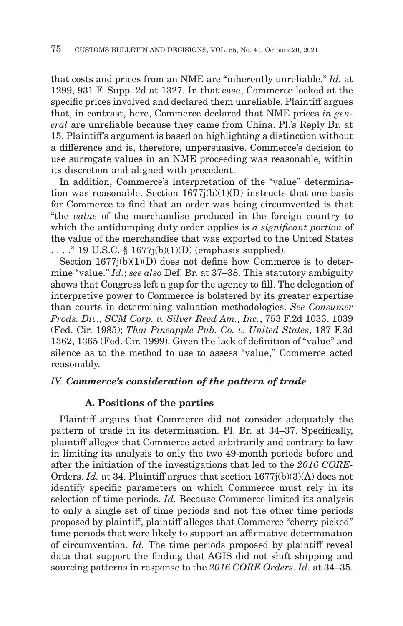that costs and prices from an NME are "inherently unreliable." *Id.* at 1299, 931 F. Supp. 2d at 1327. In that case, Commerce looked at the specific prices involved and declared them unreliable. Plaintiff argues that, in contrast, here, Commerce declared that NME prices *in general* are unreliable because they came from China. Pl.'s Reply Br. at 15. Plaintiff's argument is based on highlighting a distinction without a difference and is, therefore, unpersuasive. Commerce's decision to use surrogate values in an NME proceeding was reasonable, within its discretion and aligned with precedent.

In addition, Commerce's interpretation of the "value" determination was reasonable. Section  $1677j(b)(1)(D)$  instructs that one basis for Commerce to find that an order was being circumvented is that "the *value* of the merchandise produced in the foreign country to which the antidumping duty order applies is *a significant portion* of the value of the merchandise that was exported to the United States  $\ldots$ ." 19 U.S.C. § 1677 $j(b)(1)(D)$  (emphasis supplied).

Section  $1677j(b)(1)(D)$  does not define how Commerce is to determine "value." *Id.*; *see also* Def. Br. at 37–38. This statutory ambiguity shows that Congress left a gap for the agency to fill. The delegation of interpretive power to Commerce is bolstered by its greater expertise than courts in determining valuation methodologies. *See Consumer Prods. Div., SCM Corp. v. Silver Reed Am., Inc.*, 753 F.2d 1033, 1039 (Fed. Cir. 1985); *Thai Pineapple Pub. Co. v. United States*, 187 F.3d 1362, 1365 (Fed. Cir. 1999). Given the lack of definition of "value" and silence as to the method to use to assess "value," Commerce acted reasonably.

#### *IV. Commerce's consideration of the pattern of trade*

# **A. Positions of the parties**

Plaintiff argues that Commerce did not consider adequately the pattern of trade in its determination. Pl. Br. at 34–37. Specifically, plaintiff alleges that Commerce acted arbitrarily and contrary to law in limiting its analysis to only the two 49-month periods before and after the initiation of the investigations that led to the *2016 CORE-*Orders. *Id.* at 34. Plaintiff argues that section  $1677j(b)(3)(A)$  does not identify specific parameters on which Commerce must rely in its selection of time periods. *Id.* Because Commerce limited its analysis to only a single set of time periods and not the other time periods proposed by plaintiff, plaintiff alleges that Commerce "cherry picked" time periods that were likely to support an affirmative determination of circumvention. *Id.* The time periods proposed by plaintiff reveal data that support the finding that AGIS did not shift shipping and sourcing patterns in response to the *2016 CORE Orders*. *Id.* at 34–35.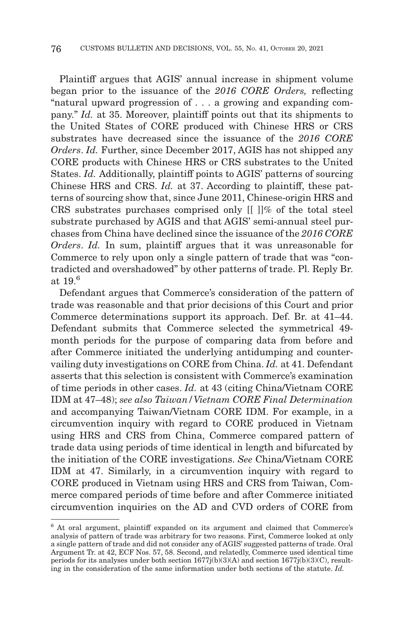Plaintiff argues that AGIS' annual increase in shipment volume began prior to the issuance of the *2016 CORE Orders,* reflecting "natural upward progression of . . . a growing and expanding company." *Id.* at 35. Moreover, plaintiff points out that its shipments to the United States of CORE produced with Chinese HRS or CRS substrates have decreased since the issuance of the *2016 CORE Orders. Id.* Further, since December 2017, AGIS has not shipped any CORE products with Chinese HRS or CRS substrates to the United States. *Id.* Additionally, plaintiff points to AGIS' patterns of sourcing Chinese HRS and CRS. *Id.* at 37. According to plaintiff, these patterns of sourcing show that, since June 2011, Chinese-origin HRS and CRS substrates purchases comprised only [[ ]]% of the total steel substrate purchased by AGIS and that AGIS' semi-annual steel purchases from China have declined since the issuance of the *2016 CORE Orders*. *Id.* In sum, plaintiff argues that it was unreasonable for Commerce to rely upon only a single pattern of trade that was "contradicted and overshadowed" by other patterns of trade. Pl. Reply Br. at  $19<sup>6</sup>$ 

Defendant argues that Commerce's consideration of the pattern of trade was reasonable and that prior decisions of this Court and prior Commerce determinations support its approach. Def. Br. at 41–44. Defendant submits that Commerce selected the symmetrical 49 month periods for the purpose of comparing data from before and after Commerce initiated the underlying antidumping and countervailing duty investigations on CORE from China. *Id.* at 41. Defendant asserts that this selection is consistent with Commerce's examination of time periods in other cases. *Id.* at 43 (citing China/Vietnam CORE IDM at 47–48); *see also Taiwan/Vietnam CORE Final Determination* and accompanying Taiwan/Vietnam CORE IDM. For example, in a circumvention inquiry with regard to CORE produced in Vietnam using HRS and CRS from China, Commerce compared pattern of trade data using periods of time identical in length and bifurcated by the initiation of the CORE investigations. *See* China/Vietnam CORE IDM at 47. Similarly, in a circumvention inquiry with regard to CORE produced in Vietnam using HRS and CRS from Taiwan, Commerce compared periods of time before and after Commerce initiated circumvention inquiries on the AD and CVD orders of CORE from

 $6$  At oral argument, plaintiff expanded on its argument and claimed that Commerce's analysis of pattern of trade was arbitrary for two reasons. First, Commerce looked at only a single pattern of trade and did not consider any of AGIS' suggested patterns of trade. Oral Argument Tr. at 42, ECF Nos. 57, 58. Second, and relatedly, Commerce used identical time periods for its analyses under both section  $1677j(b)(3)(A)$  and section  $1677j(b)(3)(C)$ , resulting in the consideration of the same information under both sections of the statute. *Id.*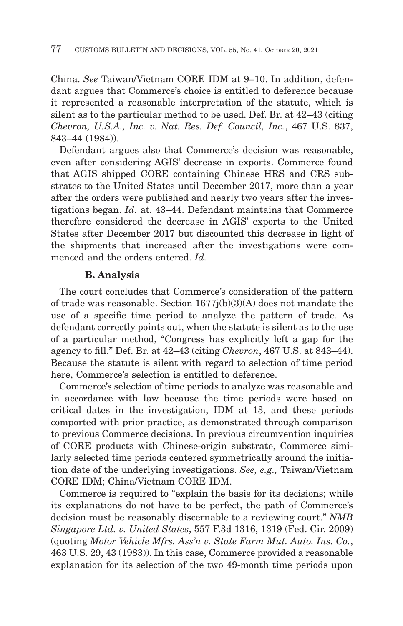China. *See* Taiwan/Vietnam CORE IDM at 9–10. In addition, defendant argues that Commerce's choice is entitled to deference because it represented a reasonable interpretation of the statute, which is silent as to the particular method to be used. Def. Br. at 42–43 (citing *Chevron, U.S.A., Inc. v. Nat. Res. Def. Council, Inc.*, 467 U.S. 837, 843–44 (1984)).

Defendant argues also that Commerce's decision was reasonable, even after considering AGIS' decrease in exports. Commerce found that AGIS shipped CORE containing Chinese HRS and CRS substrates to the United States until December 2017, more than a year after the orders were published and nearly two years after the investigations began. *Id.* at. 43–44. Defendant maintains that Commerce therefore considered the decrease in AGIS' exports to the United States after December 2017 but discounted this decrease in light of the shipments that increased after the investigations were commenced and the orders entered. *Id.*

### **B. Analysis**

The court concludes that Commerce's consideration of the pattern of trade was reasonable. Section 1677j(b)(3)(A) does not mandate the use of a specific time period to analyze the pattern of trade. As defendant correctly points out, when the statute is silent as to the use of a particular method, "Congress has explicitly left a gap for the agency to fill." Def. Br. at 42–43 (citing *Chevron*, 467 U.S. at 843–44). Because the statute is silent with regard to selection of time period here, Commerce's selection is entitled to deference.

Commerce's selection of time periods to analyze was reasonable and in accordance with law because the time periods were based on critical dates in the investigation, IDM at 13, and these periods comported with prior practice, as demonstrated through comparison to previous Commerce decisions. In previous circumvention inquiries of CORE products with Chinese-origin substrate, Commerce similarly selected time periods centered symmetrically around the initiation date of the underlying investigations. *See, e.g.,* Taiwan/Vietnam CORE IDM; China/Vietnam CORE IDM.

Commerce is required to "explain the basis for its decisions; while its explanations do not have to be perfect, the path of Commerce's decision must be reasonably discernable to a reviewing court." *NMB Singapore Ltd. v. United States*, 557 F.3d 1316, 1319 (Fed. Cir. 2009) (quoting *Motor Vehicle Mfrs. Ass'n v. State Farm Mut. Auto. Ins. Co.*, 463 U.S. 29, 43 (1983)). In this case, Commerce provided a reasonable explanation for its selection of the two 49-month time periods upon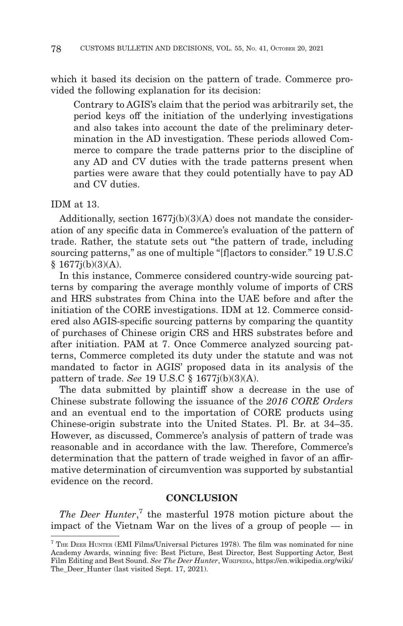which it based its decision on the pattern of trade. Commerce provided the following explanation for its decision:

Contrary to AGIS's claim that the period was arbitrarily set, the period keys off the initiation of the underlying investigations and also takes into account the date of the preliminary determination in the AD investigation. These periods allowed Commerce to compare the trade patterns prior to the discipline of any AD and CV duties with the trade patterns present when parties were aware that they could potentially have to pay AD and CV duties.

# IDM at 13.

Additionally, section 1677j(b)(3)(A) does not mandate the consideration of any specific data in Commerce's evaluation of the pattern of trade. Rather, the statute sets out "the pattern of trade, including sourcing patterns," as one of multiple "[f]actors to consider." 19 U.S.C § 1677j(b)(3)(A).

In this instance, Commerce considered country-wide sourcing patterns by comparing the average monthly volume of imports of CRS and HRS substrates from China into the UAE before and after the initiation of the CORE investigations. IDM at 12. Commerce considered also AGIS-specific sourcing patterns by comparing the quantity of purchases of Chinese origin CRS and HRS substrates before and after initiation. PAM at 7. Once Commerce analyzed sourcing patterns, Commerce completed its duty under the statute and was not mandated to factor in AGIS' proposed data in its analysis of the pattern of trade. *See* 19 U.S.C § 1677j(b)(3)(A).

The data submitted by plaintiff show a decrease in the use of Chinese substrate following the issuance of the *2016 CORE Orders* and an eventual end to the importation of CORE products using Chinese-origin substrate into the United States. Pl. Br. at 34–35. However, as discussed, Commerce's analysis of pattern of trade was reasonable and in accordance with the law. Therefore, Commerce's determination that the pattern of trade weighed in favor of an affirmative determination of circumvention was supported by substantial evidence on the record.

# **CONCLUSION**

*The Deer Hunter*, 7 the masterful 1978 motion picture about the impact of the Vietnam War on the lives of a group of people — in

 $7$  THE DEER HUNTER (EMI Films/Universal Pictures 1978). The film was nominated for nine Academy Awards, winning five: Best Picture, Best Director, Best Supporting Actor, Best Film Editing and Best Sound. *See The Deer Hunter*, WIKIPEDIA, https://en.wikipedia.org/wiki/ The\_Deer\_Hunter (last visited Sept. 17, 2021).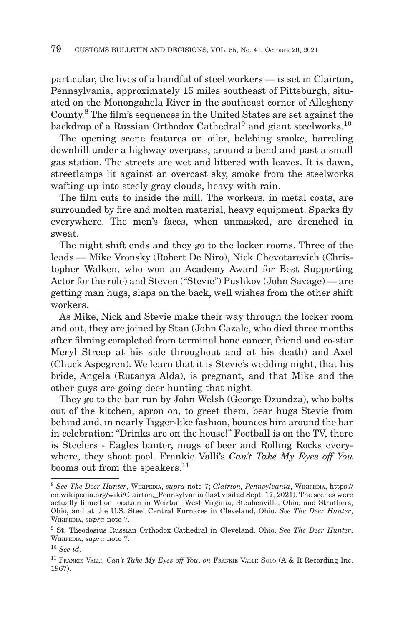particular, the lives of a handful of steel workers — is set in Clairton, Pennsylvania, approximately 15 miles southeast of Pittsburgh, situated on the Monongahela River in the southeast corner of Allegheny County.8 The film's sequences in the United States are set against the backdrop of a Russian Orthodox Cathedral<sup>9</sup> and giant steelworks.<sup>10</sup>

The opening scene features an oiler, belching smoke, barreling downhill under a highway overpass, around a bend and past a small gas station. The streets are wet and littered with leaves. It is dawn, streetlamps lit against an overcast sky, smoke from the steelworks wafting up into steely gray clouds, heavy with rain.

The film cuts to inside the mill. The workers, in metal coats, are surrounded by fire and molten material, heavy equipment. Sparks fly everywhere. The men's faces, when unmasked, are drenched in sweat.

The night shift ends and they go to the locker rooms. Three of the leads — Mike Vronsky (Robert De Niro), Nick Chevotarevich (Christopher Walken, who won an Academy Award for Best Supporting Actor for the role) and Steven ("Stevie") Pushkov (John Savage) — are getting man hugs, slaps on the back, well wishes from the other shift workers.

As Mike, Nick and Stevie make their way through the locker room and out, they are joined by Stan (John Cazale, who died three months after filming completed from terminal bone cancer, friend and co-star Meryl Streep at his side throughout and at his death) and Axel (Chuck Aspegren). We learn that it is Stevie's wedding night, that his bride, Angela (Rutanya Alda), is pregnant, and that Mike and the other guys are going deer hunting that night.

They go to the bar run by John Welsh (George Dzundza), who bolts out of the kitchen, apron on, to greet them, bear hugs Stevie from behind and, in nearly Tigger-like fashion, bounces him around the bar in celebration: "Drinks are on the house!" Football is on the TV, there is Steelers - Eagles banter, mugs of beer and Rolling Rocks everywhere, they shoot pool. Frankie Valli's *Can't Take My Eyes off You* booms out from the speakers.<sup>11</sup>

<sup>8</sup>*See The Deer Hunter*, WIKIPEDIA, *supra* note 7; *Clairton, Pennsylvania*, WIKIPEDIA, https:// en.wikipedia.org/wiki/Clairton,\_Pennsylvania (last visited Sept. 17, 2021). The scenes were actually filmed on location in Weirton, West Virginia, Steubenville, Ohio, and Struthers, Ohio, and at the U.S. Steel Central Furnaces in Cleveland, Ohio. *See The Deer Hunter*, WIKIPEDIA, *supra* note 7.

<sup>9</sup> St. Theodosius Russian Orthodox Cathedral in Cleveland, Ohio. *See The Deer Hunter*, WIKIPEDIA, *supra* note 7.

<sup>10</sup>*See id.*

<sup>11</sup> FRANKIE VALLI, *Can't Take My Eyes off You*, *on* FRANKIE VALLI: SOLO (A & R Recording Inc. 1967).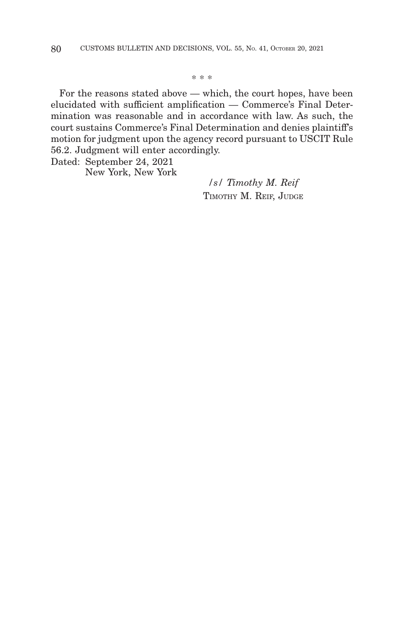\* \* \*

For the reasons stated above — which, the court hopes, have been elucidated with sufficient amplification — Commerce's Final Determination was reasonable and in accordance with law. As such, the court sustains Commerce's Final Determination and denies plaintiff's motion for judgment upon the agency record pursuant to USCIT Rule 56.2. Judgment will enter accordingly.

Dated: September 24, 2021

New York, New York

*/s/ Timothy M. Reif* TIMOTHY M. REIF, JUDGE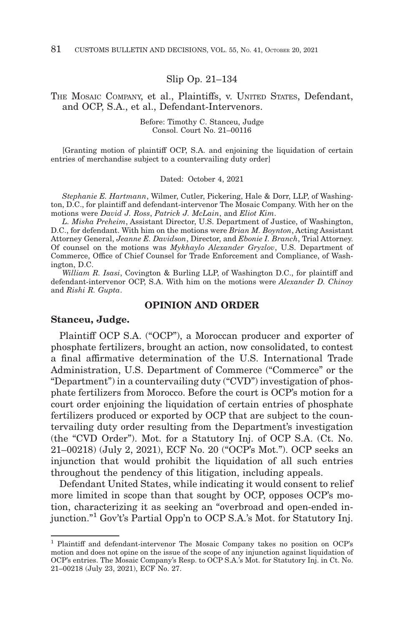#### Slip Op. 21–134

### THE MOSAIC COMPANY, et al., Plaintiffs, v. UNITED STATES, Defendant, and OCP, S.A., et al., Defendant-Intervenors.

Before: Timothy C. Stanceu, Judge Consol. Court No. 21–00116

[Granting motion of plaintiff OCP, S.A. and enjoining the liquidation of certain entries of merchandise subject to a countervailing duty order]

#### Dated: October 4, 2021

*Stephanie E. Hartmann*, Wilmer, Cutler, Pickering, Hale & Dorr, LLP, of Washington, D.C., for plaintiff and defendant-intervenor The Mosaic Company. With her on the motions were *David J. Ross*, *Patrick J. McLain*, and *Eliot Kim*.

*L. Misha Preheim*, Assistant Director, U.S. Department of Justice, of Washington, D.C., for defendant. With him on the motions were *Brian M. Boynton*, Acting Assistant Attorney General, *Jeanne E. Davidson*, Director, and *Ebonie I. Branch*, Trial Attorney. Of counsel on the motions was *Mykhaylo Alexander Gryzlov*, U.S. Department of Commerce, Office of Chief Counsel for Trade Enforcement and Compliance, of Washington, D.C.

*William R. Isasi*, Covington & Burling LLP, of Washington D.C., for plaintiff and defendant-intervenor OCP, S.A. With him on the motions were *Alexander D. Chinoy* and *Rishi R. Gupta*.

#### **OPINION AND ORDER**

#### **Stanceu, Judge.**

Plaintiff OCP S.A. ("OCP"), a Moroccan producer and exporter of phosphate fertilizers, brought an action, now consolidated, to contest a final affirmative determination of the U.S. International Trade Administration, U.S. Department of Commerce ("Commerce" or the "Department") in a countervailing duty ("CVD") investigation of phosphate fertilizers from Morocco. Before the court is OCP's motion for a court order enjoining the liquidation of certain entries of phosphate fertilizers produced or exported by OCP that are subject to the countervailing duty order resulting from the Department's investigation (the "CVD Order"). Mot. for a Statutory Inj. of OCP S.A. (Ct. No. 21–00218) (July 2, 2021), ECF No. 20 ("OCP's Mot."). OCP seeks an injunction that would prohibit the liquidation of all such entries throughout the pendency of this litigation, including appeals.

Defendant United States, while indicating it would consent to relief more limited in scope than that sought by OCP, opposes OCP's motion, characterizing it as seeking an "overbroad and open-ended injunction."1 Gov't's Partial Opp'n to OCP S.A.'s Mot. for Statutory Inj.

<sup>1</sup> Plaintiff and defendant-intervenor The Mosaic Company takes no position on OCP's motion and does not opine on the issue of the scope of any injunction against liquidation of OCP's entries. The Mosaic Company's Resp. to OCP S.A.'s Mot. for Statutory Inj. in Ct. No. 21–00218 (July 23, 2021), ECF No. 27.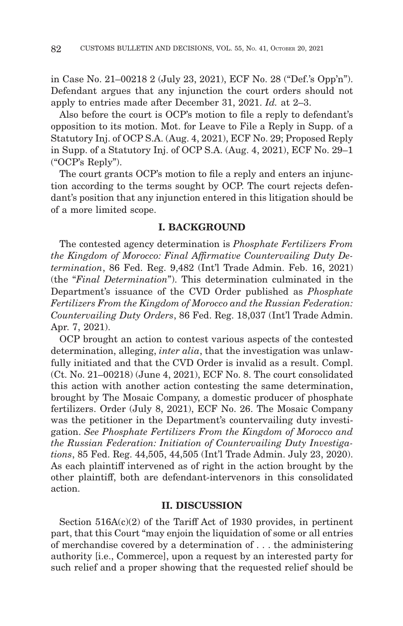in Case No. 21–00218 2 (July 23, 2021), ECF No. 28 ("Def.'s Opp'n"). Defendant argues that any injunction the court orders should not apply to entries made after December 31, 2021. *Id.* at 2–3.

Also before the court is OCP's motion to file a reply to defendant's opposition to its motion. Mot. for Leave to File a Reply in Supp. of a Statutory Inj. of OCP S.A. (Aug. 4, 2021), ECF No. 29; Proposed Reply in Supp. of a Statutory Inj. of OCP S.A. (Aug. 4, 2021), ECF No. 29–1 ("OCP's Reply").

The court grants OCP's motion to file a reply and enters an injunction according to the terms sought by OCP. The court rejects defendant's position that any injunction entered in this litigation should be of a more limited scope.

#### **I. BACKGROUND**

The contested agency determination is *Phosphate Fertilizers From the Kingdom of Morocco: Final Affirmative Countervailing Duty Determination*, 86 Fed. Reg. 9,482 (Int'l Trade Admin. Feb. 16, 2021) (the "*Final Determination*"). This determination culminated in the Department's issuance of the CVD Order published as *Phosphate Fertilizers From the Kingdom of Morocco and the Russian Federation: Countervailing Duty Orders*, 86 Fed. Reg. 18,037 (Int'l Trade Admin. Apr. 7, 2021).

OCP brought an action to contest various aspects of the contested determination, alleging, *inter alia*, that the investigation was unlawfully initiated and that the CVD Order is invalid as a result. Compl. (Ct. No. 21–00218) (June 4, 2021), ECF No. 8. The court consolidated this action with another action contesting the same determination, brought by The Mosaic Company, a domestic producer of phosphate fertilizers. Order (July 8, 2021), ECF No. 26. The Mosaic Company was the petitioner in the Department's countervailing duty investigation. *See Phosphate Fertilizers From the Kingdom of Morocco and the Russian Federation: Initiation of Countervailing Duty Investigations*, 85 Fed. Reg. 44,505, 44,505 (Int'l Trade Admin. July 23, 2020). As each plaintiff intervened as of right in the action brought by the other plaintiff, both are defendant-intervenors in this consolidated action.

#### **II. DISCUSSION**

Section  $516A(c)(2)$  of the Tariff Act of 1930 provides, in pertinent part, that this Court "may enjoin the liquidation of some or all entries of merchandise covered by a determination of . . . the administering authority [i.e., Commerce], upon a request by an interested party for such relief and a proper showing that the requested relief should be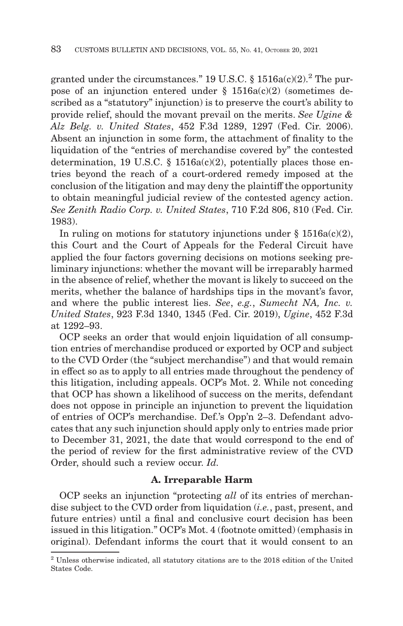granted under the circumstances." 19 U.S.C. §  $1516a(c)(2)$ .<sup>2</sup> The purpose of an injunction entered under  $\S$  1516a(c)(2) (sometimes described as a "statutory" injunction) is to preserve the court's ability to provide relief, should the movant prevail on the merits. *See Ugine & Alz Belg. v. United States*, 452 F.3d 1289, 1297 (Fed. Cir. 2006). Absent an injunction in some form, the attachment of finality to the liquidation of the "entries of merchandise covered by" the contested determination, 19 U.S.C. § 1516a(c)(2), potentially places those entries beyond the reach of a court-ordered remedy imposed at the conclusion of the litigation and may deny the plaintiff the opportunity to obtain meaningful judicial review of the contested agency action. *See Zenith Radio Corp. v. United States*, 710 F.2d 806, 810 (Fed. Cir. 1983).

In ruling on motions for statutory injunctions under  $\S 1516a(c)(2)$ , this Court and the Court of Appeals for the Federal Circuit have applied the four factors governing decisions on motions seeking preliminary injunctions: whether the movant will be irreparably harmed in the absence of relief, whether the movant is likely to succeed on the merits, whether the balance of hardships tips in the movant's favor, and where the public interest lies. *See*, *e.g.*, *Sumecht NA, Inc. v. United States*, 923 F.3d 1340, 1345 (Fed. Cir. 2019), *Ugine*, 452 F.3d at 1292–93.

OCP seeks an order that would enjoin liquidation of all consumption entries of merchandise produced or exported by OCP and subject to the CVD Order (the "subject merchandise") and that would remain in effect so as to apply to all entries made throughout the pendency of this litigation, including appeals. OCP's Mot. 2. While not conceding that OCP has shown a likelihood of success on the merits, defendant does not oppose in principle an injunction to prevent the liquidation of entries of OCP's merchandise. Def.'s Opp'n 2–3. Defendant advocates that any such injunction should apply only to entries made prior to December 31, 2021, the date that would correspond to the end of the period of review for the first administrative review of the CVD Order, should such a review occur. *Id.*

### **A. Irreparable Harm**

OCP seeks an injunction "protecting *all* of its entries of merchandise subject to the CVD order from liquidation (*i.e.*, past, present, and future entries) until a final and conclusive court decision has been issued in this litigation." OCP's Mot. 4 (footnote omitted) (emphasis in original). Defendant informs the court that it would consent to an

 $^2$  Unless otherwise indicated, all statutory citations are to the 2018 edition of the United States Code.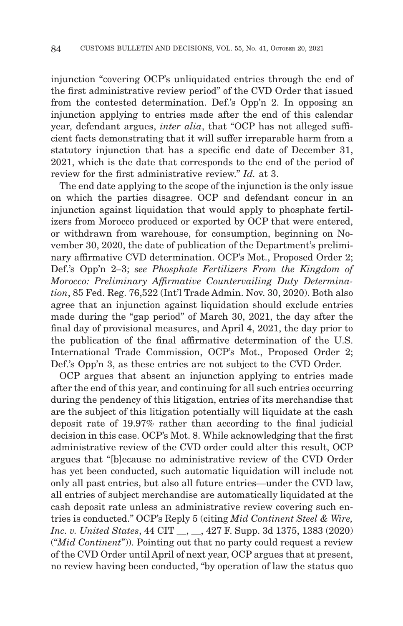injunction "covering OCP's unliquidated entries through the end of the first administrative review period" of the CVD Order that issued from the contested determination. Def.'s Opp'n 2. In opposing an injunction applying to entries made after the end of this calendar year, defendant argues, *inter alia*, that "OCP has not alleged sufficient facts demonstrating that it will suffer irreparable harm from a statutory injunction that has a specific end date of December 31, 2021, which is the date that corresponds to the end of the period of review for the first administrative review." *Id.* at 3.

The end date applying to the scope of the injunction is the only issue on which the parties disagree. OCP and defendant concur in an injunction against liquidation that would apply to phosphate fertilizers from Morocco produced or exported by OCP that were entered, or withdrawn from warehouse, for consumption, beginning on November 30, 2020, the date of publication of the Department's preliminary affirmative CVD determination. OCP's Mot., Proposed Order 2; Def.'s Opp'n 2–3; *see Phosphate Fertilizers From the Kingdom of Morocco: Preliminary Affirmative Countervailing Duty Determination*, 85 Fed. Reg. 76,522 (Int'l Trade Admin. Nov. 30, 2020). Both also agree that an injunction against liquidation should exclude entries made during the "gap period" of March 30, 2021, the day after the final day of provisional measures, and April 4, 2021, the day prior to the publication of the final affirmative determination of the U.S. International Trade Commission, OCP's Mot., Proposed Order 2; Def.'s Opp'n 3, as these entries are not subject to the CVD Order.

OCP argues that absent an injunction applying to entries made after the end of this year, and continuing for all such entries occurring during the pendency of this litigation, entries of its merchandise that are the subject of this litigation potentially will liquidate at the cash deposit rate of 19.97% rather than according to the final judicial decision in this case. OCP's Mot. 8. While acknowledging that the first administrative review of the CVD order could alter this result, OCP argues that "[b]ecause no administrative review of the CVD Order has yet been conducted, such automatic liquidation will include not only all past entries, but also all future entries—under the CVD law, all entries of subject merchandise are automatically liquidated at the cash deposit rate unless an administrative review covering such entries is conducted." OCP's Reply 5 (citing *Mid Continent Steel & Wire, Inc. v. United States*, 44 CIT , 427 F. Supp. 3d 1375, 1383 (2020) ("*Mid Continent*")). Pointing out that no party could request a review of the CVD Order until April of next year, OCP argues that at present, no review having been conducted, "by operation of law the status quo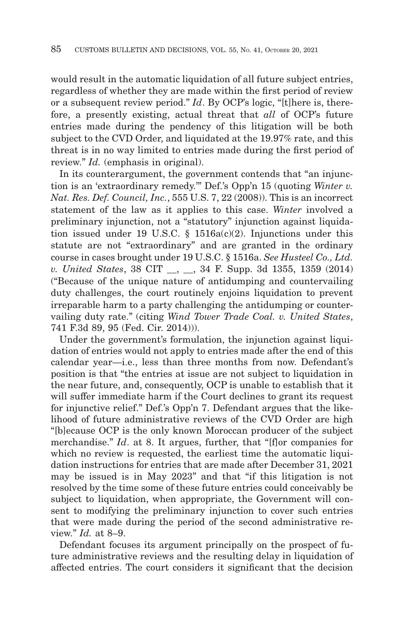would result in the automatic liquidation of all future subject entries, regardless of whether they are made within the first period of review or a subsequent review period." *Id*. By OCP's logic, "[t]here is, therefore, a presently existing, actual threat that *all* of OCP's future entries made during the pendency of this litigation will be both subject to the CVD Order, and liquidated at the 19.97% rate, and this threat is in no way limited to entries made during the first period of review." *Id.* (emphasis in original).

In its counterargument, the government contends that "an injunction is an 'extraordinary remedy.'" Def.'s Opp'n 15 (quoting *Winter v. Nat. Res. Def. Council, Inc.*, 555 U.S. 7, 22 (2008)). This is an incorrect statement of the law as it applies to this case. *Winter* involved a preliminary injunction, not a "statutory" injunction against liquidation issued under 19 U.S.C. § 1516a(c)(2). Injunctions under this statute are not "extraordinary" and are granted in the ordinary course in cases brought under 19 U.S.C. § 1516a. *See Husteel Co., Ltd. v. United States*, 38 CIT \_\_, \_\_, 34 F. Supp. 3d 1355, 1359 (2014) ("Because of the unique nature of antidumping and countervailing duty challenges, the court routinely enjoins liquidation to prevent irreparable harm to a party challenging the antidumping or countervailing duty rate." (citing *Wind Tower Trade Coal. v. United States*, 741 F.3d 89, 95 (Fed. Cir. 2014))).

Under the government's formulation, the injunction against liquidation of entries would not apply to entries made after the end of this calendar year—i.e., less than three months from now. Defendant's position is that "the entries at issue are not subject to liquidation in the near future, and, consequently, OCP is unable to establish that it will suffer immediate harm if the Court declines to grant its request for injunctive relief." Def.'s Opp'n 7. Defendant argues that the likelihood of future administrative reviews of the CVD Order are high "[b]ecause OCP is the only known Moroccan producer of the subject merchandise." *Id*. at 8. It argues, further, that "[f]or companies for which no review is requested, the earliest time the automatic liquidation instructions for entries that are made after December 31, 2021 may be issued is in May 2023" and that "if this litigation is not resolved by the time some of these future entries could conceivably be subject to liquidation, when appropriate, the Government will consent to modifying the preliminary injunction to cover such entries that were made during the period of the second administrative review." *Id.* at 8–9.

Defendant focuses its argument principally on the prospect of future administrative reviews and the resulting delay in liquidation of affected entries. The court considers it significant that the decision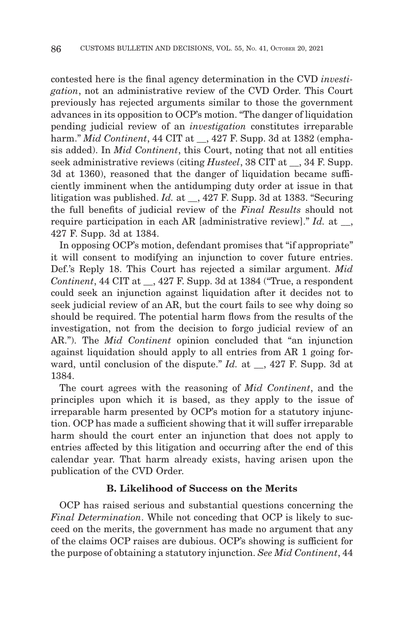contested here is the final agency determination in the CVD *investigation*, not an administrative review of the CVD Order. This Court previously has rejected arguments similar to those the government advances in its opposition to OCP's motion. "The danger of liquidation pending judicial review of an *investigation* constitutes irreparable harm." *Mid Continent*, 44 CIT at , 427 F. Supp. 3d at 1382 (emphasis added). In *Mid Continent*, this Court, noting that not all entities seek administrative reviews (citing *Husteel*, 38 CIT at , 34 F. Supp. 3d at 1360), reasoned that the danger of liquidation became sufficiently imminent when the antidumping duty order at issue in that litigation was published. *Id.* at \_\_, 427 F. Supp. 3d at 1383. "Securing the full benefits of judicial review of the *Final Results* should not require participation in each AR [administrative review]." *Id.* at \_\_, 427 F. Supp. 3d at 1384.

In opposing OCP's motion, defendant promises that "if appropriate" it will consent to modifying an injunction to cover future entries. Def.'s Reply 18. This Court has rejected a similar argument. *Mid Continent*, 44 CIT at \_\_, 427 F. Supp. 3d at 1384 ("True, a respondent could seek an injunction against liquidation after it decides not to seek judicial review of an AR, but the court fails to see why doing so should be required. The potential harm flows from the results of the investigation, not from the decision to forgo judicial review of an AR."). The *Mid Continent* opinion concluded that "an injunction against liquidation should apply to all entries from AR 1 going forward, until conclusion of the dispute." *Id.* at \_\_, 427 F. Supp. 3d at 1384.

The court agrees with the reasoning of *Mid Continent*, and the principles upon which it is based, as they apply to the issue of irreparable harm presented by OCP's motion for a statutory injunction. OCP has made a sufficient showing that it will suffer irreparable harm should the court enter an injunction that does not apply to entries affected by this litigation and occurring after the end of this calendar year. That harm already exists, having arisen upon the publication of the CVD Order.

### **B. Likelihood of Success on the Merits**

OCP has raised serious and substantial questions concerning the *Final Determination*. While not conceding that OCP is likely to succeed on the merits, the government has made no argument that any of the claims OCP raises are dubious. OCP's showing is sufficient for the purpose of obtaining a statutory injunction. *See Mid Continent*, 44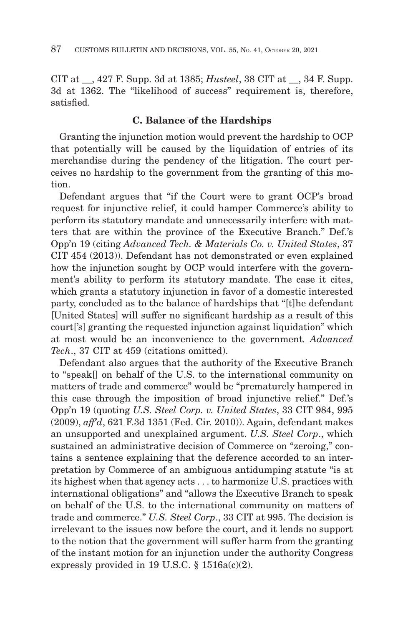CIT at \_\_, 427 F. Supp. 3d at 1385; *Husteel*, 38 CIT at \_\_, 34 F. Supp. 3d at 1362. The "likelihood of success" requirement is, therefore, satisfied.

### **C. Balance of the Hardships**

Granting the injunction motion would prevent the hardship to OCP that potentially will be caused by the liquidation of entries of its merchandise during the pendency of the litigation. The court perceives no hardship to the government from the granting of this motion.

Defendant argues that "if the Court were to grant OCP's broad request for injunctive relief, it could hamper Commerce's ability to perform its statutory mandate and unnecessarily interfere with matters that are within the province of the Executive Branch." Def.'s Opp'n 19 (citing *Advanced Tech. & Materials Co. v. United States*, 37 CIT 454 (2013)). Defendant has not demonstrated or even explained how the injunction sought by OCP would interfere with the government's ability to perform its statutory mandate. The case it cites, which grants a statutory injunction in favor of a domestic interested party, concluded as to the balance of hardships that "[t]he defendant [United States] will suffer no significant hardship as a result of this court['s] granting the requested injunction against liquidation" which at most would be an inconvenience to the government*. Advanced Tech*., 37 CIT at 459 (citations omitted).

Defendant also argues that the authority of the Executive Branch to "speak[] on behalf of the U.S. to the international community on matters of trade and commerce" would be "prematurely hampered in this case through the imposition of broad injunctive relief." Def.'s Opp'n 19 (quoting *U.S. Steel Corp. v. United States*, 33 CIT 984, 995 (2009), *aff'd*, 621 F.3d 1351 (Fed. Cir. 2010)). Again, defendant makes an unsupported and unexplained argument. *U.S. Steel Corp*., which sustained an administrative decision of Commerce on "zeroing," contains a sentence explaining that the deference accorded to an interpretation by Commerce of an ambiguous antidumping statute "is at its highest when that agency acts . . . to harmonize U.S. practices with international obligations" and "allows the Executive Branch to speak on behalf of the U.S. to the international community on matters of trade and commerce." *U.S. Steel Corp*., 33 CIT at 995. The decision is irrelevant to the issues now before the court, and it lends no support to the notion that the government will suffer harm from the granting of the instant motion for an injunction under the authority Congress expressly provided in 19 U.S.C.  $\S$  1516a(c)(2).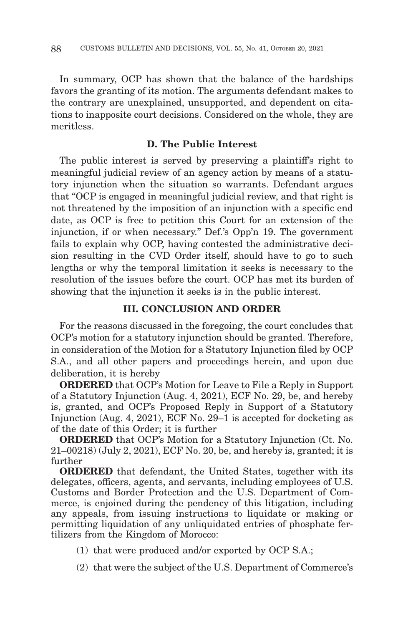In summary, OCP has shown that the balance of the hardships favors the granting of its motion. The arguments defendant makes to the contrary are unexplained, unsupported, and dependent on citations to inapposite court decisions. Considered on the whole, they are meritless.

# **D. The Public Interest**

The public interest is served by preserving a plaintiff's right to meaningful judicial review of an agency action by means of a statutory injunction when the situation so warrants. Defendant argues that "OCP is engaged in meaningful judicial review, and that right is not threatened by the imposition of an injunction with a specific end date, as OCP is free to petition this Court for an extension of the injunction, if or when necessary." Def.'s Opp'n 19. The government fails to explain why OCP, having contested the administrative decision resulting in the CVD Order itself, should have to go to such lengths or why the temporal limitation it seeks is necessary to the resolution of the issues before the court. OCP has met its burden of showing that the injunction it seeks is in the public interest.

# **III. CONCLUSION AND ORDER**

For the reasons discussed in the foregoing, the court concludes that OCP's motion for a statutory injunction should be granted. Therefore, in consideration of the Motion for a Statutory Injunction filed by OCP S.A., and all other papers and proceedings herein, and upon due deliberation, it is hereby

**ORDERED** that OCP's Motion for Leave to File a Reply in Support of a Statutory Injunction (Aug. 4, 2021), ECF No. 29, be, and hereby is, granted, and OCP's Proposed Reply in Support of a Statutory Injunction (Aug. 4, 2021), ECF No. 29–1 is accepted for docketing as of the date of this Order; it is further

**ORDERED** that OCP's Motion for a Statutory Injunction (Ct. No. 21–00218) (July 2, 2021), ECF No. 20, be, and hereby is, granted; it is further

**ORDERED** that defendant, the United States, together with its delegates, officers, agents, and servants, including employees of U.S. Customs and Border Protection and the U.S. Department of Commerce, is enjoined during the pendency of this litigation, including any appeals, from issuing instructions to liquidate or making or permitting liquidation of any unliquidated entries of phosphate fertilizers from the Kingdom of Morocco:

- (1) that were produced and/or exported by OCP S.A.;
- (2) that were the subject of the U.S. Department of Commerce's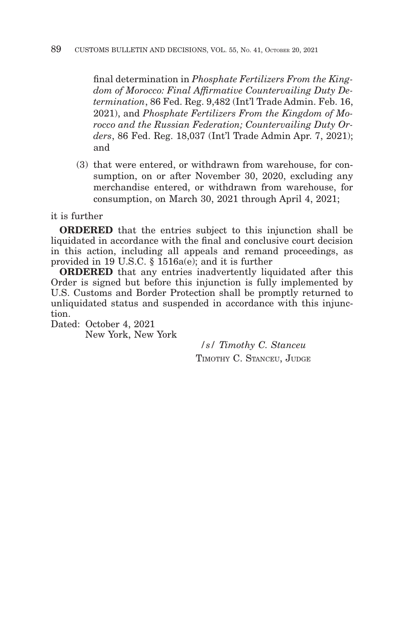final determination in *Phosphate Fertilizers From the Kingdom of Morocco: Final Affirmative Countervailing Duty Determination*, 86 Fed. Reg. 9,482 (Int'l Trade Admin. Feb. 16, 2021), and *Phosphate Fertilizers From the Kingdom of Morocco and the Russian Federation; Countervailing Duty Orders*, 86 Fed. Reg. 18,037 (Int'l Trade Admin Apr. 7, 2021); and

(3) that were entered, or withdrawn from warehouse, for consumption, on or after November 30, 2020, excluding any merchandise entered, or withdrawn from warehouse, for consumption, on March 30, 2021 through April 4, 2021;

it is further

**ORDERED** that the entries subject to this injunction shall be liquidated in accordance with the final and conclusive court decision in this action, including all appeals and remand proceedings, as provided in 19 U.S.C. § 1516a(e); and it is further

**ORDERED** that any entries inadvertently liquidated after this Order is signed but before this injunction is fully implemented by U.S. Customs and Border Protection shall be promptly returned to unliquidated status and suspended in accordance with this injunction.

Dated: October 4, 2021 New York, New York

> */s/ Timothy C. Stanceu* TIMOTHY C. STANCEU, JUDGE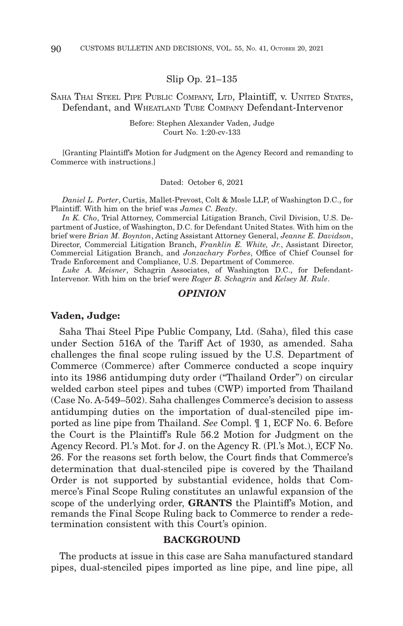Slip Op. 21–135

### SAHA THAI STEEL PIPE PUBLIC COMPANY, LTD, Plaintiff, v. UNITED STATES, Defendant, and WHEATLAND TUBE COMPANY Defendant-Intervenor

Before: Stephen Alexander Vaden, Judge Court No. 1:20-cv-133

[Granting Plaintiff's Motion for Judgment on the Agency Record and remanding to Commerce with instructions.]

Dated: October 6, 2021

*Daniel L. Porter*, Curtis, Mallet-Prevost, Colt & Mosle LLP, of Washington D.C., for Plaintiff. With him on the brief was *James C. Beaty*.

*In K. Cho*, Trial Attorney, Commercial Litigation Branch, Civil Division, U.S. Department of Justice, of Washington, D.C. for Defendant United States. With him on the brief were *Brian M. Boynton*, Acting Assistant Attorney General, *Jeanne E. Davidson*, Director, Commercial Litigation Branch, *Franklin E. White, Jr.*, Assistant Director, Commercial Litigation Branch, and *Jonzachary Forbes*, Office of Chief Counsel for Trade Enforcement and Compliance, U.S. Department of Commerce.

*Luke A. Meisner*, Schagrin Associates, of Washington D.C., for Defendant-Intervenor. With him on the brief were *Roger B. Schagrin* and *Kelsey M. Rule*.

### *OPINION*

#### **Vaden, Judge:**

Saha Thai Steel Pipe Public Company, Ltd. (Saha), filed this case under Section 516A of the Tariff Act of 1930, as amended. Saha challenges the final scope ruling issued by the U.S. Department of Commerce (Commerce) after Commerce conducted a scope inquiry into its 1986 antidumping duty order ("Thailand Order") on circular welded carbon steel pipes and tubes (CWP) imported from Thailand (Case No. A-549–502). Saha challenges Commerce's decision to assess antidumping duties on the importation of dual-stenciled pipe imported as line pipe from Thailand. *See* Compl. ¶ 1, ECF No. 6. Before the Court is the Plaintiff's Rule 56.2 Motion for Judgment on the Agency Record. Pl.'s Mot. for J. on the Agency R. (Pl.'s Mot.), ECF No. 26. For the reasons set forth below, the Court finds that Commerce's determination that dual-stenciled pipe is covered by the Thailand Order is not supported by substantial evidence, holds that Commerce's Final Scope Ruling constitutes an unlawful expansion of the scope of the underlying order, **GRANTS** the Plaintiff's Motion, and remands the Final Scope Ruling back to Commerce to render a redetermination consistent with this Court's opinion.

#### **BACKGROUND**

The products at issue in this case are Saha manufactured standard pipes, dual-stenciled pipes imported as line pipe, and line pipe, all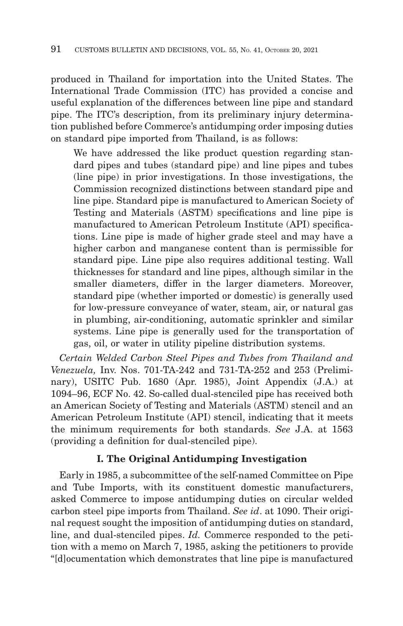produced in Thailand for importation into the United States. The International Trade Commission (ITC) has provided a concise and useful explanation of the differences between line pipe and standard pipe. The ITC's description, from its preliminary injury determination published before Commerce's antidumping order imposing duties on standard pipe imported from Thailand, is as follows:

We have addressed the like product question regarding standard pipes and tubes (standard pipe) and line pipes and tubes (line pipe) in prior investigations. In those investigations, the Commission recognized distinctions between standard pipe and line pipe. Standard pipe is manufactured to American Society of Testing and Materials (ASTM) specifications and line pipe is manufactured to American Petroleum Institute (API) specifications. Line pipe is made of higher grade steel and may have a higher carbon and manganese content than is permissible for standard pipe. Line pipe also requires additional testing. Wall thicknesses for standard and line pipes, although similar in the smaller diameters, differ in the larger diameters. Moreover, standard pipe (whether imported or domestic) is generally used for low-pressure conveyance of water, steam, air, or natural gas in plumbing, air-conditioning, automatic sprinkler and similar systems. Line pipe is generally used for the transportation of gas, oil, or water in utility pipeline distribution systems.

*Certain Welded Carbon Steel Pipes and Tubes from Thailand and Venezuela,* Inv. Nos. 701-TA-242 and 731-TA-252 and 253 (Preliminary), USITC Pub. 1680 (Apr. 1985), Joint Appendix (J.A.) at 1094–96, ECF No. 42. So-called dual-stenciled pipe has received both an American Society of Testing and Materials (ASTM) stencil and an American Petroleum Institute (API) stencil, indicating that it meets the minimum requirements for both standards. *See* J.A. at 1563 (providing a definition for dual-stenciled pipe).

# **I. The Original Antidumping Investigation**

Early in 1985, a subcommittee of the self-named Committee on Pipe and Tube Imports, with its constituent domestic manufacturers, asked Commerce to impose antidumping duties on circular welded carbon steel pipe imports from Thailand. *See id*. at 1090. Their original request sought the imposition of antidumping duties on standard, line, and dual-stenciled pipes. *Id.* Commerce responded to the petition with a memo on March 7, 1985, asking the petitioners to provide "[d]ocumentation which demonstrates that line pipe is manufactured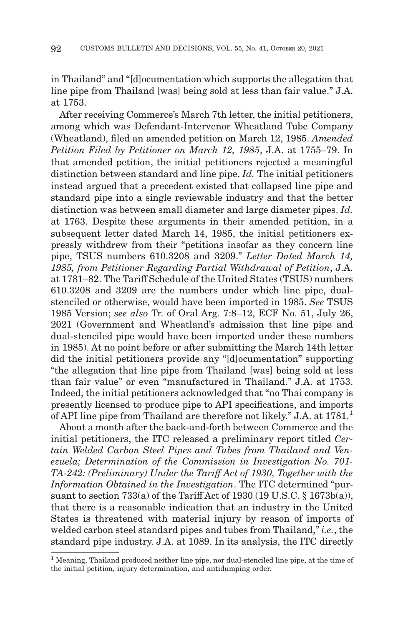in Thailand" and "[d]ocumentation which supports the allegation that line pipe from Thailand [was] being sold at less than fair value." J.A. at 1753.

After receiving Commerce's March 7th letter, the initial petitioners, among which was Defendant-Intervenor Wheatland Tube Company (Wheatland), filed an amended petition on March 12, 1985. *Amended Petition Filed by Petitioner on March 12, 1985*, J.A. at 1755–79. In that amended petition, the initial petitioners rejected a meaningful distinction between standard and line pipe. *Id.* The initial petitioners instead argued that a precedent existed that collapsed line pipe and standard pipe into a single reviewable industry and that the better distinction was between small diameter and large diameter pipes. *Id.* at 1763. Despite these arguments in their amended petition, in a subsequent letter dated March 14, 1985, the initial petitioners expressly withdrew from their "petitions insofar as they concern line pipe, TSUS numbers 610.3208 and 3209." *Letter Dated March 14, 1985, from Petitioner Regarding Partial Withdrawal of Petition*, J.A. at 1781–82. The Tariff Schedule of the United States (TSUS) numbers 610.3208 and 3209 are the numbers under which line pipe, dualstenciled or otherwise, would have been imported in 1985. *See* TSUS 1985 Version; *see also* Tr. of Oral Arg. 7:8–12, ECF No. 51, July 26, 2021 (Government and Wheatland's admission that line pipe and dual-stenciled pipe would have been imported under these numbers in 1985). At no point before or after submitting the March 14th letter did the initial petitioners provide any "[d]ocumentation" supporting "the allegation that line pipe from Thailand [was] being sold at less than fair value" or even "manufactured in Thailand." J.A. at 1753. Indeed, the initial petitioners acknowledged that "no Thai company is presently licensed to produce pipe to API specifications, and imports of API line pipe from Thailand are therefore not likely." J.A. at  $1781<sup>1</sup>$ 

About a month after the back-and-forth between Commerce and the initial petitioners, the ITC released a preliminary report titled *Certain Welded Carbon Steel Pipes and Tubes from Thailand and Venezuela; Determination of the Commission in Investigation No. 701- TA-242: (Preliminary) Under the Tariff Act of 1930, Together with the Information Obtained in the Investigation*. The ITC determined "pursuant to section 733(a) of the Tariff Act of 1930 (19 U.S.C. § 1673b(a)), that there is a reasonable indication that an industry in the United States is threatened with material injury by reason of imports of welded carbon steel standard pipes and tubes from Thailand," *i.e.*, the standard pipe industry. J.A. at 1089. In its analysis, the ITC directly

<sup>1</sup> Meaning, Thailand produced neither line pipe, nor dual-stenciled line pipe, at the time of the initial petition, injury determination, and antidumping order.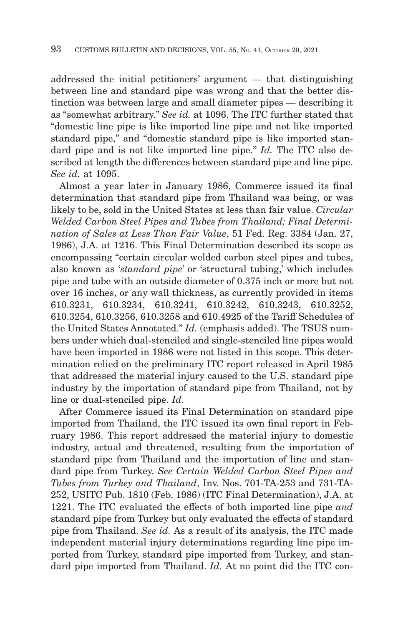addressed the initial petitioners' argument — that distinguishing between line and standard pipe was wrong and that the better distinction was between large and small diameter pipes — describing it as "somewhat arbitrary." *See id.* at 1096. The ITC further stated that "domestic line pipe is like imported line pipe and not like imported standard pipe," and "domestic standard pipe is like imported standard pipe and is not like imported line pipe." *Id.* The ITC also described at length the differences between standard pipe and line pipe. *See id.* at 1095.

Almost a year later in January 1986, Commerce issued its final determination that standard pipe from Thailand was being, or was likely to be, sold in the United States at less than fair value. *Circular Welded Carbon Steel Pipes and Tubes from Thailand; Final Determination of Sales at Less Than Fair Value*, 51 Fed. Reg. 3384 (Jan. 27, 1986), J.A. at 1216. This Final Determination described its scope as encompassing "certain circular welded carbon steel pipes and tubes, also known as '*standard pipe*' or 'structural tubing,' which includes pipe and tube with an outside diameter of 0.375 inch or more but not over 16 inches, or any wall thickness, as currently provided in items 610.3231, 610.3234, 610.3241, 610.3242, 610.3243, 610.3252, 610.3254, 610.3256, 610.3258 and 610.4925 of the Tariff Schedules of the United States Annotated." *Id.* (emphasis added). The TSUS numbers under which dual-stenciled and single-stenciled line pipes would have been imported in 1986 were not listed in this scope. This determination relied on the preliminary ITC report released in April 1985 that addressed the material injury caused to the U.S. standard pipe industry by the importation of standard pipe from Thailand, not by line or dual-stenciled pipe. *Id.*

After Commerce issued its Final Determination on standard pipe imported from Thailand, the ITC issued its own final report in February 1986. This report addressed the material injury to domestic industry, actual and threatened, resulting from the importation of standard pipe from Thailand and the importation of line and standard pipe from Turkey. *See Certain Welded Carbon Steel Pipes and Tubes from Turkey and Thailand*, Inv. Nos. 701-TA-253 and 731-TA-252, USITC Pub. 1810 (Feb. 1986) (ITC Final Determination), J.A. at 1221. The ITC evaluated the effects of both imported line pipe *and* standard pipe from Turkey but only evaluated the effects of standard pipe from Thailand. *See id.* As a result of its analysis, the ITC made independent material injury determinations regarding line pipe imported from Turkey, standard pipe imported from Turkey, and standard pipe imported from Thailand. *Id.* At no point did the ITC con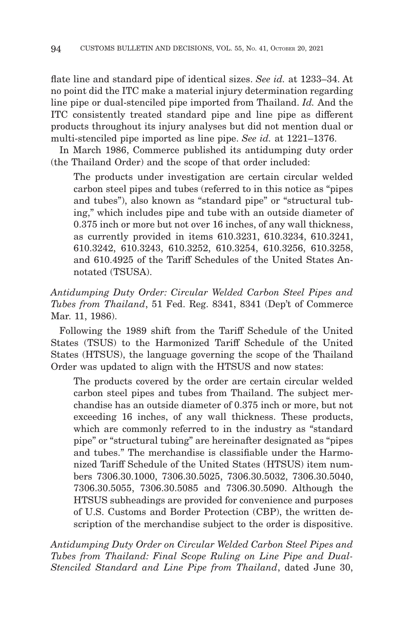flate line and standard pipe of identical sizes. *See id.* at 1233–34. At no point did the ITC make a material injury determination regarding line pipe or dual-stenciled pipe imported from Thailand. *Id.* And the ITC consistently treated standard pipe and line pipe as different products throughout its injury analyses but did not mention dual or multi-stenciled pipe imported as line pipe. *See id.* at 1221–1376.

In March 1986, Commerce published its antidumping duty order (the Thailand Order) and the scope of that order included:

The products under investigation are certain circular welded carbon steel pipes and tubes (referred to in this notice as "pipes and tubes"), also known as "standard pipe" or "structural tubing," which includes pipe and tube with an outside diameter of 0.375 inch or more but not over 16 inches, of any wall thickness, as currently provided in items 610.3231, 610.3234, 610.3241, 610.3242, 610.3243, 610.3252, 610.3254, 610.3256, 610.3258, and 610.4925 of the Tariff Schedules of the United States Annotated (TSUSA).

*Antidumping Duty Order: Circular Welded Carbon Steel Pipes and Tubes from Thailand*, 51 Fed. Reg. 8341, 8341 (Dep't of Commerce Mar. 11, 1986).

Following the 1989 shift from the Tariff Schedule of the United States (TSUS) to the Harmonized Tariff Schedule of the United States (HTSUS), the language governing the scope of the Thailand Order was updated to align with the HTSUS and now states:

The products covered by the order are certain circular welded carbon steel pipes and tubes from Thailand. The subject merchandise has an outside diameter of 0.375 inch or more, but not exceeding 16 inches, of any wall thickness. These products, which are commonly referred to in the industry as "standard pipe" or "structural tubing" are hereinafter designated as "pipes and tubes." The merchandise is classifiable under the Harmonized Tariff Schedule of the United States (HTSUS) item numbers 7306.30.1000, 7306.30.5025, 7306.30.5032, 7306.30.5040, 7306.30.5055, 7306.30.5085 and 7306.30.5090. Although the HTSUS subheadings are provided for convenience and purposes of U.S. Customs and Border Protection (CBP), the written description of the merchandise subject to the order is dispositive.

*Antidumping Duty Order on Circular Welded Carbon Steel Pipes and Tubes from Thailand: Final Scope Ruling on Line Pipe and Dual-Stenciled Standard and Line Pipe from Thailand*, dated June 30,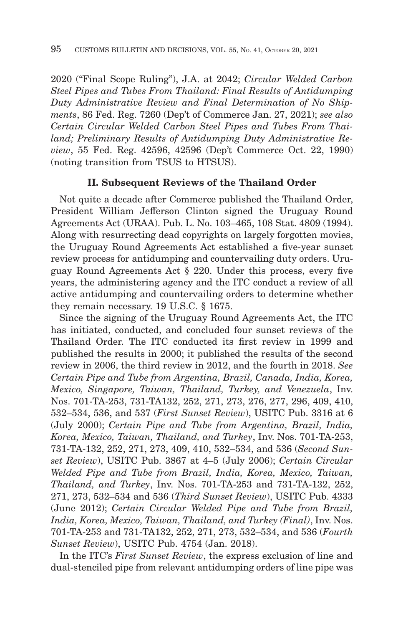2020 ("Final Scope Ruling"), J.A. at 2042; *Circular Welded Carbon Steel Pipes and Tubes From Thailand: Final Results of Antidumping Duty Administrative Review and Final Determination of No Shipments*, 86 Fed. Reg. 7260 (Dep't of Commerce Jan. 27, 2021); *see also Certain Circular Welded Carbon Steel Pipes and Tubes From Thailand; Preliminary Results of Antidumping Duty Administrative Review*, 55 Fed. Reg. 42596, 42596 (Dep't Commerce Oct. 22, 1990) (noting transition from TSUS to HTSUS).

### **II. Subsequent Reviews of the Thailand Order**

Not quite a decade after Commerce published the Thailand Order, President William Jefferson Clinton signed the Uruguay Round Agreements Act (URAA). Pub. L. No. 103–465, 108 Stat. 4809 (1994). Along with resurrecting dead copyrights on largely forgotten movies, the Uruguay Round Agreements Act established a five-year sunset review process for antidumping and countervailing duty orders. Uruguay Round Agreements Act § 220. Under this process, every five years, the administering agency and the ITC conduct a review of all active antidumping and countervailing orders to determine whether they remain necessary. 19 U.S.C. § 1675.

Since the signing of the Uruguay Round Agreements Act, the ITC has initiated, conducted, and concluded four sunset reviews of the Thailand Order. The ITC conducted its first review in 1999 and published the results in 2000; it published the results of the second review in 2006, the third review in 2012, and the fourth in 2018. *See Certain Pipe and Tube from Argentina, Brazil, Canada, India, Korea, Mexico, Singapore, Taiwan, Thailand, Turkey, and Venezuela*, Inv. Nos. 701-TA-253, 731-TA132, 252, 271, 273, 276, 277, 296, 409, 410, 532–534, 536, and 537 (*First Sunset Review*), USITC Pub. 3316 at 6 (July 2000); *Certain Pipe and Tube from Argentina, Brazil, India, Korea, Mexico, Taiwan, Thailand, and Turkey*, Inv. Nos. 701-TA-253, 731-TA-132, 252, 271, 273, 409, 410, 532–534, and 536 (*Second Sunset Review*), USITC Pub. 3867 at 4–5 (July 2006); *Certain Circular Welded Pipe and Tube from Brazil, India, Korea, Mexico, Taiwan, Thailand, and Turkey*, Inv. Nos. 701-TA-253 and 731-TA-132, 252, 271, 273, 532–534 and 536 (*Third Sunset Review*), USITC Pub. 4333 (June 2012); *Certain Circular Welded Pipe and Tube from Brazil, India, Korea, Mexico, Taiwan, Thailand, and Turkey (Final)*, Inv. Nos. 701-TA-253 and 731-TA132, 252, 271, 273, 532–534, and 536 (*Fourth Sunset Review*), USITC Pub. 4754 (Jan. 2018).

In the ITC's *First Sunset Review*, the express exclusion of line and dual-stenciled pipe from relevant antidumping orders of line pipe was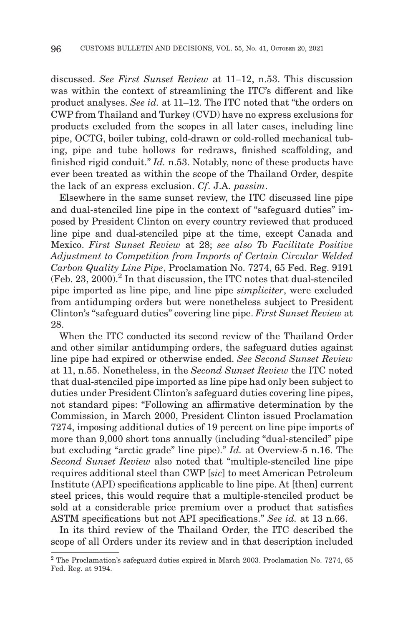discussed. *See First Sunset Review* at 11–12, n.53. This discussion was within the context of streamlining the ITC's different and like product analyses. *See id.* at 11–12. The ITC noted that "the orders on CWP from Thailand and Turkey (CVD) have no express exclusions for products excluded from the scopes in all later cases, including line pipe, OCTG, boiler tubing, cold-drawn or cold-rolled mechanical tubing, pipe and tube hollows for redraws, finished scaffolding, and finished rigid conduit." *Id.* n.53. Notably, none of these products have ever been treated as within the scope of the Thailand Order, despite the lack of an express exclusion. *Cf*. J.A. *passim*.

Elsewhere in the same sunset review, the ITC discussed line pipe and dual-stenciled line pipe in the context of "safeguard duties" imposed by President Clinton on every country reviewed that produced line pipe and dual-stenciled pipe at the time, except Canada and Mexico. *First Sunset Review* at 28; *see also To Facilitate Positive Adjustment to Competition from Imports of Certain Circular Welded Carbon Quality Line Pipe*, Proclamation No. 7274, 65 Fed. Reg. 9191  $(Feb. 23, 2000)<sup>2</sup>$  In that discussion, the ITC notes that dual-stenciled pipe imported as line pipe, and line pipe *simpliciter*, were excluded from antidumping orders but were nonetheless subject to President Clinton's "safeguard duties" covering line pipe. *First Sunset Review* at 28.

When the ITC conducted its second review of the Thailand Order and other similar antidumping orders, the safeguard duties against line pipe had expired or otherwise ended. *See Second Sunset Review* at 11, n.55. Nonetheless, in the *Second Sunset Review* the ITC noted that dual-stenciled pipe imported as line pipe had only been subject to duties under President Clinton's safeguard duties covering line pipes, not standard pipes: "Following an affirmative determination by the Commission, in March 2000, President Clinton issued Proclamation 7274, imposing additional duties of 19 percent on line pipe imports of more than 9,000 short tons annually (including "dual-stenciled" pipe but excluding "arctic grade" line pipe)." *Id.* at Overview-5 n.16. The *Second Sunset Review* also noted that "multiple-stenciled line pipe requires additional steel than CWP [*sic*] to meet American Petroleum Institute (API) specifications applicable to line pipe. At [then] current steel prices, this would require that a multiple-stenciled product be sold at a considerable price premium over a product that satisfies ASTM specifications but not API specifications." *See id.* at 13 n.66.

In its third review of the Thailand Order, the ITC described the scope of all Orders under its review and in that description included

 $2$  The Proclamation's safeguard duties expired in March 2003. Proclamation No. 7274, 65 Fed. Reg. at 9194.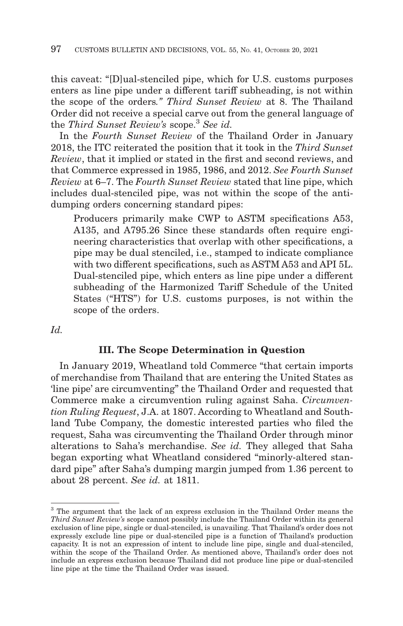this caveat: "[D]ual-stenciled pipe, which for U.S. customs purposes enters as line pipe under a different tariff subheading, is not within the scope of the orders*." Third Sunset Review* at 8. The Thailand Order did not receive a special carve out from the general language of the *Third Sunset Review's* scope.3 *See id.*

In the *Fourth Sunset Review* of the Thailand Order in January 2018, the ITC reiterated the position that it took in the *Third Sunset Review*, that it implied or stated in the first and second reviews, and that Commerce expressed in 1985, 1986, and 2012. *See Fourth Sunset Review* at 6–7. The *Fourth Sunset Review* stated that line pipe, which includes dual-stenciled pipe, was not within the scope of the antidumping orders concerning standard pipes:

Producers primarily make CWP to ASTM specifications A53, A135, and A795.26 Since these standards often require engineering characteristics that overlap with other specifications, a pipe may be dual stenciled, i.e., stamped to indicate compliance with two different specifications, such as ASTM A53 and API 5L. Dual-stenciled pipe, which enters as line pipe under a different subheading of the Harmonized Tariff Schedule of the United States ("HTS") for U.S. customs purposes, is not within the scope of the orders.

*Id.*

### **III. The Scope Determination in Question**

In January 2019, Wheatland told Commerce "that certain imports of merchandise from Thailand that are entering the United States as 'line pipe' are circumventing" the Thailand Order and requested that Commerce make a circumvention ruling against Saha. *Circumvention Ruling Request*, J.A. at 1807. According to Wheatland and Southland Tube Company, the domestic interested parties who filed the request, Saha was circumventing the Thailand Order through minor alterations to Saha's merchandise. *See id.* They alleged that Saha began exporting what Wheatland considered "minorly-altered standard pipe" after Saha's dumping margin jumped from 1.36 percent to about 28 percent. *See id.* at 1811.

<sup>&</sup>lt;sup>3</sup> The argument that the lack of an express exclusion in the Thailand Order means the *Third Sunset Review's* scope cannot possibly include the Thailand Order within its general exclusion of line pipe, single or dual-stenciled, is unavailing. That Thailand's order does not expressly exclude line pipe or dual-stenciled pipe is a function of Thailand's production capacity. It is not an expression of intent to include line pipe, single and dual-stenciled, within the scope of the Thailand Order. As mentioned above, Thailand's order does not include an express exclusion because Thailand did not produce line pipe or dual-stenciled line pipe at the time the Thailand Order was issued.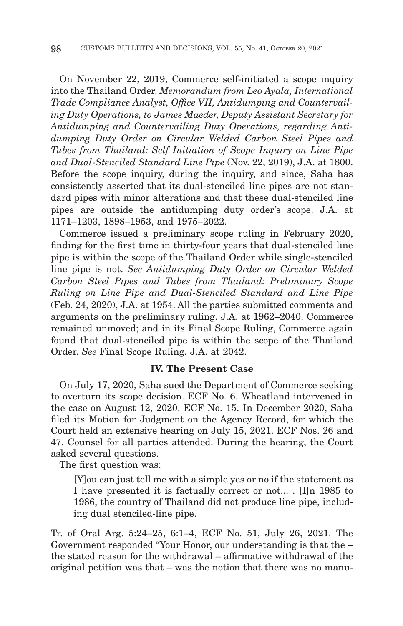On November 22, 2019, Commerce self-initiated a scope inquiry into the Thailand Order. *Memorandum from Leo Ayala, International Trade Compliance Analyst, Office VII, Antidumping and Countervailing Duty Operations, to James Maeder, Deputy Assistant Secretary for Antidumping and Countervailing Duty Operations, regarding Antidumping Duty Order on Circular Welded Carbon Steel Pipes and Tubes from Thailand: Self Initiation of Scope Inquiry on Line Pipe and Dual-Stenciled Standard Line Pipe* (Nov. 22, 2019), J.A. at 1800. Before the scope inquiry, during the inquiry, and since, Saha has consistently asserted that its dual-stenciled line pipes are not standard pipes with minor alterations and that these dual-stenciled line pipes are outside the antidumping duty order's scope. J.A. at 1171–1203, 1898–1953, and 1975–2022.

Commerce issued a preliminary scope ruling in February 2020, finding for the first time in thirty-four years that dual-stenciled line pipe is within the scope of the Thailand Order while single-stenciled line pipe is not. *See Antidumping Duty Order on Circular Welded Carbon Steel Pipes and Tubes from Thailand: Preliminary Scope Ruling on Line Pipe and Dual-Stenciled Standard and Line Pipe* (Feb. 24, 2020), J.A. at 1954. All the parties submitted comments and arguments on the preliminary ruling. J.A. at 1962–2040. Commerce remained unmoved; and in its Final Scope Ruling, Commerce again found that dual-stenciled pipe is within the scope of the Thailand Order. *See* Final Scope Ruling, J.A. at 2042.

### **IV. The Present Case**

On July 17, 2020, Saha sued the Department of Commerce seeking to overturn its scope decision. ECF No. 6. Wheatland intervened in the case on August 12, 2020. ECF No. 15. In December 2020, Saha filed its Motion for Judgment on the Agency Record, for which the Court held an extensive hearing on July 15, 2021. ECF Nos. 26 and 47. Counsel for all parties attended. During the hearing, the Court asked several questions.

The first question was:

[Y]ou can just tell me with a simple yes or no if the statement as I have presented it is factually correct or not... . [I]n 1985 to 1986, the country of Thailand did not produce line pipe, including dual stenciled-line pipe.

Tr. of Oral Arg. 5:24–25, 6:1–4, ECF No. 51, July 26, 2021. The Government responded "Your Honor, our understanding is that the – the stated reason for the withdrawal – affirmative withdrawal of the original petition was that – was the notion that there was no manu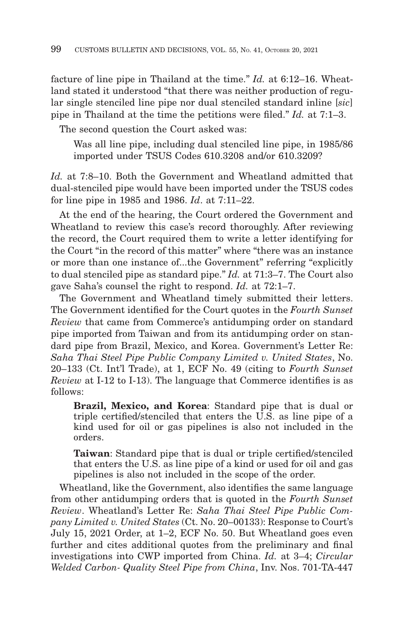facture of line pipe in Thailand at the time." *Id.* at 6:12–16. Wheatland stated it understood "that there was neither production of regular single stenciled line pipe nor dual stenciled standard inline [*sic*] pipe in Thailand at the time the petitions were filed." *Id.* at 7:1–3.

The second question the Court asked was:

Was all line pipe, including dual stenciled line pipe, in 1985/86 imported under TSUS Codes 610.3208 and/or 610.3209?

*Id.* at 7:8–10. Both the Government and Wheatland admitted that dual-stenciled pipe would have been imported under the TSUS codes for line pipe in 1985 and 1986. *Id*. at 7:11–22.

At the end of the hearing, the Court ordered the Government and Wheatland to review this case's record thoroughly. After reviewing the record, the Court required them to write a letter identifying for the Court "in the record of this matter" where "there was an instance or more than one instance of...the Government" referring "explicitly to dual stenciled pipe as standard pipe." *Id.* at 71:3–7. The Court also gave Saha's counsel the right to respond. *Id.* at 72:1–7.

The Government and Wheatland timely submitted their letters. The Government identified for the Court quotes in the *Fourth Sunset Review* that came from Commerce's antidumping order on standard pipe imported from Taiwan and from its antidumping order on standard pipe from Brazil, Mexico, and Korea. Government's Letter Re: *Saha Thai Steel Pipe Public Company Limited v. United States*, No. 20–133 (Ct. Int'l Trade), at 1, ECF No. 49 (citing to *Fourth Sunset Review* at I-12 to I-13). The language that Commerce identifies is as follows:

**Brazil, Mexico, and Korea**: Standard pipe that is dual or triple certified/stenciled that enters the U.S. as line pipe of a kind used for oil or gas pipelines is also not included in the orders.

**Taiwan**: Standard pipe that is dual or triple certified/stenciled that enters the U.S. as line pipe of a kind or used for oil and gas pipelines is also not included in the scope of the order.

Wheatland, like the Government, also identifies the same language from other antidumping orders that is quoted in the *Fourth Sunset Review*. Wheatland's Letter Re: *Saha Thai Steel Pipe Public Company Limited v. United States* (Ct. No. 20–00133): Response to Court's July 15, 2021 Order, at 1–2, ECF No. 50. But Wheatland goes even further and cites additional quotes from the preliminary and final investigations into CWP imported from China. *Id.* at 3–4; *Circular Welded Carbon- Quality Steel Pipe from China*, Inv. Nos. 701-TA-447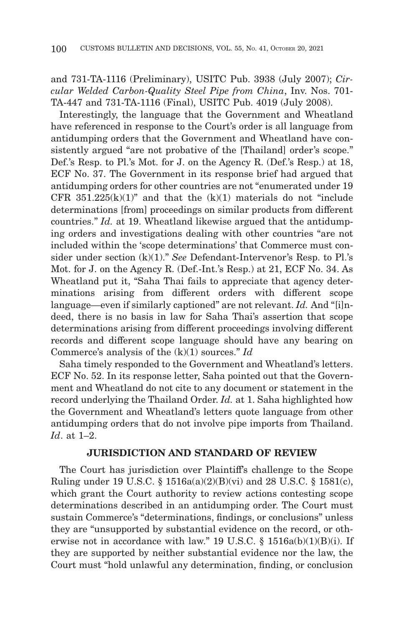and 731-TA-1116 (Preliminary), USITC Pub. 3938 (July 2007); *Circular Welded Carbon-Quality Steel Pipe from China*, Inv. Nos. 701- TA-447 and 731-TA-1116 (Final), USITC Pub. 4019 (July 2008).

Interestingly, the language that the Government and Wheatland have referenced in response to the Court's order is all language from antidumping orders that the Government and Wheatland have consistently argued "are not probative of the [Thailand] order's scope." Def.'s Resp. to Pl.'s Mot. for J. on the Agency R. (Def.'s Resp.) at 18, ECF No. 37. The Government in its response brief had argued that antidumping orders for other countries are not "enumerated under 19 CFR  $351.225(k)(1)$ " and that the  $(k)(1)$  materials do not "include" determinations [from] proceedings on similar products from different countries." *Id.* at 19. Wheatland likewise argued that the antidumping orders and investigations dealing with other countries "are not included within the 'scope determinations' that Commerce must consider under section (k)(1)." *See* Defendant-Intervenor's Resp. to Pl.'s Mot. for J. on the Agency R. (Def.-Int.'s Resp.) at 21, ECF No. 34. As Wheatland put it, "Saha Thai fails to appreciate that agency determinations arising from different orders with different scope language—even if similarly captioned" are not relevant. *Id.* And "[i]ndeed, there is no basis in law for Saha Thai's assertion that scope determinations arising from different proceedings involving different records and different scope language should have any bearing on Commerce's analysis of the (k)(1) sources." *Id*

Saha timely responded to the Government and Wheatland's letters. ECF No. 52. In its response letter, Saha pointed out that the Government and Wheatland do not cite to any document or statement in the record underlying the Thailand Order. *Id.* at 1. Saha highlighted how the Government and Wheatland's letters quote language from other antidumping orders that do not involve pipe imports from Thailand. *Id*. at 1–2.

### **JURISDICTION AND STANDARD OF REVIEW**

The Court has jurisdiction over Plaintiff's challenge to the Scope Ruling under 19 U.S.C. § 1516a(a)(2)(B)(vi) and 28 U.S.C. § 1581(c), which grant the Court authority to review actions contesting scope determinations described in an antidumping order. The Court must sustain Commerce's "determinations, findings, or conclusions" unless they are "unsupported by substantial evidence on the record, or otherwise not in accordance with law." 19 U.S.C.  $\S$  1516a(b)(1)(B)(i). If they are supported by neither substantial evidence nor the law, the Court must "hold unlawful any determination, finding, or conclusion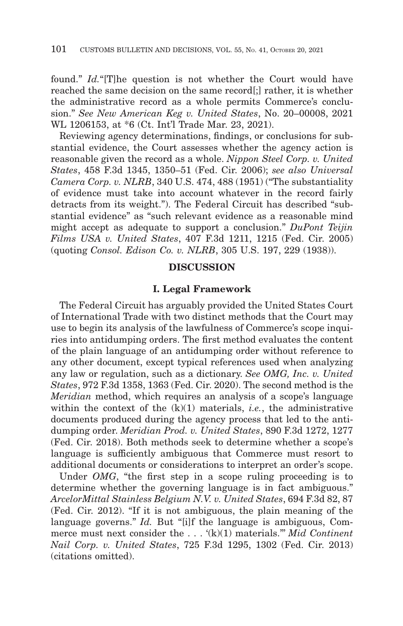found." *Id.*"[T]he question is not whether the Court would have reached the same decision on the same record[;] rather, it is whether the administrative record as a whole permits Commerce's conclusion." *See New American Keg v. United States*, No. 20–00008, 2021 WL 1206153, at \*6 (Ct. Int'l Trade Mar. 23, 2021).

Reviewing agency determinations, findings, or conclusions for substantial evidence, the Court assesses whether the agency action is reasonable given the record as a whole. *Nippon Steel Corp. v. United States*, 458 F.3d 1345, 1350–51 (Fed. Cir. 2006); *see also Universal Camera Corp. v. NLRB*, 340 U.S. 474, 488 (1951) ("The substantiality of evidence must take into account whatever in the record fairly detracts from its weight."). The Federal Circuit has described "substantial evidence" as "such relevant evidence as a reasonable mind might accept as adequate to support a conclusion." *DuPont Teijin Films USA v. United States*, 407 F.3d 1211, 1215 (Fed. Cir. 2005) (quoting *Consol. Edison Co. v. NLRB*, 305 U.S. 197, 229 (1938)).

# **DISCUSSION**

#### **I. Legal Framework**

The Federal Circuit has arguably provided the United States Court of International Trade with two distinct methods that the Court may use to begin its analysis of the lawfulness of Commerce's scope inquiries into antidumping orders. The first method evaluates the content of the plain language of an antidumping order without reference to any other document, except typical references used when analyzing any law or regulation, such as a dictionary. *See OMG, Inc. v. United States*, 972 F.3d 1358, 1363 (Fed. Cir. 2020). The second method is the *Meridian* method, which requires an analysis of a scope's language within the context of the (k)(1) materials, *i.e.*, the administrative documents produced during the agency process that led to the antidumping order. *Meridian Prod. v. United States*, 890 F.3d 1272, 1277 (Fed. Cir. 2018). Both methods seek to determine whether a scope's language is sufficiently ambiguous that Commerce must resort to additional documents or considerations to interpret an order's scope.

Under *OMG*, "the first step in a scope ruling proceeding is to determine whether the governing language is in fact ambiguous.'' *ArcelorMittal Stainless Belgium N.V. v. United States*, 694 F.3d 82, 87 (Fed. Cir. 2012). "If it is not ambiguous, the plain meaning of the language governs." *Id.* But "[i]f the language is ambiguous, Commerce must next consider the . . . '(k)(1) materials.''' *Mid Continent Nail Corp. v. United States*, 725 F.3d 1295, 1302 (Fed. Cir. 2013) (citations omitted).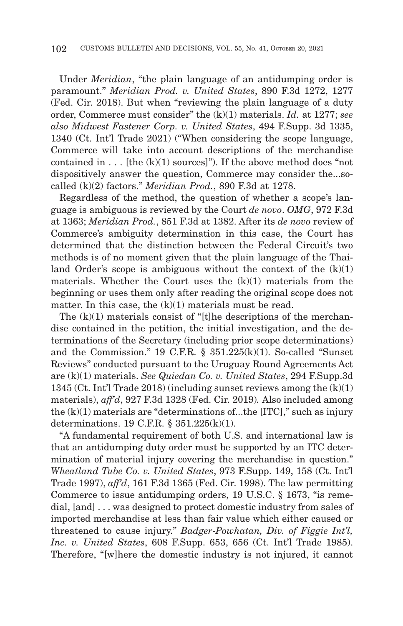Under *Meridian*, "the plain language of an antidumping order is paramount." *Meridian Prod. v. United States*, 890 F.3d 1272, 1277 (Fed. Cir. 2018). But when "reviewing the plain language of a duty order, Commerce must consider" the (k)(1) materials. *Id.* at 1277; *see also Midwest Fastener Corp. v. United States*, 494 F.Supp. 3d 1335, 1340 (Ct. Int'l Trade 2021) ("When considering the scope language, Commerce will take into account descriptions of the merchandise contained in  $\dots$  [the  $(k)(1)$  sources]"). If the above method does "not dispositively answer the question, Commerce may consider the...socalled (k)(2) factors." *Meridian Prod.*, 890 F.3d at 1278.

Regardless of the method, the question of whether a scope's language is ambiguous is reviewed by the Court *de novo*. *OMG*, 972 F.3d at 1363; *Meridian Prod.*, 851 F.3d at 1382. After its *de novo* review of Commerce's ambiguity determination in this case, the Court has determined that the distinction between the Federal Circuit's two methods is of no moment given that the plain language of the Thailand Order's scope is ambiguous without the context of the  $(k)(1)$ materials. Whether the Court uses the  $(k)(1)$  materials from the beginning or uses them only after reading the original scope does not matter. In this case, the  $(k)(1)$  materials must be read.

The  $(k)(1)$  materials consist of "[t]he descriptions of the merchandise contained in the petition, the initial investigation, and the determinations of the Secretary (including prior scope determinations) and the Commission.'' 19 C.F.R. § 351.225(k)(1). So-called "Sunset Reviews" conducted pursuant to the Uruguay Round Agreements Act are (k)(1) materials. *See Quiedan Co. v. United States*, 294 F.Supp.3d 1345 (Ct. Int'l Trade 2018) (including sunset reviews among the (k)(1) materials), *aff'd*, 927 F.3d 1328 (Fed. Cir. 2019)*.* Also included among the  $(k)(1)$  materials are "determinations of...the  $[ITC]$ ," such as injury determinations. 19 C.F.R. § 351.225(k)(1).

"A fundamental requirement of both U.S. and international law is that an antidumping duty order must be supported by an ITC determination of material injury covering the merchandise in question." *Wheatland Tube Co. v. United States*, 973 F.Supp. 149, 158 (Ct. Int'l Trade 1997), *aff'd*, 161 F.3d 1365 (Fed. Cir. 1998). The law permitting Commerce to issue antidumping orders, 19 U.S.C. § 1673, "is remedial, [and] . . . was designed to protect domestic industry from sales of imported merchandise at less than fair value which either caused or threatened to cause injury." *Badger-Powhatan, Div. of Figgie Int'l, Inc. v. United States*, 608 F.Supp. 653, 656 (Ct. Int'l Trade 1985). Therefore, "[w]here the domestic industry is not injured, it cannot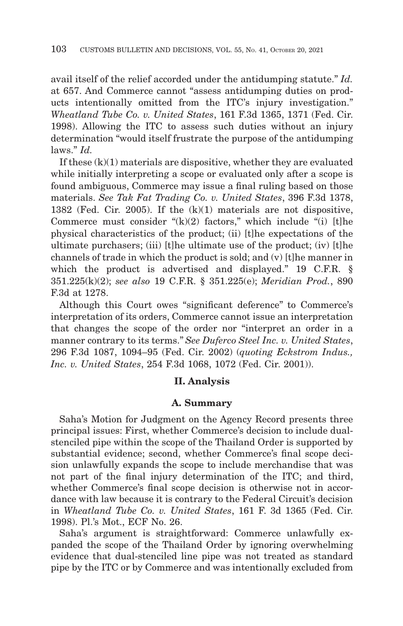avail itself of the relief accorded under the antidumping statute." *Id.* at 657. And Commerce cannot "assess antidumping duties on products intentionally omitted from the ITC's injury investigation." *Wheatland Tube Co. v. United States*, 161 F.3d 1365, 1371 (Fed. Cir. 1998). Allowing the ITC to assess such duties without an injury determination "would itself frustrate the purpose of the antidumping laws." *Id.*

If these (k)(1) materials are dispositive, whether they are evaluated while initially interpreting a scope or evaluated only after a scope is found ambiguous, Commerce may issue a final ruling based on those materials. *See Tak Fat Trading Co. v. United States*, 396 F.3d 1378, 1382 (Fed. Cir. 2005). If the (k)(1) materials are not dispositive, Commerce must consider  $\lq(k)(2)$  factors," which include  $\lq(i)$  [t]he physical characteristics of the product; (ii) [t]he expectations of the ultimate purchasers; (iii) [t]he ultimate use of the product; (iv) [t]he channels of trade in which the product is sold; and (v) [t]he manner in which the product is advertised and displayed." 19 C.F.R. § 351.225(k)(2); *see also* 19 C.F.R. § 351.225(e); *Meridian Prod.*, 890 F.3d at 1278.

Although this Court owes "significant deference" to Commerce's interpretation of its orders, Commerce cannot issue an interpretation that changes the scope of the order nor ''interpret an order in a manner contrary to its terms.'' *See Duferco Steel Inc. v. United States*, 296 F.3d 1087, 1094–95 (Fed. Cir. 2002) (*quoting Eckstrom Indus., Inc. v. United States*, 254 F.3d 1068, 1072 (Fed. Cir. 2001)).

# **II. Analysis**

#### **A. Summary**

Saha's Motion for Judgment on the Agency Record presents three principal issues: First, whether Commerce's decision to include dualstenciled pipe within the scope of the Thailand Order is supported by substantial evidence; second, whether Commerce's final scope decision unlawfully expands the scope to include merchandise that was not part of the final injury determination of the ITC; and third, whether Commerce's final scope decision is otherwise not in accordance with law because it is contrary to the Federal Circuit's decision in *Wheatland Tube Co. v. United States*, 161 F. 3d 1365 (Fed. Cir. 1998). Pl.'s Mot., ECF No. 26.

Saha's argument is straightforward: Commerce unlawfully expanded the scope of the Thailand Order by ignoring overwhelming evidence that dual-stenciled line pipe was not treated as standard pipe by the ITC or by Commerce and was intentionally excluded from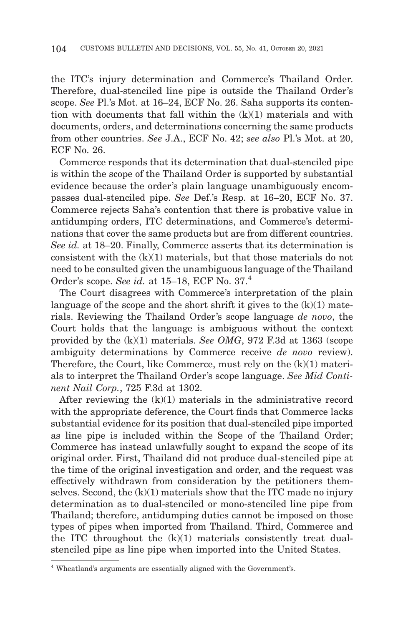the ITC's injury determination and Commerce's Thailand Order. Therefore, dual-stenciled line pipe is outside the Thailand Order's scope. *See* Pl.'s Mot. at 16–24, ECF No. 26. Saha supports its contention with documents that fall within the (k)(1) materials and with documents, orders, and determinations concerning the same products from other countries. *See* J.A., ECF No. 42; *see also* Pl.'s Mot. at 20, ECF No. 26.

Commerce responds that its determination that dual-stenciled pipe is within the scope of the Thailand Order is supported by substantial evidence because the order's plain language unambiguously encompasses dual-stenciled pipe. *See* Def.'s Resp. at 16–20, ECF No. 37. Commerce rejects Saha's contention that there is probative value in antidumping orders, ITC determinations, and Commerce's determinations that cover the same products but are from different countries. *See id.* at 18–20. Finally, Commerce asserts that its determination is consistent with the (k)(1) materials, but that those materials do not need to be consulted given the unambiguous language of the Thailand Order's scope. *See id.* at 15–18, ECF No. 37.4

The Court disagrees with Commerce's interpretation of the plain language of the scope and the short shrift it gives to the  $(k)(1)$  materials. Reviewing the Thailand Order's scope language *de novo*, the Court holds that the language is ambiguous without the context provided by the (k)(1) materials. *See OMG*, 972 F.3d at 1363 (scope ambiguity determinations by Commerce receive *de novo* review). Therefore, the Court, like Commerce, must rely on the (k)(1) materials to interpret the Thailand Order's scope language. *See Mid Continent Nail Corp.*, 725 F.3d at 1302.

After reviewing the (k)(1) materials in the administrative record with the appropriate deference, the Court finds that Commerce lacks substantial evidence for its position that dual-stenciled pipe imported as line pipe is included within the Scope of the Thailand Order; Commerce has instead unlawfully sought to expand the scope of its original order. First, Thailand did not produce dual-stenciled pipe at the time of the original investigation and order, and the request was effectively withdrawn from consideration by the petitioners themselves. Second, the  $(k)(1)$  materials show that the ITC made no injury determination as to dual-stenciled or mono-stenciled line pipe from Thailand; therefore, antidumping duties cannot be imposed on those types of pipes when imported from Thailand. Third, Commerce and the ITC throughout the (k)(1) materials consistently treat dualstenciled pipe as line pipe when imported into the United States.

<sup>4</sup> Wheatland's arguments are essentially aligned with the Government's.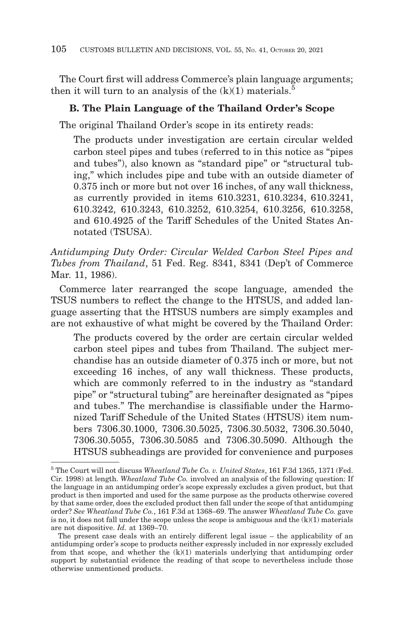The Court first will address Commerce's plain language arguments; then it will turn to an analysis of the  $(k)(1)$  materials.<sup>5</sup>

# **B. The Plain Language of the Thailand Order's Scope**

The original Thailand Order's scope in its entirety reads:

The products under investigation are certain circular welded carbon steel pipes and tubes (referred to in this notice as "pipes and tubes"), also known as "standard pipe" or "structural tubing," which includes pipe and tube with an outside diameter of 0.375 inch or more but not over 16 inches, of any wall thickness, as currently provided in items 610.3231, 610.3234, 610.3241, 610.3242, 610.3243, 610.3252, 610.3254, 610.3256, 610.3258, and 610.4925 of the Tariff Schedules of the United States Annotated (TSUSA).

*Antidumping Duty Order: Circular Welded Carbon Steel Pipes and Tubes from Thailand*, 51 Fed. Reg. 8341, 8341 (Dep't of Commerce Mar. 11, 1986).

Commerce later rearranged the scope language, amended the TSUS numbers to reflect the change to the HTSUS, and added language asserting that the HTSUS numbers are simply examples and are not exhaustive of what might be covered by the Thailand Order:

The products covered by the order are certain circular welded carbon steel pipes and tubes from Thailand. The subject merchandise has an outside diameter of 0.375 inch or more, but not exceeding 16 inches, of any wall thickness. These products, which are commonly referred to in the industry as "standard pipe" or "structural tubing" are hereinafter designated as "pipes and tubes." The merchandise is classifiable under the Harmonized Tariff Schedule of the United States (HTSUS) item numbers 7306.30.1000, 7306.30.5025, 7306.30.5032, 7306.30.5040, 7306.30.5055, 7306.30.5085 and 7306.30.5090. Although the HTSUS subheadings are provided for convenience and purposes

<sup>5</sup> The Court will not discuss *Wheatland Tube Co. v. United States*, 161 F.3d 1365, 1371 (Fed. Cir. 1998) at length. *Wheatland Tube Co.* involved an analysis of the following question: If the language in an antidumping order's scope expressly excludes a given product, but that product is then imported and used for the same purpose as the products otherwise covered by that same order, does the excluded product then fall under the scope of that antidumping order? *See Wheatland Tube Co.*, 161 F.3d at 1368–69. The answer *Wheatland Tube Co.* gave is no, it does not fall under the scope unless the scope is ambiguous and the  $(k)(1)$  materials are not dispositive. *Id.* at 1369–70.

The present case deals with an entirely different legal issue – the applicability of an antidumping order's scope to products neither expressly included in nor expressly excluded from that scope, and whether the (k)(1) materials underlying that antidumping order support by substantial evidence the reading of that scope to nevertheless include those otherwise unmentioned products.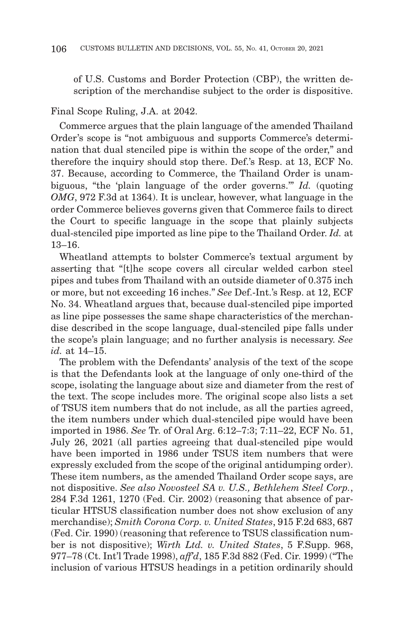of U.S. Customs and Border Protection (CBP), the written description of the merchandise subject to the order is dispositive.

Final Scope Ruling, J.A. at 2042.

Commerce argues that the plain language of the amended Thailand Order's scope is "not ambiguous and supports Commerce's determination that dual stenciled pipe is within the scope of the order," and therefore the inquiry should stop there. Def.'s Resp. at 13, ECF No. 37. Because, according to Commerce, the Thailand Order is unambiguous, "the 'plain language of the order governs.'" *Id.* (quoting *OMG*, 972 F.3d at 1364). It is unclear, however, what language in the order Commerce believes governs given that Commerce fails to direct the Court to specific language in the scope that plainly subjects dual-stenciled pipe imported as line pipe to the Thailand Order. *Id.* at 13–16.

Wheatland attempts to bolster Commerce's textual argument by asserting that "[t]he scope covers all circular welded carbon steel pipes and tubes from Thailand with an outside diameter of 0.375 inch or more, but not exceeding 16 inches." *See* Def.-Int.'s Resp. at 12, ECF No. 34. Wheatland argues that, because dual-stenciled pipe imported as line pipe possesses the same shape characteristics of the merchandise described in the scope language, dual-stenciled pipe falls under the scope's plain language; and no further analysis is necessary. *See id.* at 14–15.

The problem with the Defendants' analysis of the text of the scope is that the Defendants look at the language of only one-third of the scope, isolating the language about size and diameter from the rest of the text. The scope includes more. The original scope also lists a set of TSUS item numbers that do not include, as all the parties agreed, the item numbers under which dual-stenciled pipe would have been imported in 1986. *See* Tr. of Oral Arg. 6:12–7:3; 7:11–22, ECF No. 51, July 26, 2021 (all parties agreeing that dual-stenciled pipe would have been imported in 1986 under TSUS item numbers that were expressly excluded from the scope of the original antidumping order). These item numbers, as the amended Thailand Order scope says, are not dispositive. *See also Novosteel SA v. U.S., Bethlehem Steel Corp.*, 284 F.3d 1261, 1270 (Fed. Cir. 2002) (reasoning that absence of particular HTSUS classification number does not show exclusion of any merchandise); *Smith Corona Corp. v. United States*, 915 F.2d 683, 687 (Fed. Cir. 1990) (reasoning that reference to TSUS classification number is not dispositive); *Wirth Ltd. v. United States*, 5 F.Supp. 968, 977–78 (Ct. Int'l Trade 1998), *aff'd*, 185 F.3d 882 (Fed. Cir. 1999) ("The inclusion of various HTSUS headings in a petition ordinarily should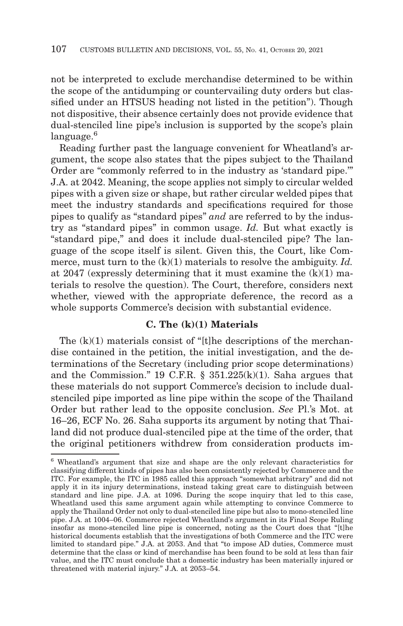not be interpreted to exclude merchandise determined to be within the scope of the antidumping or countervailing duty orders but classified under an HTSUS heading not listed in the petition"). Though not dispositive, their absence certainly does not provide evidence that dual-stenciled line pipe's inclusion is supported by the scope's plain language.<sup>6</sup>

Reading further past the language convenient for Wheatland's argument, the scope also states that the pipes subject to the Thailand Order are "commonly referred to in the industry as 'standard pipe.'" J.A. at 2042. Meaning, the scope applies not simply to circular welded pipes with a given size or shape, but rather circular welded pipes that meet the industry standards and specifications required for those pipes to qualify as "standard pipes" *and* are referred to by the industry as "standard pipes" in common usage. *Id.* But what exactly is "standard pipe," and does it include dual-stenciled pipe? The language of the scope itself is silent. Given this, the Court, like Commerce, must turn to the (k)(1) materials to resolve the ambiguity. *Id.* at 2047 (expressly determining that it must examine the  $(k)(1)$  materials to resolve the question). The Court, therefore, considers next whether, viewed with the appropriate deference, the record as a whole supports Commerce's decision with substantial evidence.

# **C. The (k)(1) Materials**

The  $(k)(1)$  materials consist of "[t]he descriptions of the merchandise contained in the petition, the initial investigation, and the determinations of the Secretary (including prior scope determinations) and the Commission.'' 19 C.F.R. § 351.225(k)(1). Saha argues that these materials do not support Commerce's decision to include dualstenciled pipe imported as line pipe within the scope of the Thailand Order but rather lead to the opposite conclusion. *See* Pl.'s Mot. at 16–26, ECF No. 26. Saha supports its argument by noting that Thailand did not produce dual-stenciled pipe at the time of the order, that the original petitioners withdrew from consideration products im-

<sup>6</sup> Wheatland's argument that size and shape are the only relevant characteristics for classifying different kinds of pipes has also been consistently rejected by Commerce and the ITC. For example, the ITC in 1985 called this approach "somewhat arbitrary" and did not apply it in its injury determinations, instead taking great care to distinguish between standard and line pipe. J.A. at 1096. During the scope inquiry that led to this case, Wheatland used this same argument again while attempting to convince Commerce to apply the Thailand Order not only to dual-stenciled line pipe but also to mono-stenciled line pipe. J.A. at 1004–06. Commerce rejected Wheatland's argument in its Final Scope Ruling insofar as mono-stenciled line pipe is concerned, noting as the Court does that "[t]he historical documents establish that the investigations of both Commerce and the ITC were limited to standard pipe." J.A. at 2053. And that "to impose AD duties, Commerce must determine that the class or kind of merchandise has been found to be sold at less than fair value, and the ITC must conclude that a domestic industry has been materially injured or threatened with material injury." J.A. at 2053–54.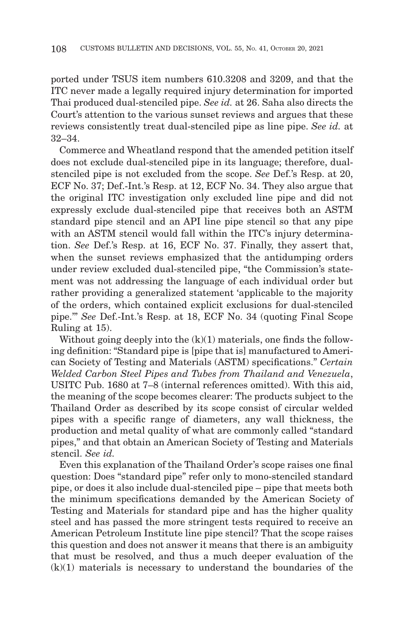ported under TSUS item numbers 610.3208 and 3209, and that the ITC never made a legally required injury determination for imported Thai produced dual-stenciled pipe. *See id.* at 26. Saha also directs the Court's attention to the various sunset reviews and argues that these reviews consistently treat dual-stenciled pipe as line pipe. *See id.* at 32–34.

Commerce and Wheatland respond that the amended petition itself does not exclude dual-stenciled pipe in its language; therefore, dualstenciled pipe is not excluded from the scope. *See* Def.'s Resp. at 20, ECF No. 37; Def.-Int.'s Resp. at 12, ECF No. 34. They also argue that the original ITC investigation only excluded line pipe and did not expressly exclude dual-stenciled pipe that receives both an ASTM standard pipe stencil and an API line pipe stencil so that any pipe with an ASTM stencil would fall within the ITC's injury determination. *See* Def.'s Resp. at 16, ECF No. 37. Finally, they assert that, when the sunset reviews emphasized that the antidumping orders under review excluded dual-stenciled pipe, "the Commission's statement was not addressing the language of each individual order but rather providing a generalized statement 'applicable to the majority of the orders, which contained explicit exclusions for dual-stenciled pipe.'" *See* Def.-Int.'s Resp. at 18, ECF No. 34 (quoting Final Scope Ruling at 15).

Without going deeply into the  $(k)(1)$  materials, one finds the following definition: "Standard pipe is [pipe that is] manufactured to American Society of Testing and Materials (ASTM) specifications." *Certain Welded Carbon Steel Pipes and Tubes from Thailand and Venezuela*, USITC Pub. 1680 at 7–8 (internal references omitted). With this aid, the meaning of the scope becomes clearer: The products subject to the Thailand Order as described by its scope consist of circular welded pipes with a specific range of diameters, any wall thickness, the production and metal quality of what are commonly called "standard pipes," and that obtain an American Society of Testing and Materials stencil. *See id.*

Even this explanation of the Thailand Order's scope raises one final question: Does "standard pipe" refer only to mono-stenciled standard pipe, or does it also include dual-stenciled pipe – pipe that meets both the minimum specifications demanded by the American Society of Testing and Materials for standard pipe and has the higher quality steel and has passed the more stringent tests required to receive an American Petroleum Institute line pipe stencil? That the scope raises this question and does not answer it means that there is an ambiguity that must be resolved, and thus a much deeper evaluation of the  $(k)(1)$  materials is necessary to understand the boundaries of the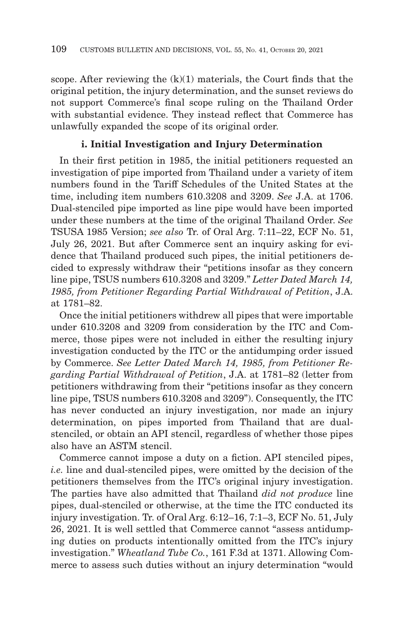scope. After reviewing the  $(k)(1)$  materials, the Court finds that the original petition, the injury determination, and the sunset reviews do not support Commerce's final scope ruling on the Thailand Order with substantial evidence. They instead reflect that Commerce has unlawfully expanded the scope of its original order.

# **i. Initial Investigation and Injury Determination**

In their first petition in 1985, the initial petitioners requested an investigation of pipe imported from Thailand under a variety of item numbers found in the Tariff Schedules of the United States at the time, including item numbers 610.3208 and 3209. *See* J.A. at 1706. Dual-stenciled pipe imported as line pipe would have been imported under these numbers at the time of the original Thailand Order. *See* TSUSA 1985 Version; *see also* Tr. of Oral Arg. 7:11–22, ECF No. 51, July 26, 2021. But after Commerce sent an inquiry asking for evidence that Thailand produced such pipes, the initial petitioners decided to expressly withdraw their "petitions insofar as they concern line pipe, TSUS numbers 610.3208 and 3209." *Letter Dated March 14, 1985, from Petitioner Regarding Partial Withdrawal of Petition*, J.A. at 1781–82.

Once the initial petitioners withdrew all pipes that were importable under 610.3208 and 3209 from consideration by the ITC and Commerce, those pipes were not included in either the resulting injury investigation conducted by the ITC or the antidumping order issued by Commerce. *See Letter Dated March 14, 1985, from Petitioner Regarding Partial Withdrawal of Petition*, J.A. at 1781–82 (letter from petitioners withdrawing from their "petitions insofar as they concern line pipe, TSUS numbers 610.3208 and 3209"). Consequently, the ITC has never conducted an injury investigation, nor made an injury determination, on pipes imported from Thailand that are dualstenciled, or obtain an API stencil, regardless of whether those pipes also have an ASTM stencil.

Commerce cannot impose a duty on a fiction. API stenciled pipes, *i.e.* line and dual-stenciled pipes, were omitted by the decision of the petitioners themselves from the ITC's original injury investigation. The parties have also admitted that Thailand *did not produce* line pipes, dual-stenciled or otherwise, at the time the ITC conducted its injury investigation. Tr. of Oral Arg. 6:12–16, 7:1–3, ECF No. 51, July 26, 2021. It is well settled that Commerce cannot "assess antidumping duties on products intentionally omitted from the ITC's injury investigation." *Wheatland Tube Co.*, 161 F.3d at 1371. Allowing Commerce to assess such duties without an injury determination "would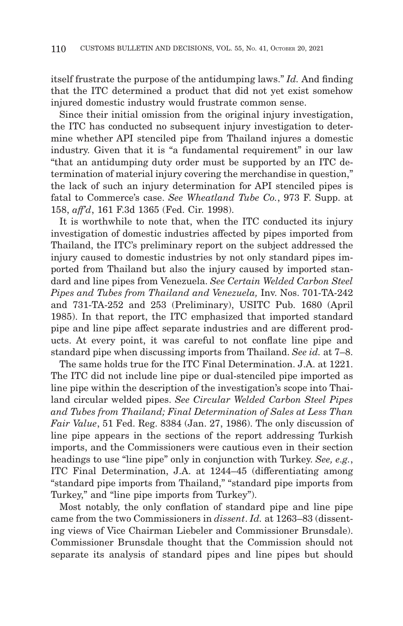itself frustrate the purpose of the antidumping laws." *Id.* And finding that the ITC determined a product that did not yet exist somehow injured domestic industry would frustrate common sense.

Since their initial omission from the original injury investigation, the ITC has conducted no subsequent injury investigation to determine whether API stenciled pipe from Thailand injures a domestic industry. Given that it is "a fundamental requirement" in our law "that an antidumping duty order must be supported by an ITC determination of material injury covering the merchandise in question," the lack of such an injury determination for API stenciled pipes is fatal to Commerce's case. *See Wheatland Tube Co.*, 973 F. Supp. at 158, *aff'd*, 161 F.3d 1365 (Fed. Cir. 1998).

It is worthwhile to note that, when the ITC conducted its injury investigation of domestic industries affected by pipes imported from Thailand, the ITC's preliminary report on the subject addressed the injury caused to domestic industries by not only standard pipes imported from Thailand but also the injury caused by imported standard and line pipes from Venezuela. *See Certain Welded Carbon Steel Pipes and Tubes from Thailand and Venezuela,* Inv. Nos. 701-TA-242 and 731-TA-252 and 253 (Preliminary), USITC Pub. 1680 (April 1985). In that report, the ITC emphasized that imported standard pipe and line pipe affect separate industries and are different products. At every point, it was careful to not conflate line pipe and standard pipe when discussing imports from Thailand. *See id.* at 7–8.

The same holds true for the ITC Final Determination. J.A. at 1221. The ITC did not include line pipe or dual-stenciled pipe imported as line pipe within the description of the investigation's scope into Thailand circular welded pipes. *See Circular Welded Carbon Steel Pipes and Tubes from Thailand; Final Determination of Sales at Less Than Fair Value*, 51 Fed. Reg. 8384 (Jan. 27, 1986). The only discussion of line pipe appears in the sections of the report addressing Turkish imports, and the Commissioners were cautious even in their section headings to use "line pipe" only in conjunction with Turkey. *See, e.g.*, ITC Final Determination, J.A. at 1244–45 (differentiating among "standard pipe imports from Thailand," "standard pipe imports from Turkey," and "line pipe imports from Turkey").

Most notably, the only conflation of standard pipe and line pipe came from the two Commissioners in *dissent*. *Id.* at 1263–83 (dissenting views of Vice Chairman Liebeler and Commissioner Brunsdale). Commissioner Brunsdale thought that the Commission should not separate its analysis of standard pipes and line pipes but should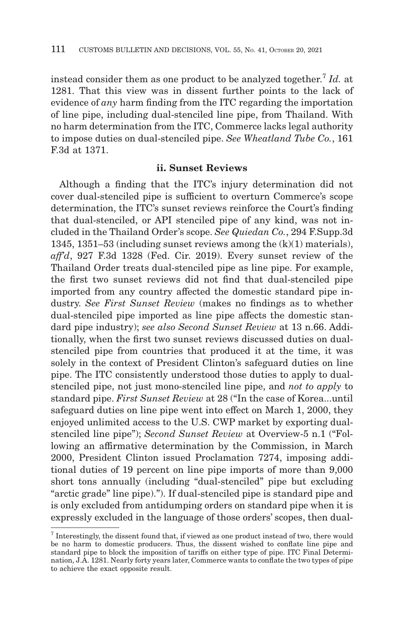instead consider them as one product to be analyzed together.7 *Id.* at 1281. That this view was in dissent further points to the lack of evidence of *any* harm finding from the ITC regarding the importation of line pipe, including dual-stenciled line pipe, from Thailand. With no harm determination from the ITC, Commerce lacks legal authority to impose duties on dual-stenciled pipe. *See Wheatland Tube Co.*, 161 F.3d at 1371.

#### **ii. Sunset Reviews**

Although a finding that the ITC's injury determination did not cover dual-stenciled pipe is sufficient to overturn Commerce's scope determination, the ITC's sunset reviews reinforce the Court's finding that dual-stenciled, or API stenciled pipe of any kind, was not included in the Thailand Order's scope. *See Quiedan Co.*, 294 F.Supp.3d 1345, 1351–53 (including sunset reviews among the (k)(1) materials), *aff'd*, 927 F.3d 1328 (Fed. Cir. 2019). Every sunset review of the Thailand Order treats dual-stenciled pipe as line pipe. For example, the first two sunset reviews did not find that dual-stenciled pipe imported from any country affected the domestic standard pipe industry. *See First Sunset Review* (makes no findings as to whether dual-stenciled pipe imported as line pipe affects the domestic standard pipe industry); *see also Second Sunset Review* at 13 n.66. Additionally, when the first two sunset reviews discussed duties on dualstenciled pipe from countries that produced it at the time, it was solely in the context of President Clinton's safeguard duties on line pipe. The ITC consistently understood those duties to apply to dualstenciled pipe, not just mono-stenciled line pipe, and *not to apply* to standard pipe. *First Sunset Review* at 28 ("In the case of Korea...until safeguard duties on line pipe went into effect on March 1, 2000, they enjoyed unlimited access to the U.S. CWP market by exporting dualstenciled line pipe"); *Second Sunset Review* at Overview-5 n.1 ("Following an affirmative determination by the Commission, in March 2000, President Clinton issued Proclamation 7274, imposing additional duties of 19 percent on line pipe imports of more than 9,000 short tons annually (including "dual-stenciled" pipe but excluding "arctic grade" line pipe)."). If dual-stenciled pipe is standard pipe and is only excluded from antidumping orders on standard pipe when it is expressly excluded in the language of those orders' scopes, then dual-

<sup>7</sup> Interestingly, the dissent found that, if viewed as one product instead of two, there would be no harm to domestic producers. Thus, the dissent wished to conflate line pipe and standard pipe to block the imposition of tariffs on either type of pipe. ITC Final Determination, J.A. 1281. Nearly forty years later, Commerce wants to conflate the two types of pipe to achieve the exact opposite result.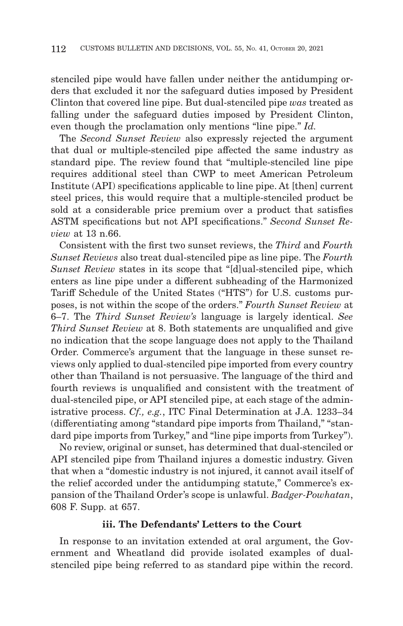stenciled pipe would have fallen under neither the antidumping orders that excluded it nor the safeguard duties imposed by President Clinton that covered line pipe. But dual-stenciled pipe *was* treated as falling under the safeguard duties imposed by President Clinton, even though the proclamation only mentions "line pipe." *Id.*

The *Second Sunset Review* also expressly rejected the argument that dual or multiple-stenciled pipe affected the same industry as standard pipe. The review found that "multiple-stenciled line pipe requires additional steel than CWP to meet American Petroleum Institute (API) specifications applicable to line pipe. At [then] current steel prices, this would require that a multiple-stenciled product be sold at a considerable price premium over a product that satisfies ASTM specifications but not API specifications." *Second Sunset Review* at 13 n.66.

Consistent with the first two sunset reviews, the *Third* and *Fourth Sunset Reviews* also treat dual-stenciled pipe as line pipe. The *Fourth Sunset Review* states in its scope that "[d]ual-stenciled pipe, which enters as line pipe under a different subheading of the Harmonized Tariff Schedule of the United States ("HTS") for U.S. customs purposes, is not within the scope of the orders." *Fourth Sunset Review* at 6–7. The *Third Sunset Review's* language is largely identical. *See Third Sunset Review* at 8. Both statements are unqualified and give no indication that the scope language does not apply to the Thailand Order. Commerce's argument that the language in these sunset reviews only applied to dual-stenciled pipe imported from every country other than Thailand is not persuasive. The language of the third and fourth reviews is unqualified and consistent with the treatment of dual-stenciled pipe, or API stenciled pipe, at each stage of the administrative process. *Cf., e.g.*, ITC Final Determination at J.A. 1233–34 (differentiating among "standard pipe imports from Thailand," "standard pipe imports from Turkey," and "line pipe imports from Turkey").

No review, original or sunset, has determined that dual-stenciled or API stenciled pipe from Thailand injures a domestic industry. Given that when a "domestic industry is not injured, it cannot avail itself of the relief accorded under the antidumping statute," Commerce's expansion of the Thailand Order's scope is unlawful. *Badger-Powhatan*, 608 F. Supp. at 657.

#### **iii. The Defendants' Letters to the Court**

In response to an invitation extended at oral argument, the Government and Wheatland did provide isolated examples of dualstenciled pipe being referred to as standard pipe within the record.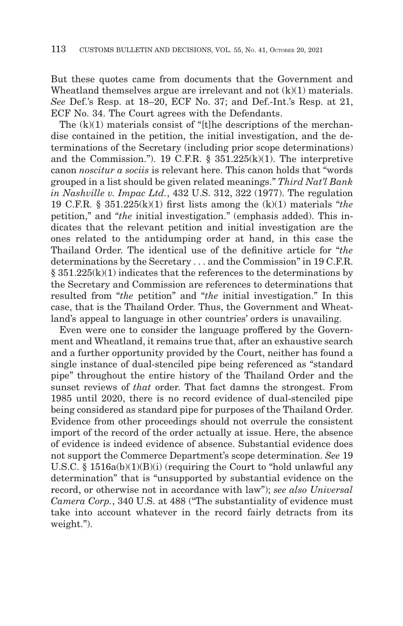But these quotes came from documents that the Government and Wheatland themselves argue are irrelevant and not (k)(1) materials. *See* Def.'s Resp. at 18–20, ECF No. 37; and Def.-Int.'s Resp. at 21, ECF No. 34. The Court agrees with the Defendants.

The  $(k)(1)$  materials consist of "[t]he descriptions of the merchandise contained in the petition, the initial investigation, and the determinations of the Secretary (including prior scope determinations) and the Commission.''). 19 C.F.R. § 351.225(k)(1). The interpretive canon *noscitur a sociis* is relevant here. This canon holds that "words grouped in a list should be given related meanings." *Third Nat'l Bank in Nashville v. Impac Ltd.*, 432 U.S. 312, 322 (1977). The regulation 19 C.F.R. § 351.225(k)(1) first lists among the (k)(1) materials "*the* petition," and "*the* initial investigation." (emphasis added). This indicates that the relevant petition and initial investigation are the ones related to the antidumping order at hand, in this case the Thailand Order. The identical use of the definitive article for "*the* determinations by the Secretary . . . and the Commission" in 19 C.F.R.  $\S$  351.225(k)(1) indicates that the references to the determinations by the Secretary and Commission are references to determinations that resulted from "*the* petition" and "*the* initial investigation." In this case, that is the Thailand Order. Thus, the Government and Wheatland's appeal to language in other countries' orders is unavailing.

Even were one to consider the language proffered by the Government and Wheatland, it remains true that, after an exhaustive search and a further opportunity provided by the Court, neither has found a single instance of dual-stenciled pipe being referenced as "standard pipe" throughout the entire history of the Thailand Order and the sunset reviews of *that* order. That fact damns the strongest. From 1985 until 2020, there is no record evidence of dual-stenciled pipe being considered as standard pipe for purposes of the Thailand Order. Evidence from other proceedings should not overrule the consistent import of the record of the order actually at issue. Here, the absence of evidence is indeed evidence of absence. Substantial evidence does not support the Commerce Department's scope determination. *See* 19 U.S.C. § 1516a(b)(1)(B)(i) (requiring the Court to "hold unlawful any determination" that is "unsupported by substantial evidence on the record, or otherwise not in accordance with law"); *see also Universal Camera Corp.*, 340 U.S. at 488 ("The substantiality of evidence must take into account whatever in the record fairly detracts from its weight.").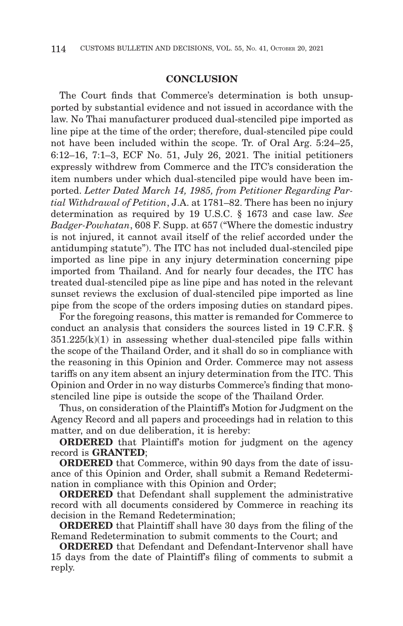#### **CONCLUSION**

The Court finds that Commerce's determination is both unsupported by substantial evidence and not issued in accordance with the law. No Thai manufacturer produced dual-stenciled pipe imported as line pipe at the time of the order; therefore, dual-stenciled pipe could not have been included within the scope. Tr. of Oral Arg. 5:24–25, 6:12–16, 7:1–3, ECF No. 51, July 26, 2021. The initial petitioners expressly withdrew from Commerce and the ITC's consideration the item numbers under which dual-stenciled pipe would have been imported. *Letter Dated March 14, 1985, from Petitioner Regarding Partial Withdrawal of Petition*, J.A. at 1781–82. There has been no injury determination as required by 19 U.S.C. § 1673 and case law. *See Badger-Powhatan*, 608 F. Supp. at 657 ("Where the domestic industry is not injured, it cannot avail itself of the relief accorded under the antidumping statute"). The ITC has not included dual-stenciled pipe imported as line pipe in any injury determination concerning pipe imported from Thailand. And for nearly four decades, the ITC has treated dual-stenciled pipe as line pipe and has noted in the relevant sunset reviews the exclusion of dual-stenciled pipe imported as line pipe from the scope of the orders imposing duties on standard pipes.

For the foregoing reasons, this matter is remanded for Commerce to conduct an analysis that considers the sources listed in 19 C.F.R. §  $351.225(k)(1)$  in assessing whether dual-stenciled pipe falls within the scope of the Thailand Order, and it shall do so in compliance with the reasoning in this Opinion and Order. Commerce may not assess tariffs on any item absent an injury determination from the ITC. This Opinion and Order in no way disturbs Commerce's finding that monostenciled line pipe is outside the scope of the Thailand Order.

Thus, on consideration of the Plaintiff's Motion for Judgment on the Agency Record and all papers and proceedings had in relation to this matter, and on due deliberation, it is hereby:

**ORDERED** that Plaintiff's motion for judgment on the agency record is **GRANTED**;

**ORDERED** that Commerce, within 90 days from the date of issuance of this Opinion and Order, shall submit a Remand Redetermination in compliance with this Opinion and Order;

**ORDERED** that Defendant shall supplement the administrative record with all documents considered by Commerce in reaching its decision in the Remand Redetermination;

**ORDERED** that Plaintiff shall have 30 days from the filing of the Remand Redetermination to submit comments to the Court; and

**ORDERED** that Defendant and Defendant-Intervenor shall have 15 days from the date of Plaintiff's filing of comments to submit a reply.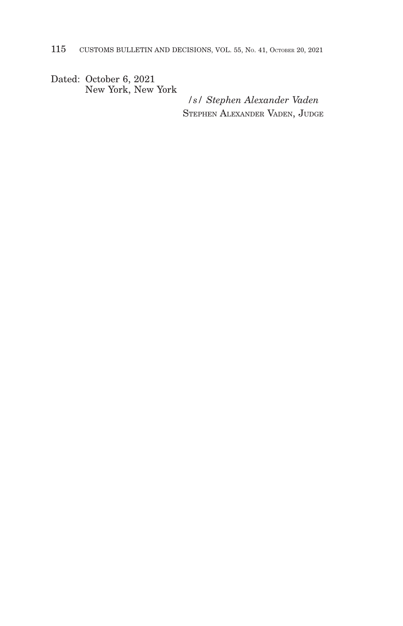Dated: October 6, 2021 New York, New York

*/s/ Stephen Alexander Vaden* STEPHEN ALEXANDER VADEN, JUDGE